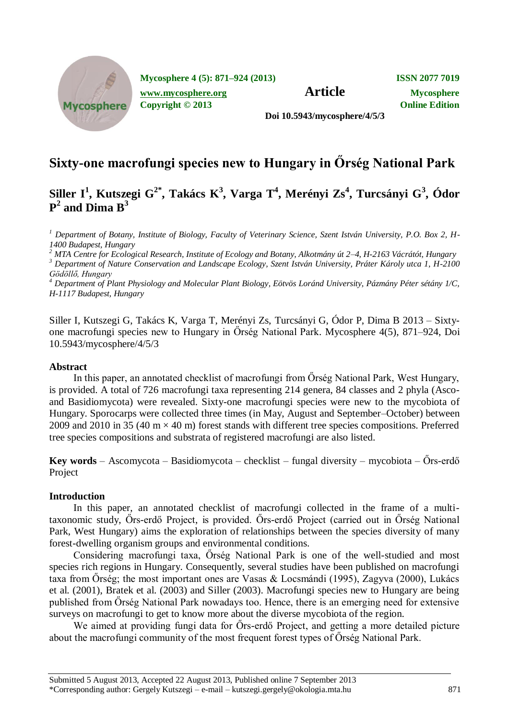

**Mycosphere 4 (5): 871–924 (2013) ISSN 2077 7019**

**[www.mycosphere.org](http://www.mycosphere.org/) Article Mycosphere Copyright © 2013 Online Edition**

**Doi 10.5943/mycosphere/4/5/3**

# **Sixty-one macrofungi species new to Hungary in Őrség National Park**

## **Siller I<sup>1</sup> , Kutszegi G2\* , Takács K<sup>3</sup> , Varga T<sup>4</sup> , Merényi Zs<sup>4</sup> , Turcsányi G<sup>3</sup> , Ódor P 2 and Dima B<sup>3</sup>**

*<sup>1</sup> Department of Botany, Institute of Biology, Faculty of Veterinary Science, Szent István University, P.O. Box 2, H-1400 Budapest, Hungary*

*<sup>2</sup> MTA Centre for Ecological Research, Institute of Ecology and Botany, Alkotmány út 2–4, H-2163 Vácrátót, Hungary <sup>3</sup> Department of Nature Conservation and Landscape Ecology, Szent István University, Práter Károly utca 1, H-2100 Gödöllő, Hungary*

*<sup>4</sup> Department of Plant Physiology and Molecular Plant Biology, Eötvös Loránd University, Pázmány Péter sétány 1/C, H-1117 Budapest, Hungary*

Siller I, Kutszegi G, Takács K, Varga T, Merényi Zs, Turcsányi G, Ódor P, Dima B 2013 – Sixtyone macrofungi species new to Hungary in Őrség National Park. Mycosphere 4(5), 871–924, Doi 10.5943/mycosphere/4/5/3

## **Abstract**

In this paper, an annotated checklist of macrofungi from Őrség National Park, West Hungary, is provided. A total of 726 macrofungi taxa representing 214 genera, 84 classes and 2 phyla (Ascoand Basidiomycota) were revealed. Sixty-one macrofungi species were new to the mycobiota of Hungary. Sporocarps were collected three times (in May, August and September–October) between 2009 and 2010 in 35 (40 m  $\times$  40 m) forest stands with different tree species compositions. Preferred tree species compositions and substrata of registered macrofungi are also listed.

**Key words** – Ascomycota – Basidiomycota – checklist – fungal diversity – mycobiota – Őrs-erdő Project

## **Introduction**

In this paper, an annotated checklist of macrofungi collected in the frame of a multitaxonomic study, [Őrs-erdő Project,](http://ramet.elte.hu/~ramet/project/ors_erdo/index_en.htm) is provided. Őrs-erdő Project (carried out in Őrség National Park, West Hungary) aims the exploration of relationships between the species diversity of many forest-dwelling organism groups and environmental conditions.

Considering macrofungi taxa, Őrség National Park is one of the well-studied and most species rich regions in Hungary. Consequently, several studies have been published on macrofungi taxa from Őrség; the most important ones are Vasas & Locsmándi (1995), Zagyva (2000), Lukács et al. (2001), Bratek et al. (2003) and Siller (2003). Macrofungi species new to Hungary are being published from Őrség National Park nowadays too. Hence, there is an emerging need for extensive surveys on macrofungi to get to know more about the diverse mycobiota of the region.

We aimed at providing fungi data for Őrs-erdő Project, and getting a more detailed picture about the macrofungi community of the most frequent forest types of Őrség National Park.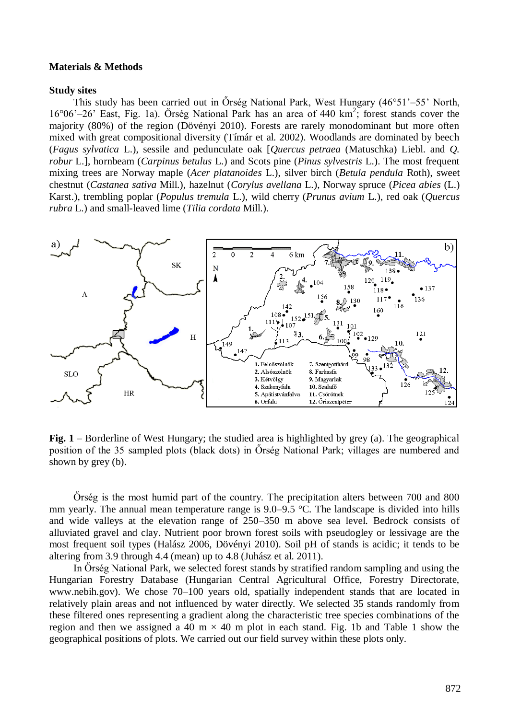#### **Materials & Methods**

#### **Study sites**

This study has been carried out in Őrség National Park, West Hungary (46°51'–55' North, 16°06'–26' East, Fig. 1a). Őrség National Park has an area of 440 km<sup>2</sup> ; forest stands cover the majority (80%) of the region (Dövényi 2010). Forests are rarely monodominant but more often mixed with great compositional diversity (Tímár et al. 2002). Woodlands are dominated by beech (*Fagus sylvatica* L.), sessile and pedunculate oak [*Quercus petraea* (Matuschka) Liebl. and *Q. robur* L.], hornbeam (*Carpinus betulus* L.) and Scots pine (*Pinus sylvestris* L.). The most frequent mixing trees are Norway maple (*Acer platanoides* L.), silver birch (*Betula pendula* Roth), sweet chestnut (*Castanea sativa* Mill.), hazelnut (*Corylus avellana* L.), Norway spruce (*Picea abies* (L.) Karst.), trembling poplar (*Populus tremula* L.), wild cherry (*Prunus avium* L.), red oak (*Quercus rubra* L.) and small-leaved lime (*Tilia cordata* Mill.).



**Fig. 1** – Borderline of West Hungary; the studied area is highlighted by grey (a). The geographical position of the 35 sampled plots (black dots) in Őrség National Park; villages are numbered and shown by grey (b).

Őrség is the most humid part of the country. The precipitation alters between 700 and 800 mm yearly. The annual mean temperature range is 9.0–9.5 °C. The landscape is divided into hills and wide valleys at the elevation range of 250–350 m above sea level. Bedrock consists of alluviated gravel and clay. Nutrient poor brown forest soils with pseudogley or lessivage are the most frequent soil types (Halász 2006, Dövényi 2010). Soil pH of stands is acidic; it tends to be altering from 3.9 through 4.4 (mean) up to 4.8 (Juhász et al. 2011).

In Őrség National Park, we selected forest stands by stratified random sampling and using the Hungarian Forestry Database (Hungarian Central Agricultural Office, Forestry Directorate, [www.nebih.gov\)](http://www.nebih.gov/). We chose 70–100 years old, spatially independent stands that are located in relatively plain areas and not influenced by water directly. We selected 35 stands randomly from these filtered ones representing a gradient along the characteristic tree species combinations of the region and then we assigned a 40 m  $\times$  40 m plot in each stand. Fig. 1b and Table 1 show the geographical positions of plots. We carried out our field survey within these plots only.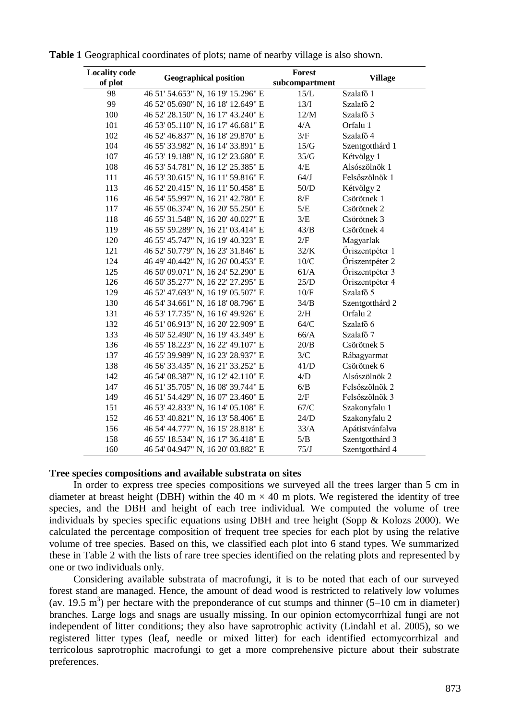| <b>Locality code</b><br>of plot | <b>Geographical position</b>       | Forest<br>$\bf subcompartment$ | <b>Village</b>       |
|---------------------------------|------------------------------------|--------------------------------|----------------------|
| 98                              | 46 51' 54.653" N, 16 19' 15.296" E | 15/L                           | Szalafő <sup>1</sup> |
| 99                              | 46 52' 05.690" N, 16 18' 12.649" E | 13/I                           | Szalafő <sub>2</sub> |
| 100                             | 46 52' 28.150" N, 16 17' 43.240" E | 12/M                           | Szalafő 3            |
| 101                             | 46 53' 05.110" N, 16 17' 46.681" E | 4/A                            | Orfalu 1             |
| 102                             | 46 52' 46.837" N, 16 18' 29.870" E | 3/F                            | Szalafő 4            |
| 104                             | 46 55' 33.982" N, 16 14' 33.891" E | 15/G                           | Szentgotthárd 1      |
| 107                             | 46 53' 19.188" N, 16 12' 23.680" E | 35/G                           | Kétvölgy 1           |
| 108                             | 46 53' 54.781" N, 16 12' 25.385" E | 4/E                            | Alsószölnök 1        |
| 111                             | 46 53' 30.615" N, 16 11' 59.816" E | 64/J                           | Felsőszölnök 1       |
| 113                             | 46 52' 20.415" N, 16 11' 50.458" E | $50/D$                         | Kétvölgy 2           |
| 116                             | 46 54' 55.997" N, 16 21' 42.780" E | $8/F$                          | Csörötnek 1          |
| 117                             | 46 55' 06.374" N, 16 20' 55.250" E | 5/E                            | Csörötnek 2          |
| 118                             | 46 55' 31.548" N, 16 20' 40.027" E | 3/E                            | Csörötnek 3          |
| 119                             | 46 55' 59.289" N, 16 21' 03.414" E | 43/B                           | Csörötnek 4          |
| 120                             | 46 55' 45.747" N, 16 19' 40.323" E | 2/F                            | Magyarlak            |
| 121                             | 46 52' 50.779" N, 16 23' 31.846" E | 32/K                           | Öriszentpéter 1      |
| 124                             | 46 49' 40.442" N, 16 26' 00.453" E | $10/C$                         | Öriszentpéter 2      |
| 125                             | 46 50' 09.071" N, 16 24' 52.290" E | 61/A                           | Öriszentpéter 3      |
| 126                             | 46 50' 35.277" N, 16 22' 27.295" E | 25/D                           | Öriszentpéter 4      |
| 129                             | 46 52' 47.693" N, 16 19' 05.507" E | $10/F$                         | Szalafő 5            |
| 130                             | 46 54' 34.661" N, 16 18' 08.796" E | 34/B                           | Szentgotthárd 2      |
| 131                             | 46 53' 17.735" N, 16 16' 49.926" E | 2/H                            | Orfalu 2             |
| 132                             | 46 51' 06.913" N, 16 20' 22.909" E | 64/C                           | Szalafő 6            |
| 133                             | 46 50' 52.490" N, 16 19' 43.349" E | 66/A                           | Szalafő 7            |
| 136                             | 46 55' 18.223" N, 16 22' 49.107" E | 20/B                           | Csörötnek 5          |
| 137                             | 46 55' 39.989" N, 16 23' 28.937" E | 3/C                            | Rábagyarmat          |
| 138                             | 46 56' 33.435" N, 16 21' 33.252" E | 41/D                           | Csörötnek 6          |
| 142                             | 46 54' 08.387" N, 16 12' 42.110" E | 4/D                            | Alsószölnök 2        |
| 147                             | 46 51' 35.705" N, 16 08' 39.744" E | 6/B                            | Felsőszölnök 2       |
| 149                             | 46 51' 54.429" N, 16 07' 23.460" E | 2/F                            | Felsőszölnök 3       |
| 151                             | 46 53' 42.833" N, 16 14' 05.108" E | 67/C                           | Szakonyfalu 1        |
| 152                             | 46 53' 40.821" N, 16 13' 58.406" E | 24/D                           | Szakonyfalu 2        |
| 156                             | 46 54' 44.777" N, 16 15' 28.818" E | 33/A                           | Apátistvánfalva      |
| 158                             | 46 55' 18.534" N, 16 17' 36.418" E | $5/B$                          | Szentgotthárd 3      |
| 160                             | 46 54' 04.947" N, 16 20' 03.882" E | 75/J                           | Szentgotthárd 4      |

**Table 1** Geographical coordinates of plots; name of nearby village is also shown.

## **Tree species compositions and available substrata on sites**

In order to express tree species compositions we surveyed all the trees larger than 5 cm in diameter at breast height (DBH) within the 40 m  $\times$  40 m plots. We registered the identity of tree species, and the DBH and height of each tree individual. We computed the volume of tree individuals by species specific equations using DBH and tree height (Sopp & Kolozs 2000). We calculated the percentage composition of frequent tree species for each plot by using the relative volume of tree species. Based on this, we classified each plot into 6 stand types. We summarized these in Table 2 with the lists of rare tree species identified on the relating plots and represented by one or two individuals only.

Considering available substrata of macrofungi, it is to be noted that each of our surveyed forest stand are managed. Hence, the amount of dead wood is restricted to relatively low volumes (av. 19.5 m<sup>3</sup>) per hectare with the preponderance of cut stumps and thinner (5–10 cm in diameter) branches. Large logs and snags are usually missing. In our opinion ectomycorrhizal fungi are not independent of litter conditions; they also have saprotrophic activity (Lindahl et al. 2005), so we registered litter types (leaf, needle or mixed litter) for each identified ectomycorrhizal and terricolous saprotrophic macrofungi to get a more comprehensive picture about their substrate preferences.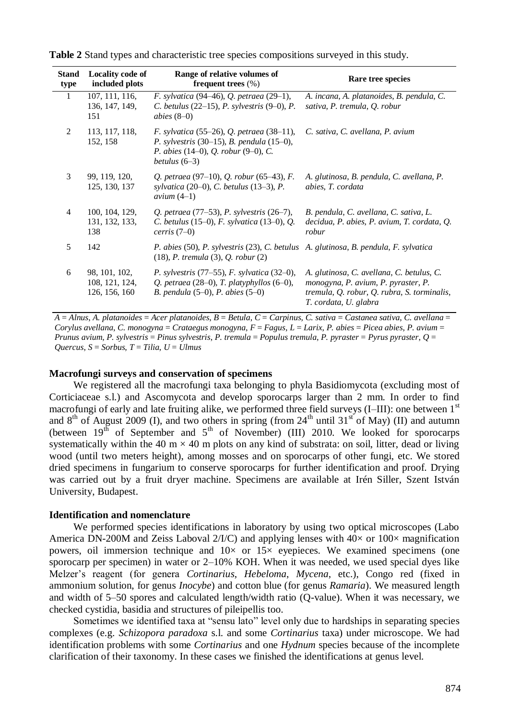| <b>Stand</b><br>type | <b>Locality code of</b><br>included plots        | Range of relative volumes of<br>frequent trees $(\% )$                                                                                                       | Rare tree species                                                                                                                                        |
|----------------------|--------------------------------------------------|--------------------------------------------------------------------------------------------------------------------------------------------------------------|----------------------------------------------------------------------------------------------------------------------------------------------------------|
| 1                    | 107, 111, 116,<br>136, 147, 149,<br>151          | F. sylvatica (94–46), Q. petraea (29–1),<br>C. betulus $(22-15)$ , P. sylvestris $(9-0)$ , P.<br>abies $(8-0)$                                               | A. incana, A. platanoides, B. pendula, C.<br>sativa, P. tremula, Q. robur                                                                                |
| 2                    | 113, 117, 118,<br>152, 158                       | F. sylvatica (55–26), Q. petraea (38–11),<br>P. sylvestris $(30-15)$ , B. pendula $(15-0)$ ,<br>P. abies $(14-0)$ , Q. robur $(9-0)$ , C.<br>betulus $(6-3)$ | C. sativa, C. avellana, P. avium                                                                                                                         |
| 3                    | 99, 119, 120,<br>125, 130, 137                   | Q. petraea (97–10), Q. robur (65–43), F.<br>sylvatica $(20-0)$ , C. betulus $(13-3)$ , P.<br>avium $(4-1)$                                                   | A. glutinosa, B. pendula, C. avellana, P.<br>abies, T. cordata                                                                                           |
| $\overline{4}$       | 100, 104, 129,<br>131, 132, 133,<br>138          | Q. petraea (77–53), P. sylvestris (26–7),<br>C. betulus $(15-0)$ , F. sylvatica $(13-0)$ , Q.<br>$c$ erris $(7-0)$                                           | B. pendula, C. avellana, C. sativa, L.<br>decidua, P. abies, P. avium, T. cordata, Q.<br>robur                                                           |
| 5                    | 142                                              | P. abies (50), P. sylvestris (23), C. betulus A. glutinosa, B. pendula, F. sylvatica<br>$(18)$ , P. tremula $(3)$ , Q. robur $(2)$                           |                                                                                                                                                          |
| 6                    | 98, 101, 102,<br>108, 121, 124,<br>126, 156, 160 | <i>P. sylvestris</i> $(77–55)$ , <i>F. sylvatica</i> $(32–0)$ ,<br>Q. petraea $(28-0)$ , T. platyphyllos $(6-0)$ ,<br>B. pendula $(5-0)$ , P. abies $(5-0)$  | A. glutinosa, C. avellana, C. betulus, C.<br>monogyna, P. avium, P. pyraster, P.<br>tremula, Q. robur, Q. rubra, S. torminalis,<br>T. cordata, U. glabra |

**Table 2** Stand types and characteristic tree species compositions surveyed in this study.

*A* = *Alnus*, *A. platanoides* = *Acer platanoides*, *B* = *Betula*, *C* = *Carpinus*, *C. sativa* = *Castanea sativa*, *C. avellana* = *Corylus avellana*, *C. monogyna* = *Crataegus monogyna*, *F* = *Fagus*, *L* = *Larix*, *P. abies* = *Picea abies*, *P. avium* = *Prunus avium*, *P. sylvestris* = *Pinus sylvestris*, *P. tremula* = *Populus tremula*, *P. pyraster* = *Pyrus pyraster*, *Q* = *Quercus*, *S* = *Sorbus*, *T* = *Tilia*, *U* = *Ulmus*

#### **Macrofungi surveys and conservation of specimens**

We registered all the macrofungi taxa belonging to phyla Basidiomycota (excluding most of Corticiaceae s.l.) and Ascomycota and develop sporocarps larger than 2 mm. In order to find macrofungi of early and late fruiting alike, we performed three field surveys  $(I–III)$ : one between  $1<sup>st</sup>$ and  $8<sup>th</sup>$  of August 2009 (I), and two others in spring (from 24<sup>th</sup> until 31<sup>st</sup> of May) (II) and autumn (between  $19<sup>th</sup>$  of September and  $5<sup>th</sup>$  of November) (III) 2010. We looked for sporocarps systematically within the 40 m  $\times$  40 m plots on any kind of substrata: on soil, litter, dead or living wood (until two meters height), among mosses and on sporocarps of other fungi, etc. We stored dried specimens in fungarium to conserve sporocarps for further identification and proof. Drying was carried out by a fruit dryer machine. Specimens are available at Irén Siller, Szent István University, Budapest.

#### **Identification and nomenclature**

We performed species identifications in laboratory by using two optical microscopes (Labo America DN-200M and Zeiss Laboval  $2/IC$ ) and applying lenses with  $40\times$  or  $100\times$  magnification powers, oil immersion technique and  $10\times$  or  $15\times$  eyepieces. We examined specimens (one sporocarp per specimen) in water or 2–10% KOH. When it was needed, we used special dyes like Melzer's reagent (for genera *Cortinarius*, *Hebeloma*, *Mycena*, etc.), Congo red (fixed in ammonium solution, for genus *Inocybe*) and cotton blue (for genus *Ramaria*). We measured length and width of 5–50 spores and calculated length/width ratio (Q-value). When it was necessary, we checked cystidia, basidia and structures of pileipellis too.

Sometimes we identified taxa at "sensu lato" level only due to hardships in separating species complexes (e.g. *Schizopora paradoxa* s.l. and some *Cortinarius* taxa) under microscope. We had identification problems with some *Cortinarius* and one *Hydnum* species because of the incomplete clarification of their taxonomy. In these cases we finished the identifications at genus level.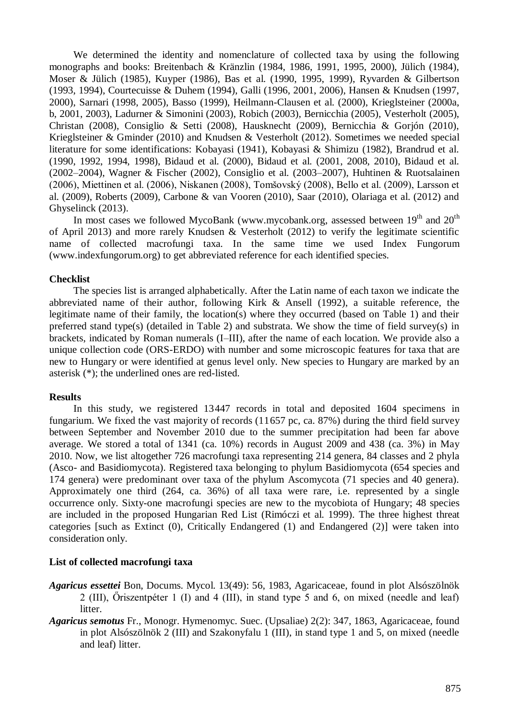We determined the identity and nomenclature of collected taxa by using the following monographs and books: Breitenbach & Kränzlin (1984, 1986, 1991, 1995, 2000), Jülich (1984), Moser & Jülich (1985), Kuyper (1986), Bas et al. (1990, 1995, 1999), Ryvarden & Gilbertson (1993, 1994), Courtecuisse & Duhem (1994), Galli (1996, 2001, 2006), Hansen & Knudsen (1997, 2000), Sarnari (1998, 2005), Basso (1999), Heilmann-Clausen et al. (2000), Krieglsteiner (2000a, b, 2001, 2003), Ladurner & Simonini (2003), Robich (2003), Bernicchia (2005), Vesterholt (2005), Christan (2008), Consiglio & Setti (2008), Hausknecht (2009), Bernicchia & Gorjón (2010), Krieglsteiner & Gminder (2010) and Knudsen & Vesterholt (2012). Sometimes we needed special literature for some identifications: Kobayasi (1941), Kobayasi & Shimizu (1982), Brandrud et al. (1990, 1992, 1994, 1998), Bidaud et al. (2000), Bidaud et al. (2001, 2008, 2010), Bidaud et al. (2002–2004), Wagner & Fischer (2002), Consiglio et al. (2003–2007), Huhtinen & Ruotsalainen (2006), Miettinen et al. (2006), Niskanen (2008), Tomšovský (2008), Bello et al. (2009), Larsson et al. (2009), Roberts (2009), Carbone & van Vooren (2010), Saar (2010), Olariaga et al. (2012) and Ghyselinck (2013).

In most cases we followed MycoBank (www.mycobank.org, assessed between  $19<sup>th</sup>$  and  $20<sup>th</sup>$ of April 2013) and more rarely Knudsen & Vesterholt (2012) to verify the legitimate scientific name of collected macrofungi taxa. In the same time we used Index Fungorum (www.indexfungorum.org) to get abbreviated reference for each identified species.

## **Checklist**

The species list is arranged alphabetically. After the Latin name of each taxon we indicate the abbreviated name of their author, following Kirk & Ansell (1992), a suitable reference, the legitimate name of their family, the location(s) where they occurred (based on Table 1) and their preferred stand type(s) (detailed in Table 2) and substrata. We show the time of field survey(s) in brackets, indicated by Roman numerals (I–III), after the name of each location. We provide also a unique collection code (ORS-ERDO) with number and some microscopic features for taxa that are new to Hungary or were identified at genus level only. New species to Hungary are marked by an asterisk (\*); the underlined ones are red-listed.

## **Results**

In this study, we registered 13447 records in total and deposited 1604 specimens in fungarium. We fixed the vast majority of records (11657 pc, ca. 87%) during the third field survey between September and November 2010 due to the summer precipitation had been far above average. We stored a total of 1341 (ca. 10%) records in August 2009 and 438 (ca. 3%) in May 2010. Now, we list altogether 726 macrofungi taxa representing 214 genera, 84 classes and 2 phyla (Asco- and Basidiomycota). Registered taxa belonging to phylum Basidiomycota (654 species and 174 genera) were predominant over taxa of the phylum Ascomycota (71 species and 40 genera). Approximately one third (264, ca. 36%) of all taxa were rare, i.e. represented by a single occurrence only. Sixty-one macrofungi species are new to the mycobiota of Hungary; 48 species are included in the proposed Hungarian Red List (Rimóczi et al. 1999). The three highest threat categories [such as Extinct (0), Critically Endangered (1) and Endangered (2)] were taken into consideration only.

## **List of collected macrofungi taxa**

- *Agaricus essettei* Bon, Docums. Mycol. 13(49): 56, 1983, Agaricaceae, found in plot Alsószölnök 2 (III), Őriszentpéter 1 (I) and 4 (III), in stand type 5 and 6, on mixed (needle and leaf) litter.
- *Agaricus semotus* Fr., Monogr. Hymenomyc. Suec. (Upsaliae) 2(2): 347, 1863, Agaricaceae, found in plot Alsószölnök 2 (III) and Szakonyfalu 1 (III), in stand type 1 and 5, on mixed (needle and leaf) litter.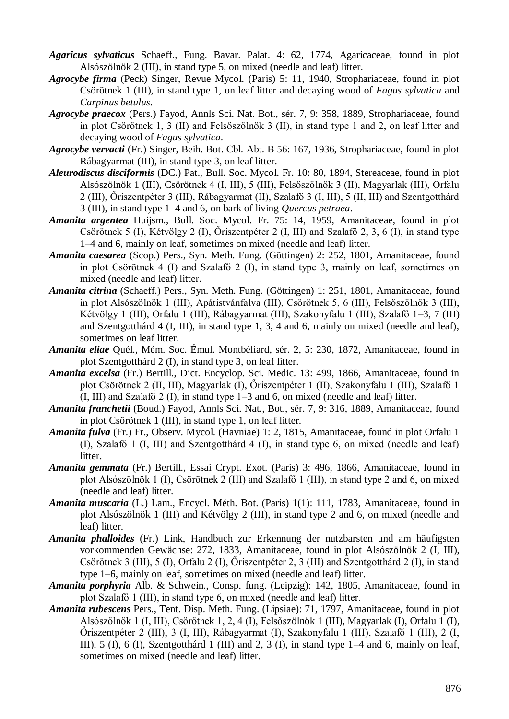- *Agaricus sylvaticus* Schaeff., Fung. Bavar. Palat. 4: 62, 1774, Agaricaceae, found in plot Alsószölnök 2 (III), in stand type 5, on mixed (needle and leaf) litter.
- *Agrocybe firma* (Peck) Singer, Revue Mycol. (Paris) 5: 11, 1940, Strophariaceae, found in plot Csörötnek 1 (III), in stand type 1, on leaf litter and decaying wood of *Fagus sylvatica* and *Carpinus betulus*.
- *Agrocybe praecox* (Pers.) Fayod, Annls Sci. Nat. Bot., sér. 7, 9: 358, 1889, Strophariaceae, found in plot Csörötnek 1, 3 (II) and Felsőszölnök 3 (II), in stand type 1 and 2, on leaf litter and decaying wood of *Fagus sylvatica*.
- *Agrocybe vervacti* (Fr.) Singer, Beih. Bot. Cbl. Abt. B 56: 167, 1936, Strophariaceae, found in plot Rábagyarmat (III), in stand type 3, on leaf litter.
- *Aleurodiscus disciformis* (DC.) Pat., Bull. Soc. Mycol. Fr. 10: 80, 1894, Stereaceae, found in plot Alsószölnök 1 (III), Csörötnek 4 (I, III), 5 (III), Felsőszölnök 3 (II), Magyarlak (III), Orfalu 2 (III), Őriszentpéter 3 (III), Rábagyarmat (II), Szalafő 3 (I, III), 5 (II, III) and Szentgotthárd 3 (III), in stand type 1–4 and 6, on bark of living *Quercus petraea*.
- *Amanita argentea* Huijsm., Bull. Soc. Mycol. Fr. 75: 14, 1959, Amanitaceae, found in plot Csörötnek 5 (I), Kétvölgy 2 (I), Őriszentpéter 2 (I, III) and Szalafő 2, 3, 6 (I), in stand type 1–4 and 6, mainly on leaf, sometimes on mixed (needle and leaf) litter.
- *Amanita caesarea* (Scop.) Pers., Syn. Meth. Fung. (Göttingen) 2: 252, 1801, Amanitaceae, found in plot Csörötnek 4 (I) and Szalafő 2 (I), in stand type 3, mainly on leaf, sometimes on mixed (needle and leaf) litter.
- *Amanita citrina* (Schaeff.) Pers., Syn. Meth. Fung. (Göttingen) 1: 251, 1801, Amanitaceae, found in plot Alsószölnök 1 (III), Apátistvánfalva (III), Csörötnek 5, 6 (III), Felsőszölnök 3 (III), Kétvölgy 1 (III), Orfalu 1 (III), Rábagyarmat (III), Szakonyfalu 1 (III), Szalafő 1–3, 7 (III) and Szentgotthárd 4 (I, III), in stand type 1, 3, 4 and 6, mainly on mixed (needle and leaf), sometimes on leaf litter.
- *Amanita eliae* Quél., Mém. Soc. Émul. Montbéliard, sér. 2, 5: 230, 1872, Amanitaceae, found in plot Szentgotthárd 2 (I), in stand type 3, on leaf litter.
- *Amanita excelsa* (Fr.) Bertill., Dict. Encyclop. Sci. Medic. 13: 499, 1866, Amanitaceae, found in plot Csörötnek 2 (II, III), Magyarlak (I), Őriszentpéter 1 (II), Szakonyfalu 1 (III), Szalafő 1 (I, III) and Szalafő 2 (I), in stand type 1–3 and 6, on mixed (needle and leaf) litter.
- *Amanita franchetii* (Boud.) Fayod, Annls Sci. Nat., Bot., sér. 7, 9: 316, 1889, Amanitaceae, found in plot Csörötnek 1 (III), in stand type 1, on leaf litter.
- *Amanita fulva* (Fr.) Fr., Observ. Mycol. (Havniae) 1: 2, 1815, Amanitaceae, found in plot Orfalu 1 (I), Szalafő 1 (I, III) and Szentgotthárd 4 (I), in stand type 6, on mixed (needle and leaf) **litter**
- *Amanita gemmata* (Fr.) Bertill., Essai Crypt. Exot. (Paris) 3: 496, 1866, Amanitaceae, found in plot Alsószölnök 1 (I), Csörötnek 2 (III) and Szalafő 1 (III), in stand type 2 and 6, on mixed (needle and leaf) litter.
- *Amanita muscaria* (L.) Lam., Encycl. Méth. Bot. (Paris) 1(1): 111, 1783, Amanitaceae, found in plot Alsószölnök 1 (III) and Kétvölgy 2 (III), in stand type 2 and 6, on mixed (needle and leaf) litter.
- *Amanita phalloides* (Fr.) Link, Handbuch zur Erkennung der nutzbarsten und am häufigsten vorkommenden Gewächse: 272, 1833, Amanitaceae, found in plot Alsószölnök 2 (I, III), Csörötnek 3 (III), 5 (I), Orfalu 2 (I), Őriszentpéter 2, 3 (III) and Szentgotthárd 2 (I), in stand type 1–6, mainly on leaf, sometimes on mixed (needle and leaf) litter.
- *Amanita porphyria* Alb. & Schwein., Consp. fung. (Leipzig): 142, 1805, Amanitaceae, found in plot Szalafő 1 (III), in stand type 6, on mixed (needle and leaf) litter.
- *Amanita rubescens* Pers., Tent. Disp. Meth. Fung. (Lipsiae): 71, 1797, Amanitaceae, found in plot Alsószölnök 1 (I, III), Csörötnek 1, 2, 4 (I), Felsőszölnök 1 (III), Magyarlak (I), Orfalu 1 (I), Őriszentpéter 2 (III), 3 (I, III), Rábagyarmat (I), Szakonyfalu 1 (III), Szalafő 1 (III), 2 (I, III), 5 (I), 6 (I), Szentgotthárd 1 (III) and 2, 3 (I), in stand type 1–4 and 6, mainly on leaf, sometimes on mixed (needle and leaf) litter.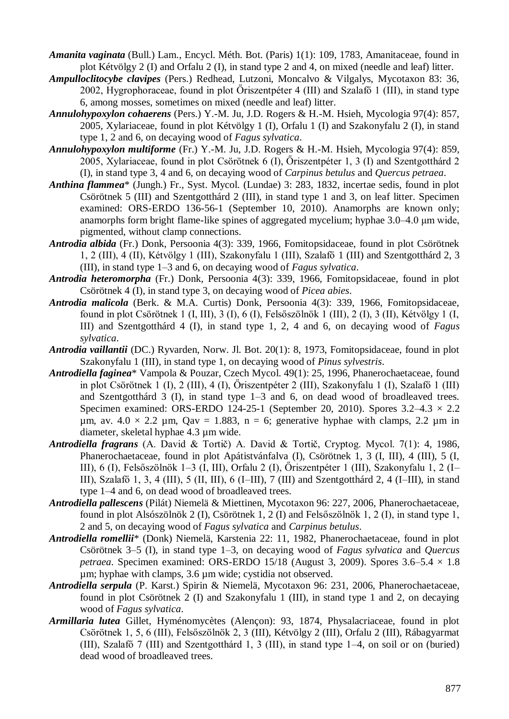*Amanita vaginata* (Bull.) Lam., Encycl. Méth. Bot. (Paris) 1(1): 109, 1783, Amanitaceae, found in plot Kétvölgy 2 (I) and Orfalu 2 (I), in stand type 2 and 4, on mixed (needle and leaf) litter.

- *Ampulloclitocybe clavipes* (Pers.) Redhead, Lutzoni, Moncalvo & Vilgalys, Mycotaxon 83: 36, 2002, Hygrophoraceae, found in plot Őriszentpéter 4 (III) and Szalafő 1 (III), in stand type 6, among mosses, sometimes on mixed (needle and leaf) litter.
- *Annulohypoxylon cohaerens* (Pers.) Y.-M. Ju, J.D. Rogers & H.-M. Hsieh, Mycologia 97(4): 857, 2005, Xylariaceae, found in plot Kétvölgy 1 (I), Orfalu 1 (I) and Szakonyfalu 2 (I), in stand type 1, 2 and 6, on decaying wood of *Fagus sylvatica*.
- *Annulohypoxylon multiforme* (Fr.) Y.-M. Ju, J.D. Rogers & H.-M. Hsieh, Mycologia 97(4): 859, 2005, Xylariaceae, found in plot Csörötnek 6 (I), Őriszentpéter 1, 3 (I) and Szentgotthárd 2 (I), in stand type 3, 4 and 6, on decaying wood of *Carpinus betulus* and *Quercus petraea*.
- *Anthina flammea*\* (Jungh.) Fr., Syst. Mycol. (Lundae) 3: 283, 1832, incertae sedis, found in plot Csörötnek 5 (III) and Szentgotthárd 2 (III), in stand type 1 and 3, on leaf litter. Specimen examined: ORS-ERDO 136-56-1 (September 10, 2010). Anamorphs are known only; anamorphs form bright flame-like spines of aggregated mycelium; hyphae 3.0–4.0 μm wide, pigmented, without clamp connections.
- *Antrodia albida* (Fr.) Donk, Persoonia 4(3): 339, 1966, Fomitopsidaceae, found in plot Csörötnek 1, 2 (III), 4 (II), Kétvölgy 1 (III), Szakonyfalu 1 (III), Szalafő 1 (III) and Szentgotthárd 2, 3 (III), in stand type 1–3 and 6, on decaying wood of *Fagus sylvatica*.
- *Antrodia heteromorpha* (Fr.) Donk, Persoonia 4(3): 339, 1966, Fomitopsidaceae, found in plot Csörötnek 4 (I), in stand type 3, on decaying wood of *Picea abies*.
- *Antrodia malicola* (Berk. & M.A. Curtis) Donk, Persoonia 4(3): 339, 1966, Fomitopsidaceae, found in plot Csörötnek 1 (I, III), 3 (I), 6 (I), Felsőszölnök 1 (III), 2 (I), 3 (II), Kétvölgy 1 (I, III) and Szentgotthárd 4 (I), in stand type 1, 2, 4 and 6, on decaying wood of *Fagus sylvatica*.
- *Antrodia vaillantii* (DC.) Ryvarden, Norw. Jl. Bot. 20(1): 8, 1973, Fomitopsidaceae, found in plot Szakonyfalu 1 (III), in stand type 1, on decaying wood of *Pinus sylvestris*.
- *Antrodiella faginea*\* Vampola & Pouzar, Czech Mycol. 49(1): 25, 1996, Phanerochaetaceae, found in plot Csörötnek 1 (I), 2 (III), 4 (I), Őriszentpéter 2 (III), Szakonyfalu 1 (I), Szalafő 1 (III) and Szentgotthárd 3 (I), in stand type 1–3 and 6, on dead wood of broadleaved trees. Specimen examined: ORS-ERDO 124-25-1 (September 20, 2010). Spores  $3.2-4.3 \times 2.2$  $\mu$ m, av. 4.0 × 2.2  $\mu$ m, Qav = 1.883, n = 6; generative hyphae with clamps, 2.2  $\mu$ m in diameter, skeletal hyphae 4.3 µm wide.
- *Antrodiella fragrans* (A. David & Tortič) A. David & Tortič, Cryptog. Mycol. 7(1): 4, 1986, Phanerochaetaceae, found in plot Apátistvánfalva (I), Csörötnek 1, 3 (I, III), 4 (III), 5 (I, III), 6 (I), Felsőszölnök 1–3 (I, III), Orfalu 2 (I), Őriszentpéter 1 (III), Szakonyfalu 1, 2 (I– III), Szalafő 1, 3, 4 (III), 5 (II, III), 6 (I–III), 7 (III) and Szentgotthárd 2, 4 (I–III), in stand type 1–4 and 6, on dead wood of broadleaved trees.
- *Antrodiella pallescens* (Pilát) Niemelä & Miettinen, Mycotaxon 96: 227, 2006, Phanerochaetaceae, found in plot Alsószölnök 2 (I), Csörötnek 1, 2 (I) and Felsőszölnök 1, 2 (I), in stand type 1, 2 and 5, on decaying wood of *Fagus sylvatica* and *Carpinus betulus*.
- *Antrodiella romellii*\* (Donk) Niemelä, Karstenia 22: 11, 1982, Phanerochaetaceae, found in plot Csörötnek 3–5 (I), in stand type 1–3, on decaying wood of *Fagus sylvatica* and *Quercus petraea*. Specimen examined: ORS-ERDO 15/18 (August 3, 2009). Spores  $3.6-5.4 \times 1.8$ µm; hyphae with clamps, 3.6 µm wide; cystidia not observed.
- *Antrodiella serpula* (P. Karst.) Spirin & Niemelä, Mycotaxon 96: 231, 2006, Phanerochaetaceae, found in plot Csörötnek 2 (I) and Szakonyfalu 1 (III), in stand type 1 and 2, on decaying wood of *Fagus sylvatica*.
- *Armillaria lutea* Gillet, Hyménomycètes (Alençon): 93, 1874, Physalacriaceae, found in plot Csörötnek 1, 5, 6 (III), Felsőszölnök 2, 3 (III), Kétvölgy 2 (III), Orfalu 2 (III), Rábagyarmat (III), Szalafő 7 (III) and Szentgotthárd 1, 3 (III), in stand type 1–4, on soil or on (buried) dead wood of broadleaved trees.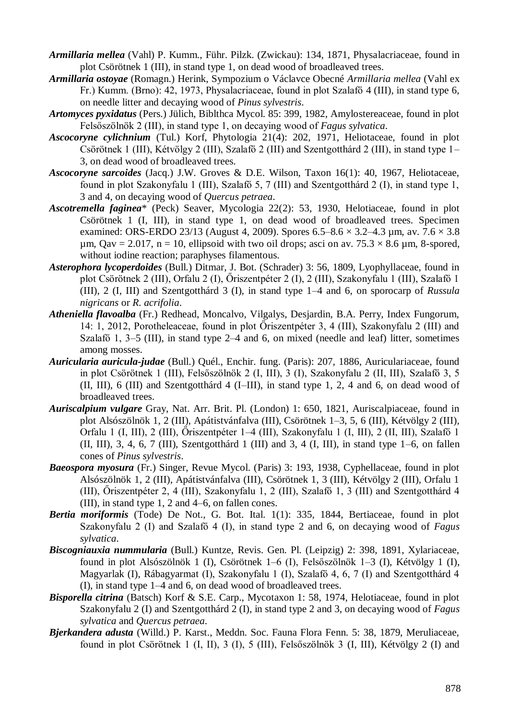- *Armillaria mellea* (Vahl) P. Kumm., Führ. Pilzk. (Zwickau): 134, 1871, Physalacriaceae, found in plot Csörötnek 1 (III), in stand type 1, on dead wood of broadleaved trees.
- *Armillaria ostoyae* (Romagn.) Herink, Sympozium o Václavce Obecné *Armillaria mellea* (Vahl ex Fr.) Kumm. (Brno): 42, 1973, Physalacriaceae, found in plot Szalafő 4 (III), in stand type 6, on needle litter and decaying wood of *Pinus sylvestris*.
- *Artomyces pyxidatus* (Pers.) Jülich, Biblthca Mycol. 85: 399, 1982, Amylostereaceae, found in plot Felsőszölnök 2 (III), in stand type 1, on decaying wood of *Fagus sylvatica*.
- *Ascocoryne cylichnium* (Tul.) Korf, Phytologia 21(4): 202, 1971, Heliotaceae, found in plot Csörötnek 1 (III), Kétvölgy 2 (III), Szalafő 2 (III) and Szentgotthárd 2 (III), in stand type 1– 3, on dead wood of broadleaved trees.
- *Ascocoryne sarcoides* (Jacq.) J.W. Groves & D.E. Wilson, Taxon 16(1): 40, 1967, Heliotaceae, found in plot Szakonyfalu 1 (III), Szalafő 5, 7 (III) and Szentgotthárd 2 (I), in stand type 1, 3 and 4, on decaying wood of *Quercus petraea*.
- *Ascotremella faginea*\* (Peck) Seaver, Mycologia 22(2): 53, 1930, Helotiaceae, found in plot Csörötnek 1 (I, III), in stand type 1, on dead wood of broadleaved trees. Specimen examined: ORS-ERDO 23/13 (August 4, 2009). Spores  $6.5-8.6 \times 3.2-4.3$  um, av.  $7.6 \times 3.8$ um,  $Qav = 2.017$ ,  $n = 10$ , ellipsoid with two oil drops; asci on av.  $75.3 \times 8.6$  um, 8-spored, without iodine reaction; paraphyses filamentous.
- *Asterophora lycoperdoides* (Bull.) Ditmar, J. Bot. (Schrader) 3: 56, 1809, Lyophyllaceae, found in plot Csörötnek 2 (III), Orfalu 2 (I), Őriszentpéter 2 (I), 2 (III), Szakonyfalu 1 (III), Szalafő 1 (III), 2 (I, III) and Szentgotthárd 3 (I), in stand type 1–4 and 6, on sporocarp of *Russula nigricans* or *R. acrifolia*.
- *Atheniella flavoalba* (Fr.) Redhead, Moncalvo, Vilgalys, Desjardin, B.A. Perry, Index Fungorum, 14: 1, 2012, Porotheleaceae, found in plot Őriszentpéter 3, 4 (III), Szakonyfalu 2 (III) and Szalafő 1, 3–5 (III), in stand type 2–4 and 6, on mixed (needle and leaf) litter, sometimes among mosses.
- *Auricularia auricula-judae* (Bull.) Quél., Enchir. fung. (Paris): 207, 1886, Auriculariaceae, found in plot Csörötnek 1 (III), Felsőszölnök 2 (I, III), 3 (I), Szakonyfalu 2 (II, III), Szalafő 3, 5 (II, III), 6 (III) and Szentgotthárd 4 (I–III), in stand type 1, 2, 4 and 6, on dead wood of broadleaved trees.
- *Auriscalpium vulgare* Gray, Nat. Arr. Brit. Pl. (London) 1: 650, 1821, Auriscalpiaceae, found in plot Alsószölnök 1, 2 (III), Apátistvánfalva (III), Csörötnek 1–3, 5, 6 (III), Kétvölgy 2 (III), Orfalu 1 (I, III), 2 (III), Őriszentpéter 1–4 (III), Szakonyfalu 1 (I, III), 2 (II, III), Szalafő 1 (II, III), 3, 4, 6, 7 (III), Szentgotthárd 1 (III) and 3, 4 (I, III), in stand type 1–6, on fallen cones of *Pinus sylvestris*.
- *Baeospora myosura* (Fr.) Singer, Revue Mycol. (Paris) 3: 193, 1938, Cyphellaceae, found in plot Alsószölnök 1, 2 (III), Apátistvánfalva (III), Csörötnek 1, 3 (III), Kétvölgy 2 (III), Orfalu 1 (III), Őriszentpéter 2, 4 (III), Szakonyfalu 1, 2 (III), Szalafő 1, 3 (III) and Szentgotthárd 4 (III), in stand type 1, 2 and 4–6, on fallen cones.
- *Bertia moriformis* (Tode) De Not., G. Bot. Ital. 1(1): 335, 1844, Bertiaceae, found in plot Szakonyfalu 2 (I) and Szalafő 4 (I), in stand type 2 and 6, on decaying wood of *Fagus sylvatica*.
- *Biscogniauxia nummularia* (Bull.) Kuntze, Revis. Gen. Pl. (Leipzig) 2: 398, 1891, Xylariaceae, found in plot Alsószölnök 1 (I), Csörötnek 1–6 (I), Felsőszölnök 1–3 (I), Kétvölgy 1 (I), Magyarlak (I), Rábagyarmat (I), Szakonyfalu 1 (I), Szalafő 4, 6, 7 (I) and Szentgotthárd 4 (I), in stand type 1–4 and 6, on dead wood of broadleaved trees.
- *Bisporella citrina* (Batsch) Korf & S.E. Carp., Mycotaxon 1: 58, 1974, Helotiaceae, found in plot Szakonyfalu 2 (I) and Szentgotthárd 2 (I), in stand type 2 and 3, on decaying wood of *Fagus sylvatica* and *Quercus petraea*.
- *Bjerkandera adusta* (Willd.) P. Karst., Meddn. Soc. Fauna Flora Fenn. 5: 38, 1879, Meruliaceae, found in plot Csörötnek 1 (I, II), 3 (I), 5 (III), Felsőszölnök 3 (I, III), Kétvölgy 2 (I) and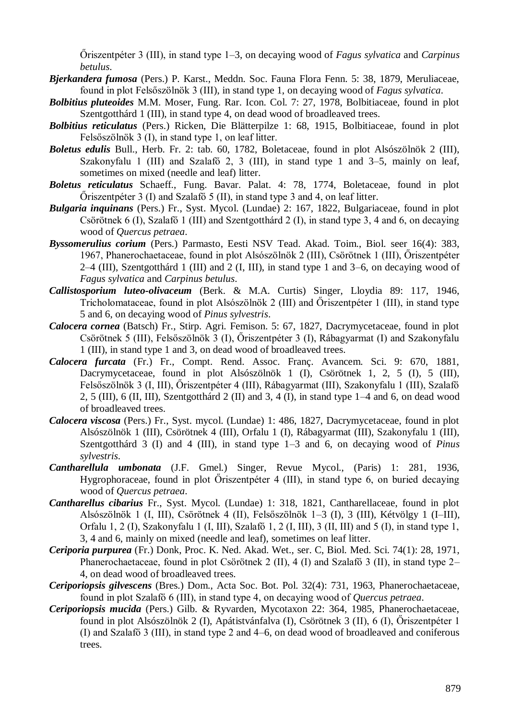Őriszentpéter 3 (III), in stand type 1–3, on decaying wood of *Fagus sylvatica* and *Carpinus betulus*.

- *Bjerkandera fumosa* (Pers.) P. Karst., Meddn. Soc. Fauna Flora Fenn. 5: 38, 1879, Meruliaceae, found in plot Felsőszölnök 3 (III), in stand type 1, on decaying wood of *Fagus sylvatica*.
- *Bolbitius pluteoides* M.M. Moser, Fung. Rar. Icon. Col. 7: 27, 1978, Bolbitiaceae, found in plot Szentgotthárd 1 (III), in stand type 4, on dead wood of broadleaved trees.
- *Bolbitius reticulatus* (Pers.) Ricken, Die Blätterpilze 1: 68, 1915, Bolbitiaceae, found in plot Felsőszölnök 3 (I), in stand type 1, on leaf litter.
- *Boletus edulis* Bull., Herb. Fr. 2: tab. 60, 1782, Boletaceae, found in plot Alsószölnök 2 (III), Szakonyfalu 1 (III) and Szalafő 2, 3 (III), in stand type 1 and 3–5, mainly on leaf, sometimes on mixed (needle and leaf) litter.
- *Boletus reticulatus* Schaeff., Fung. Bavar. Palat. 4: 78, 1774, Boletaceae, found in plot Őriszentpéter 3 (I) and Szalafő 5 (II), in stand type 3 and 4, on leaf litter.
- *Bulgaria inquinans* (Pers.) Fr., Syst. Mycol. (Lundae) 2: 167, 1822, Bulgariaceae, found in plot Csörötnek 6 (I), Szalafő 1 (III) and Szentgotthárd 2 (I), in stand type 3, 4 and 6, on decaying wood of *Quercus petraea*.
- *Byssomerulius corium* (Pers.) Parmasto, Eesti NSV Tead. Akad. Toim., Biol. seer 16(4): 383, 1967, Phanerochaetaceae, found in plot Alsószölnök 2 (III), Csörötnek 1 (III), Őriszentpéter 2–4 (III), Szentgotthárd 1 (III) and 2 (I, III), in stand type 1 and 3–6, on decaying wood of *Fagus sylvatica* and *Carpinus betulus*.
- *Callistosporium luteo-olivaceum* (Berk. & M.A. Curtis) Singer, Lloydia 89: 117, 1946, Tricholomataceae, found in plot Alsószölnök 2 (III) and Őriszentpéter 1 (III), in stand type 5 and 6, on decaying wood of *Pinus sylvestris*.
- *Calocera cornea* (Batsch) Fr., Stirp. Agri. Femison. 5: 67, 1827, Dacrymycetaceae, found in plot Csörötnek 5 (III), Felsőszölnök 3 (I), Őriszentpéter 3 (I), Rábagyarmat (I) and Szakonyfalu 1 (III), in stand type 1 and 3, on dead wood of broadleaved trees.
- *Calocera furcata* (Fr.) Fr., Compt. Rend. Assoc. Franç. Avancem. Sci. 9: 670, 1881, Dacrymycetaceae, found in plot Alsószölnök 1 (I), Csörötnek 1, 2, 5 (I), 5 (III), Felsőszölnök 3 (I, III), Őriszentpéter 4 (III), Rábagyarmat (III), Szakonyfalu 1 (III), Szalafő 2, 5 (III), 6 (II, III), Szentgotthárd 2 (II) and 3, 4 (I), in stand type 1–4 and 6, on dead wood of broadleaved trees.
- *Calocera viscosa* (Pers.) Fr., Syst. mycol. (Lundae) 1: 486, 1827, Dacrymycetaceae, found in plot Alsószölnök 1 (III), Csörötnek 4 (III), Orfalu 1 (I), Rábagyarmat (III), Szakonyfalu 1 (III), Szentgotthárd 3 (I) and 4 (III), in stand type 1–3 and 6, on decaying wood of *Pinus sylvestris*.
- *Cantharellula umbonata* (J.F. Gmel.) Singer, Revue Mycol., (Paris) 1: 281, 1936, Hygrophoraceae, found in plot Őriszentpéter 4 (III), in stand type 6, on buried decaying wood of *Quercus petraea*.
- *Cantharellus cibarius* Fr., Syst. Mycol. (Lundae) 1: 318, 1821, Cantharellaceae, found in plot Alsószölnök 1 (I, III), Csörötnek 4 (II), Felsőszölnök 1–3 (I), 3 (III), Kétvölgy 1 (I–III), Orfalu 1, 2 (I), Szakonyfalu 1 (I, III), Szalafő 1, 2 (I, III), 3 (II, III) and 5 (I), in stand type 1, 3, 4 and 6, mainly on mixed (needle and leaf), sometimes on leaf litter.
- *Ceriporia purpurea* (Fr.) Donk, Proc. K. Ned. Akad. Wet., ser. C, Biol. Med. Sci. 74(1): 28, 1971, Phanerochaetaceae, found in plot Csörötnek 2 (II), 4 (I) and Szalafő 3 (II), in stand type 2– 4, on dead wood of broadleaved trees.
- *Ceriporiopsis gilvescens* (Bres.) Dom., Acta Soc. Bot. Pol. 32(4): 731, 1963, Phanerochaetaceae, found in plot Szalafő 6 (III), in stand type 4, on decaying wood of *Quercus petraea*.
- *Ceriporiopsis mucida* (Pers.) Gilb. & Ryvarden, Mycotaxon 22: 364, 1985, Phanerochaetaceae, found in plot Alsószölnök 2 (I), Apátistvánfalva (I), Csörötnek 3 (II), 6 (I), Őriszentpéter 1 (I) and Szalafő 3 (III), in stand type 2 and 4–6, on dead wood of broadleaved and coniferous trees.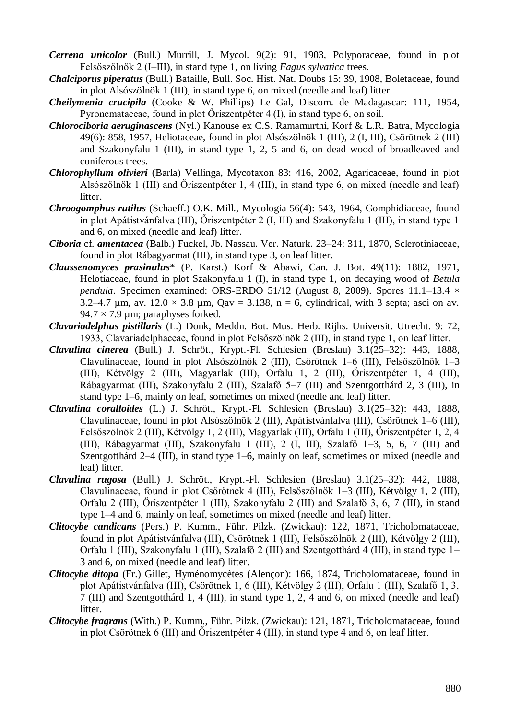- *Cerrena unicolor* (Bull.) Murrill, J. Mycol. 9(2): 91, 1903, Polyporaceae, found in plot Felsőszölnök 2 (I–III), in stand type 1, on living *Fagus sylvatica* trees.
- *Chalciporus piperatus* (Bull.) Bataille, Bull. Soc. Hist. Nat. Doubs 15: 39, 1908, Boletaceae, found in plot Alsószölnök 1 (III), in stand type 6, on mixed (needle and leaf) litter.
- *Cheilymenia crucipila* (Cooke & W. Phillips) Le Gal, Discom. de Madagascar: 111, 1954, Pyronemataceae, found in plot Őriszentpéter 4 (I), in stand type 6, on soil.
- *Chlorociboria aeruginascens* (Nyl.) Kanouse ex C.S. Ramamurthi, Korf & L.R. Batra, Mycologia 49(6): 858, 1957, Heliotaceae, found in plot Alsószölnök 1 (III), 2 (I, III), Csörötnek 2 (III) and Szakonyfalu 1 (III), in stand type 1, 2, 5 and 6, on dead wood of broadleaved and coniferous trees.
- *Chlorophyllum olivieri* (Barla) Vellinga, Mycotaxon 83: 416, 2002, Agaricaceae, found in plot Alsószölnök 1 (III) and Őriszentpéter 1, 4 (III), in stand type 6, on mixed (needle and leaf) litter.
- *Chroogomphus rutilus* (Schaeff.) O.K. Mill., Mycologia 56(4): 543, 1964, Gomphidiaceae, found in plot Apátistvánfalva (III), Őriszentpéter 2 (I, III) and Szakonyfalu 1 (III), in stand type 1 and 6, on mixed (needle and leaf) litter.
- *Ciboria* cf. *amentacea* (Balb.) Fuckel, Jb. Nassau. Ver. Naturk. 23–24: 311, 1870, Sclerotiniaceae, found in plot Rábagyarmat (III), in stand type 3, on leaf litter.
- *Claussenomyces prasinulus*\* (P. Karst.) Korf & Abawi, Can. J. Bot. 49(11): 1882, 1971, Helotiaceae, found in plot Szakonyfalu 1 (I), in stand type 1, on decaying wood of *Betula pendula*. Specimen examined: ORS-ERDO 51/12 (August 8, 2009). Spores 11.1–13.4  $\times$ 3.2–4.7  $\mu$ m, av. 12.0  $\times$  3.8  $\mu$ m, Qav = 3.138, n = 6, cylindrical, with 3 septa; asci on av.  $94.7 \times 7.9$  um; paraphyses forked.
- *Clavariadelphus pistillaris* (L.) Donk, Meddn. Bot. Mus. Herb. Rijhs. Universit. Utrecht. 9: 72, 1933, Clavariadelphaceae, found in plot Felsőszölnök 2 (III), in stand type 1, on leaf litter.
- *Clavulina cinerea* (Bull.) J. Schröt., Krypt.-Fl. Schlesien (Breslau) 3.1(25–32): 443, 1888, Clavulinaceae, found in plot Alsószölnök 2 (III), Csörötnek 1–6 (III), Felsőszölnök 1–3 (III), Kétvölgy 2 (III), Magyarlak (III), Orfalu 1, 2 (III), Őriszentpéter 1, 4 (III), Rábagyarmat (III), Szakonyfalu 2 (III), Szalafő 5–7 (III) and Szentgotthárd 2, 3 (III), in stand type 1–6, mainly on leaf, sometimes on mixed (needle and leaf) litter.
- *Clavulina coralloides* (L.) J. Schröt., Krypt.-Fl. Schlesien (Breslau) 3.1(25–32): 443, 1888, Clavulinaceae, found in plot Alsószölnök 2 (III), Apátistvánfalva (III), Csörötnek 1–6 (III), Felsőszölnök 2 (III), Kétvölgy 1, 2 (III), Magyarlak (III), Orfalu 1 (III), Őriszentpéter 1, 2, 4 (III), Rábagyarmat (III), Szakonyfalu 1 (III), 2 (I, III), Szalafő 1–3, 5, 6, 7 (III) and Szentgotthárd 2–4 (III), in stand type 1–6, mainly on leaf, sometimes on mixed (needle and leaf) litter.
- *Clavulina rugosa* (Bull.) J. Schröt., Krypt.-Fl. Schlesien (Breslau) 3.1(25–32): 442, 1888, Clavulinaceae, found in plot Csörötnek 4 (III), Felsőszölnök 1–3 (III), Kétvölgy 1, 2 (III), Orfalu 2 (III), Őriszentpéter 1 (III), Szakonyfalu 2 (III) and Szalafő 3, 6, 7 (III), in stand type 1–4 and 6, mainly on leaf, sometimes on mixed (needle and leaf) litter.
- *Clitocybe candicans* (Pers.) P. Kumm., Führ. Pilzk. (Zwickau): 122, 1871, Tricholomataceae, found in plot Apátistvánfalva (III), Csörötnek 1 (III), Felsőszölnök 2 (III), Kétvölgy 2 (III), Orfalu 1 (III), Szakonyfalu 1 (III), Szalafő 2 (III) and Szentgotthárd 4 (III), in stand type 1– 3 and 6, on mixed (needle and leaf) litter.
- *Clitocybe ditopa* (Fr.) Gillet, Hyménomycètes (Alençon): 166, 1874, Tricholomataceae, found in plot Apátistvánfalva (III), Csörötnek 1, 6 (III), Kétvölgy 2 (III), Orfalu 1 (III), Szalafő 1, 3, 7 (III) and Szentgotthárd 1, 4 (III), in stand type 1, 2, 4 and 6, on mixed (needle and leaf) litter.
- *Clitocybe fragrans* (With.) P. Kumm., Führ. Pilzk. (Zwickau): 121, 1871, Tricholomataceae, found in plot Csörötnek 6 (III) and Őriszentpéter 4 (III), in stand type 4 and 6, on leaf litter.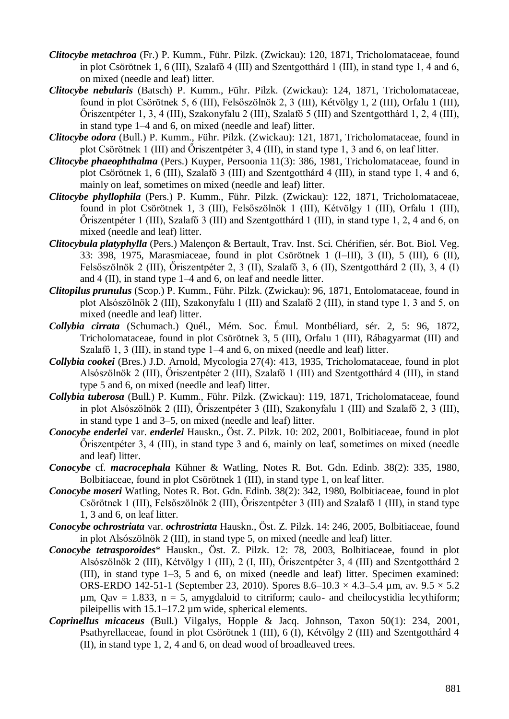- *Clitocybe metachroa* (Fr.) P. Kumm., Führ. Pilzk. (Zwickau): 120, 1871, Tricholomataceae, found in plot Csörötnek 1, 6 (III), Szalafő 4 (III) and Szentgotthárd 1 (III), in stand type 1, 4 and 6, on mixed (needle and leaf) litter.
- *Clitocybe nebularis* (Batsch) P. Kumm., Führ. Pilzk. (Zwickau): 124, 1871, Tricholomataceae, found in plot Csörötnek 5, 6 (III), Felsőszölnök 2, 3 (III), Kétvölgy 1, 2 (III), Orfalu 1 (III), Őriszentpéter 1, 3, 4 (III), Szakonyfalu 2 (III), Szalafő 5 (III) and Szentgotthárd 1, 2, 4 (III), in stand type 1–4 and 6, on mixed (needle and leaf) litter.
- *Clitocybe odora* (Bull.) P. Kumm., Führ. Pilzk. (Zwickau): 121, 1871, Tricholomataceae, found in plot Csörötnek 1 (III) and Őriszentpéter 3, 4 (III), in stand type 1, 3 and 6, on leaf litter.
- *Clitocybe phaeophthalma* (Pers.) Kuyper, Persoonia 11(3): 386, 1981, Tricholomataceae, found in plot Csörötnek 1, 6 (III), Szalafő 3 (III) and Szentgotthárd 4 (III), in stand type 1, 4 and 6, mainly on leaf, sometimes on mixed (needle and leaf) litter.
- *Clitocybe phyllophila* (Pers.) P. Kumm., Führ. Pilzk. (Zwickau): 122, 1871, Tricholomataceae, found in plot Csörötnek 1, 3 (III), Felsőszölnök 1 (III), Kétvölgy 1 (III), Orfalu 1 (III), Őriszentpéter 1 (III), Szalafő 3 (III) and Szentgotthárd 1 (III), in stand type 1, 2, 4 and 6, on mixed (needle and leaf) litter.
- *Clitocybula platyphylla* (Pers.) Malençon & Bertault, Trav. Inst. Sci. Chérifien, sér. Bot. Biol. Veg. 33: 398, 1975, Marasmiaceae, found in plot Csörötnek 1 (I–III), 3 (II), 5 (III), 6 (II), Felsőszölnök 2 (III), Őriszentpéter 2, 3 (II), Szalafő 3, 6 (II), Szentgotthárd 2 (II), 3, 4 (I) and 4 (II), in stand type 1–4 and 6, on leaf and needle litter.
- *Clitopilus prunulus* (Scop.) P. Kumm., Führ. Pilzk. (Zwickau): 96, 1871, Entolomataceae, found in plot Alsószölnök 2 (III), Szakonyfalu 1 (III) and Szalafő 2 (III), in stand type 1, 3 and 5, on mixed (needle and leaf) litter.
- *Collybia cirrata* (Schumach.) Quél., Mém. Soc. Émul. Montbéliard, sér. 2, 5: 96, 1872, Tricholomataceae, found in plot Csörötnek 3, 5 (III), Orfalu 1 (III), Rábagyarmat (III) and Szalafő 1, 3 (III), in stand type 1–4 and 6, on mixed (needle and leaf) litter.
- *Collybia cookei* (Bres.) J.D. Arnold, Mycologia 27(4): 413, 1935, Tricholomataceae, found in plot Alsószölnök 2 (III), Őriszentpéter 2 (III), Szalafő 1 (III) and Szentgotthárd 4 (III), in stand type 5 and 6, on mixed (needle and leaf) litter.
- *Collybia tuberosa* (Bull.) P. Kumm., Führ. Pilzk. (Zwickau): 119, 1871, Tricholomataceae, found in plot Alsószölnök 2 (III), Őriszentpéter 3 (III), Szakonyfalu 1 (III) and Szalafő 2, 3 (III), in stand type 1 and 3–5, on mixed (needle and leaf) litter.
- *Conocybe enderlei* var. *enderlei* Hauskn., Öst. Z. Pilzk. 10: 202, 2001, Bolbitiaceae, found in plot Őriszentpéter 3, 4 (III), in stand type 3 and 6, mainly on leaf, sometimes on mixed (needle and leaf) litter.
- *Conocybe* cf. *macrocephala* Kühner & Watling, Notes R. Bot. Gdn. Edinb. 38(2): 335, 1980, Bolbitiaceae, found in plot Csörötnek 1 (III), in stand type 1, on leaf litter.
- *Conocybe moseri* Watling, Notes R. Bot. Gdn. Edinb. 38(2): 342, 1980, Bolbitiaceae, found in plot Csörötnek 1 (III), Felsőszölnök 2 (III), Őriszentpéter 3 (III) and Szalafő 1 (III), in stand type 1, 3 and 6, on leaf litter.
- *Conocybe ochrostriata* var. *ochrostriata* Hauskn., Öst. Z. Pilzk. 14: 246, 2005, Bolbitiaceae, found in plot Alsószölnök 2 (III), in stand type 5, on mixed (needle and leaf) litter.
- *Conocybe tetrasporoides*\* Hauskn., Öst. Z. Pilzk. 12: 78, 2003, Bolbitiaceae, found in plot Alsószölnök 2 (III), Kétvölgy 1 (III), 2 (I, III), Őriszentpéter 3, 4 (III) and Szentgotthárd 2 (III), in stand type 1–3, 5 and 6, on mixed (needle and leaf) litter. Specimen examined: ORS-ERDO 142-51-1 (September 23, 2010). Spores 8.6–10.3  $\times$  4.3–5.4 µm, av. 9.5  $\times$  5.2  $\mu$ m, Qav = 1.833, n = 5, amygdaloid to citriform; caulo- and cheilocystidia lecythiform; pileipellis with 15.1–17.2 µm wide, spherical elements.
- *Coprinellus micaceus* (Bull.) Vilgalys, Hopple & Jacq. Johnson, Taxon 50(1): 234, 2001, Psathyrellaceae, found in plot Csörötnek 1 (III), 6 (I), Kétvölgy 2 (III) and Szentgotthárd 4 (II), in stand type 1, 2, 4 and 6, on dead wood of broadleaved trees.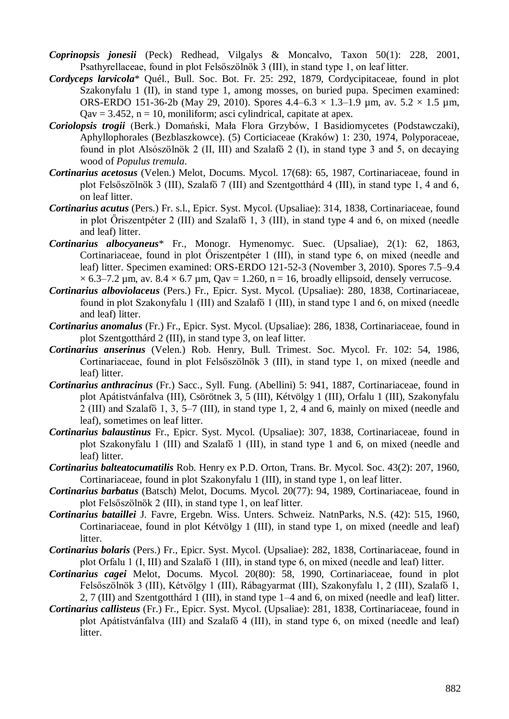- *Coprinopsis jonesii* (Peck) Redhead, Vilgalys & Moncalvo, Taxon 50(1): 228, 2001, Psathyrellaceae, found in plot Felsőszölnök 3 (III), in stand type 1, on leaf litter.
- *Cordyceps larvicola*\* Quél., Bull. Soc. Bot. Fr. 25: 292, 1879, Cordycipitaceae, found in plot Szakonyfalu 1 (II), in stand type 1, among mosses, on buried pupa. Specimen examined: ORS-ERDO 151-36-2b (May 29, 2010). Spores  $4.4-6.3 \times 1.3-1.9$  µm, av.  $5.2 \times 1.5$  µm,  $Q$ av = 3.452, n = 10, moniliform; asci cylindrical, capitate at apex.
- *Coriolopsis trogii* (Berk.) Domański, Mała Flora Grzybów, I Basidiomycetes (Podstawczaki), Aphyllophorales (Bezblaszkowce). (5) Corticiaceae (Kraków) 1: 230, 1974, Polyporaceae, found in plot Alsószölnök 2 (II, III) and Szalafő 2 (I), in stand type 3 and 5, on decaying wood of *Populus tremula*.
- *Cortinarius acetosus* (Velen.) Melot, Docums. Mycol. 17(68): 65, 1987, Cortinariaceae, found in plot Felsőszölnök 3 (III), Szalafő 7 (III) and Szentgotthárd 4 (III), in stand type 1, 4 and 6, on leaf litter.
- *Cortinarius acutus* (Pers.) Fr. s.l., Epicr. Syst. Mycol. (Upsaliae): 314, 1838, Cortinariaceae, found in plot Őriszentpéter 2 (III) and Szalafő 1, 3 (III), in stand type 4 and 6, on mixed (needle and leaf) litter.
- *Cortinarius albocyaneus*\* Fr., Monogr. Hymenomyc. Suec. (Upsaliae), 2(1): 62, 1863, Cortinariaceae, found in plot Őriszentpéter 1 (III), in stand type 6, on mixed (needle and leaf) litter. Specimen examined: ORS-ERDO 121-52-3 (November 3, 2010). Spores 7.5–9.4  $\times$  6.3–7.2 µm, av. 8.4  $\times$  6.7 µm, Qav = 1.260, n = 16, broadly ellipsoid, densely verrucose.
- *Cortinarius alboviolaceus* (Pers.) Fr., Epicr. Syst. Mycol. (Upsaliae): 280, 1838, Cortinariaceae, found in plot Szakonyfalu 1 (III) and Szalafő 1 (III), in stand type 1 and 6, on mixed (needle and leaf) litter.
- *Cortinarius anomalus* (Fr.) Fr., Epicr. Syst. Mycol. (Upsaliae): 286, 1838, Cortinariaceae, found in plot Szentgotthárd 2 (III), in stand type 3, on leaf litter.
- *Cortinarius anserinus* (Velen.) Rob. Henry, Bull. Trimest. Soc. Mycol. Fr. 102: 54, 1986, Cortinariaceae, found in plot Felsőszölnök 3 (III), in stand type 1, on mixed (needle and leaf) litter.
- *Cortinarius anthracinus* (Fr.) Sacc., Syll. Fung. (Abellini) 5: 941, 1887, Cortinariaceae, found in plot Apátistvánfalva (III), Csörötnek 3, 5 (III), Kétvölgy 1 (III), Orfalu 1 (III), Szakonyfalu 2 (III) and Szalafő 1, 3, 5–7 (III), in stand type 1, 2, 4 and 6, mainly on mixed (needle and leaf), sometimes on leaf litter.
- *Cortinarius balaustinus* Fr., Epicr. Syst. Mycol. (Upsaliae): 307, 1838, Cortinariaceae, found in plot Szakonyfalu 1 (III) and Szalafő 1 (III), in stand type 1 and 6, on mixed (needle and leaf) litter.
- *Cortinarius balteatocumatilis* Rob. Henry ex P.D. Orton, Trans. Br. Mycol. Soc. 43(2): 207, 1960, Cortinariaceae, found in plot Szakonyfalu 1 (III), in stand type 1, on leaf litter.
- *Cortinarius barbatus* (Batsch) Melot, Docums. Mycol. 20(77): 94, 1989, Cortinariaceae, found in plot Felsőszölnök 2 (III), in stand type 1, on leaf litter.
- *Cortinarius bataillei* J. Favre, Ergebn. Wiss. Unters. Schweiz. NatnParks, N.S. (42): 515, 1960, Cortinariaceae, found in plot Kétvölgy 1 (III), in stand type 1, on mixed (needle and leaf) litter.
- *Cortinarius bolaris* (Pers.) Fr., Epicr. Syst. Mycol. (Upsaliae): 282, 1838, Cortinariaceae, found in plot Orfalu 1 (I, III) and Szalafő 1 (III), in stand type 6, on mixed (needle and leaf) litter.
- *Cortinarius cagei* Melot, Docums. Mycol. 20(80): 58, 1990, Cortinariaceae, found in plot Felsőszölnök 3 (III), Kétvölgy 1 (III), Rábagyarmat (III), Szakonyfalu 1, 2 (III), Szalafő 1, 2, 7 (III) and Szentgotthárd 1 (III), in stand type 1–4 and 6, on mixed (needle and leaf) litter.
- *Cortinarius callisteus* (Fr.) Fr., Epicr. Syst. Mycol. (Upsaliae): 281, 1838, Cortinariaceae, found in plot Apátistvánfalva (III) and Szalafő 4 (III), in stand type 6, on mixed (needle and leaf) litter.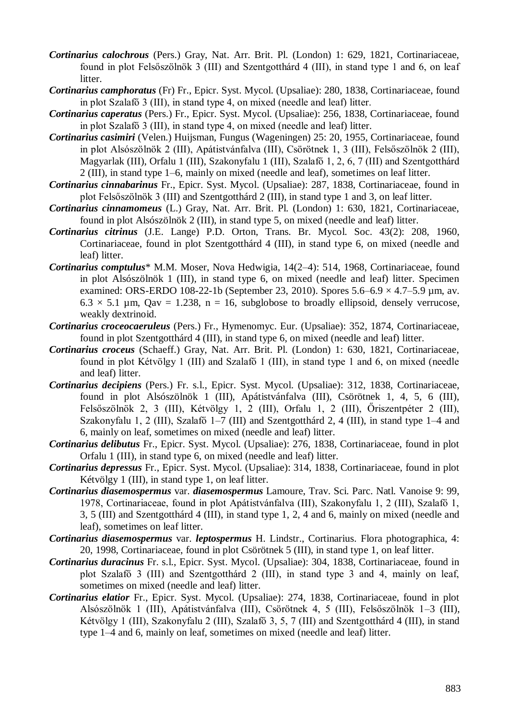- *Cortinarius calochrous* (Pers.) Gray, Nat. Arr. Brit. Pl. (London) 1: 629, 1821, Cortinariaceae, found in plot Felsőszölnök 3 (III) and Szentgotthárd 4 (III), in stand type 1 and 6, on leaf litter.
- *Cortinarius camphoratus* (Fr) Fr., Epicr. Syst. Mycol. (Upsaliae): 280, 1838, Cortinariaceae, found in plot Szalafő 3 (III), in stand type 4, on mixed (needle and leaf) litter.
- *Cortinarius caperatus* (Pers.) Fr., Epicr. Syst. Mycol. (Upsaliae): 256, 1838, Cortinariaceae, found in plot Szalafő 3 (III), in stand type 4, on mixed (needle and leaf) litter.
- *Cortinarius casimiri* (Velen.) Huijsman, Fungus (Wageningen) 25: 20, 1955, Cortinariaceae, found in plot Alsószölnök 2 (III), Apátistvánfalva (III), Csörötnek 1, 3 (III), Felsőszölnök 2 (III), Magyarlak (III), Orfalu 1 (III), Szakonyfalu 1 (III), Szalafő 1, 2, 6, 7 (III) and Szentgotthárd 2 (III), in stand type 1–6, mainly on mixed (needle and leaf), sometimes on leaf litter.
- *Cortinarius cinnabarinus* Fr., Epicr. Syst. Mycol. (Upsaliae): 287, 1838, Cortinariaceae, found in plot Felsőszölnök 3 (III) and Szentgotthárd 2 (III), in stand type 1 and 3, on leaf litter.
- *Cortinarius cinnamomeus* (L.) Gray, Nat. Arr. Brit. Pl. (London) 1: 630, 1821, Cortinariaceae, found in plot Alsószölnök 2 (III), in stand type 5, on mixed (needle and leaf) litter.
- *Cortinarius citrinus* (J.E. Lange) P.D. Orton, Trans. Br. Mycol. Soc. 43(2): 208, 1960, Cortinariaceae, found in plot Szentgotthárd 4 (III), in stand type 6, on mixed (needle and leaf) litter.
- *Cortinarius comptulus*\* M.M. Moser, Nova Hedwigia, 14(2–4): 514, 1968, Cortinariaceae, found in plot Alsószölnök 1 (III), in stand type 6, on mixed (needle and leaf) litter. Specimen examined: ORS-ERDO 108-22-1b (September 23, 2010). Spores  $5.6-6.9 \times 4.7-5.9$  µm, av.  $6.3 \times 5.1$  µm, Qav = 1.238, n = 16, subglobose to broadly ellipsoid, densely verrucose, weakly dextrinoid.
- *Cortinarius croceocaeruleus* (Pers.) Fr., Hymenomyc. Eur. (Upsaliae): 352, 1874, Cortinariaceae, found in plot Szentgotthárd 4 (III), in stand type 6, on mixed (needle and leaf) litter.
- *Cortinarius croceus* (Schaeff.) Gray, Nat. Arr. Brit. Pl. (London) 1: 630, 1821, Cortinariaceae, found in plot Kétvölgy 1 (III) and Szalafő 1 (III), in stand type 1 and 6, on mixed (needle and leaf) litter.
- *Cortinarius decipiens* (Pers.) Fr. s.l., Epicr. Syst. Mycol. (Upsaliae): 312, 1838, Cortinariaceae, found in plot Alsószölnök 1 (III), Apátistvánfalva (III), Csörötnek 1, 4, 5, 6 (III), Felsőszölnök 2, 3 (III), Kétvölgy 1, 2 (III), Orfalu 1, 2 (III), Őriszentpéter 2 (III), Szakonyfalu 1, 2 (III), Szalafő 1–7 (III) and Szentgotthárd 2, 4 (III), in stand type 1–4 and 6, mainly on leaf, sometimes on mixed (needle and leaf) litter.
- *Cortinarius delibutus* Fr., Epicr. Syst. Mycol. (Upsaliae): 276, 1838, Cortinariaceae, found in plot Orfalu 1 (III), in stand type 6, on mixed (needle and leaf) litter.
- *Cortinarius depressus* Fr., Epicr. Syst. Mycol. (Upsaliae): 314, 1838, Cortinariaceae, found in plot Kétvölgy 1 (III), in stand type 1, on leaf litter.
- *Cortinarius diasemospermus* var. *diasemospermus* Lamoure, Trav. Sci. Parc. Natl. Vanoise 9: 99, 1978, Cortinariaceae, found in plot Apátistvánfalva (III), Szakonyfalu 1, 2 (III), Szalafő 1, 3, 5 (III) and Szentgotthárd 4 (III), in stand type 1, 2, 4 and 6, mainly on mixed (needle and leaf), sometimes on leaf litter.
- *Cortinarius diasemospermus* var. *leptospermus* H. Lindstr., Cortinarius. Flora photographica, 4: 20, 1998, Cortinariaceae, found in plot Csörötnek 5 (III), in stand type 1, on leaf litter.
- *Cortinarius duracinus* Fr. s.l., Epicr. Syst. Mycol. (Upsaliae): 304, 1838, Cortinariaceae, found in plot Szalafő 3 (III) and Szentgotthárd 2 (III), in stand type 3 and 4, mainly on leaf, sometimes on mixed (needle and leaf) litter.
- *Cortinarius elatior* Fr., Epicr. Syst. Mycol. (Upsaliae): 274, 1838, Cortinariaceae, found in plot Alsószölnök 1 (III), Apátistvánfalva (III), Csörötnek 4, 5 (III), Felsőszölnök 1–3 (III), Kétvölgy 1 (III), Szakonyfalu 2 (III), Szalafő 3, 5, 7 (III) and Szentgotthárd 4 (III), in stand type 1–4 and 6, mainly on leaf, sometimes on mixed (needle and leaf) litter.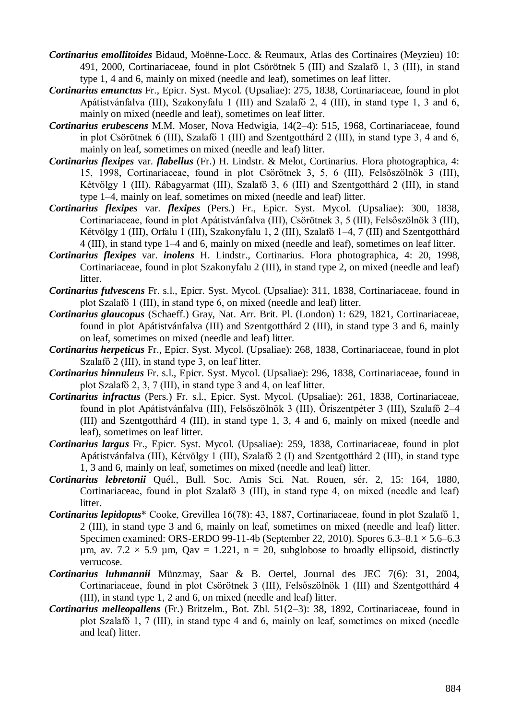- *Cortinarius emollitoides* Bidaud, Moënne-Locc. & Reumaux, Atlas des Cortinaires (Meyzieu) 10: 491, 2000, Cortinariaceae, found in plot Csörötnek 5 (III) and Szalafő 1, 3 (III), in stand type 1, 4 and 6, mainly on mixed (needle and leaf), sometimes on leaf litter.
- *Cortinarius emunctus* Fr., Epicr. Syst. Mycol. (Upsaliae): 275, 1838, Cortinariaceae, found in plot Apátistvánfalva (III), Szakonyfalu 1 (III) and Szalafő 2, 4 (III), in stand type 1, 3 and 6, mainly on mixed (needle and leaf), sometimes on leaf litter.
- *Cortinarius erubescens* M.M. Moser, Nova Hedwigia, 14(2–4): 515, 1968, Cortinariaceae, found in plot Csörötnek 6 (III), Szalafő 1 (III) and Szentgotthárd 2 (III), in stand type 3, 4 and 6, mainly on leaf, sometimes on mixed (needle and leaf) litter.
- *Cortinarius flexipes* var. *flabellus* (Fr.) H. Lindstr. & Melot, Cortinarius. Flora photographica, 4: 15, 1998, Cortinariaceae, found in plot Csörötnek 3, 5, 6 (III), Felsőszölnök 3 (III), Kétvölgy 1 (III), Rábagyarmat (III), Szalafő 3, 6 (III) and Szentgotthárd 2 (III), in stand type 1–4, mainly on leaf, sometimes on mixed (needle and leaf) litter.
- *Cortinarius flexipes* var. *flexipes* (Pers.) Fr., Epicr. Syst. Mycol. (Upsaliae): 300, 1838, Cortinariaceae, found in plot Apátistvánfalva (III), Csörötnek 3, 5 (III), Felsőszölnök 3 (III), Kétvölgy 1 (III), Orfalu 1 (III), Szakonyfalu 1, 2 (III), Szalafő 1–4, 7 (III) and Szentgotthárd 4 (III), in stand type 1–4 and 6, mainly on mixed (needle and leaf), sometimes on leaf litter.
- *Cortinarius flexipes* var. *inolens* H. Lindstr., Cortinarius. Flora photographica, 4: 20, 1998, Cortinariaceae, found in plot Szakonyfalu 2 (III), in stand type 2, on mixed (needle and leaf) litter.
- *Cortinarius fulvescens* Fr. s.l., Epicr. Syst. Mycol. (Upsaliae): 311, 1838, Cortinariaceae, found in plot Szalafő 1 (III), in stand type 6, on mixed (needle and leaf) litter.
- *Cortinarius glaucopus* (Schaeff.) Gray, Nat. Arr. Brit. Pl. (London) 1: 629, 1821, Cortinariaceae, found in plot Apátistvánfalva (III) and Szentgotthárd 2 (III), in stand type 3 and 6, mainly on leaf, sometimes on mixed (needle and leaf) litter.
- *Cortinarius herpeticus* Fr., Epicr. Syst. Mycol. (Upsaliae): 268, 1838, Cortinariaceae, found in plot Szalafő 2 (III), in stand type 3, on leaf litter.
- *Cortinarius hinnuleus* Fr. s.l., Epicr. Syst. Mycol. (Upsaliae): 296, 1838, Cortinariaceae, found in plot Szalafő 2, 3, 7 (III), in stand type 3 and 4, on leaf litter.
- *Cortinarius infractus* (Pers.) Fr. s.l., Epicr. Syst. Mycol. (Upsaliae): 261, 1838, Cortinariaceae, found in plot Apátistvánfalva (III), Felsőszölnök 3 (III), Őriszentpéter 3 (III), Szalafő 2–4 (III) and Szentgotthárd 4 (III), in stand type 1, 3, 4 and 6, mainly on mixed (needle and leaf), sometimes on leaf litter.
- *Cortinarius largus* Fr., Epicr. Syst. Mycol. (Upsaliae): 259, 1838, Cortinariaceae, found in plot Apátistvánfalva (III), Kétvölgy 1 (III), Szalafő 2 (I) and Szentgotthárd 2 (III), in stand type 1, 3 and 6, mainly on leaf, sometimes on mixed (needle and leaf) litter.
- *Cortinarius lebretonii* Quél., Bull. Soc. Amis Sci. Nat. Rouen, sér. 2, 15: 164, 1880, Cortinariaceae, found in plot Szalafő 3 (III), in stand type 4, on mixed (needle and leaf) litter.
- *Cortinarius lepidopus*\* Cooke, Grevillea 16(78): 43, 1887, Cortinariaceae, found in plot Szalafő 1, 2 (III), in stand type 3 and 6, mainly on leaf, sometimes on mixed (needle and leaf) litter. Specimen examined: ORS-ERDO 99-11-4b (September 22, 2010). Spores 6.3–8.1 × 5.6–6.3  $\mu$ m, av. 7.2 × 5.9  $\mu$ m, Qav = 1.221, n = 20, subglobose to broadly ellipsoid, distinctly verrucose.
- *Cortinarius luhmannii* Münzmay, Saar & B. Oertel, Journal des JEC 7(6): 31, 2004, Cortinariaceae, found in plot Csörötnek 3 (III), Felsőszölnök 1 (III) and Szentgotthárd 4 (III), in stand type 1, 2 and 6, on mixed (needle and leaf) litter.
- *Cortinarius melleopallens* (Fr.) Britzelm., Bot. Zbl. 51(2–3): 38, 1892, Cortinariaceae, found in plot Szalafő 1, 7 (III), in stand type 4 and 6, mainly on leaf, sometimes on mixed (needle and leaf) litter.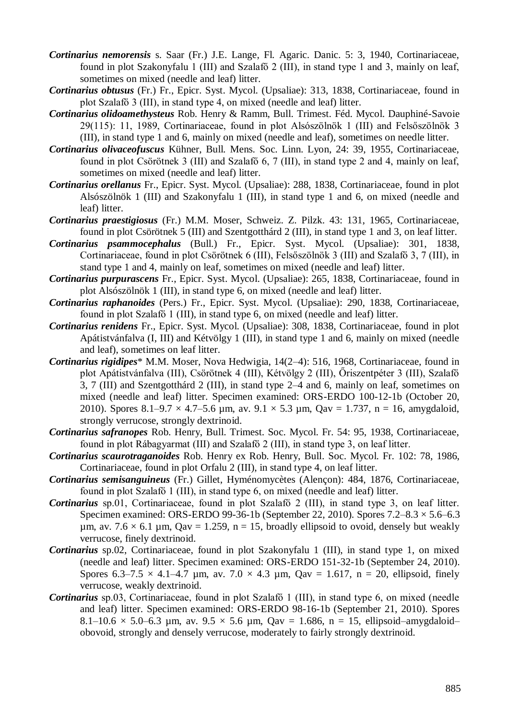- *Cortinarius nemorensis* s. Saar (Fr.) J.E. Lange, Fl. Agaric. Danic. 5: 3, 1940, Cortinariaceae, found in plot Szakonyfalu 1 (III) and Szalafő 2 (III), in stand type 1 and 3, mainly on leaf, sometimes on mixed (needle and leaf) litter.
- *Cortinarius obtusus* (Fr.) Fr., Epicr. Syst. Mycol. (Upsaliae): 313, 1838, Cortinariaceae, found in plot Szalafő 3 (III), in stand type 4, on mixed (needle and leaf) litter.
- *Cortinarius olidoamethysteus* Rob. Henry & Ramm, Bull. Trimest. Féd. Mycol. Dauphiné-Savoie 29(115): 11, 1989, Cortinariaceae, found in plot Alsószölnök 1 (III) and Felsőszölnök 3 (III), in stand type 1 and 6, mainly on mixed (needle and leaf), sometimes on needle litter.
- *Cortinarius olivaceofuscus* Kühner, Bull. Mens. Soc. Linn. Lyon, 24: 39, 1955, Cortinariaceae, found in plot Csörötnek 3 (III) and Szalafő 6, 7 (III), in stand type 2 and 4, mainly on leaf, sometimes on mixed (needle and leaf) litter.
- *Cortinarius orellanus* Fr., Epicr. Syst. Mycol. (Upsaliae): 288, 1838, Cortinariaceae, found in plot Alsószölnök 1 (III) and Szakonyfalu 1 (III), in stand type 1 and 6, on mixed (needle and leaf) litter.
- *Cortinarius praestigiosus* (Fr.) M.M. Moser, Schweiz. Z. Pilzk. 43: 131, 1965, Cortinariaceae, found in plot Csörötnek 5 (III) and Szentgotthárd 2 (III), in stand type 1 and 3, on leaf litter.
- *Cortinarius psammocephalus* (Bull.) Fr., Epicr. Syst. Mycol. (Upsaliae): 301, 1838, Cortinariaceae, found in plot Csörötnek 6 (III), Felsőszölnök 3 (III) and Szalafő 3, 7 (III), in stand type 1 and 4, mainly on leaf, sometimes on mixed (needle and leaf) litter.
- *Cortinarius purpurascens* Fr., Epicr. Syst. Mycol. (Upsaliae): 265, 1838, Cortinariaceae, found in plot Alsószölnök 1 (III), in stand type 6, on mixed (needle and leaf) litter.
- *Cortinarius raphanoides* (Pers.) Fr., Epicr. Syst. Mycol. (Upsaliae): 290, 1838, Cortinariaceae, found in plot Szalafő 1 (III), in stand type 6, on mixed (needle and leaf) litter.
- *Cortinarius renidens* Fr., Epicr. Syst. Mycol. (Upsaliae): 308, 1838, Cortinariaceae, found in plot Apátistvánfalva (I, III) and Kétvölgy 1 (III), in stand type 1 and 6, mainly on mixed (needle and leaf), sometimes on leaf litter.
- *Cortinarius rigidipes*\* M.M. Moser, Nova Hedwigia, 14(2–4): 516, 1968, Cortinariaceae, found in plot Apátistvánfalva (III), Csörötnek 4 (III), Kétvölgy 2 (III), Őriszentpéter 3 (III), Szalafő 3, 7 (III) and Szentgotthárd 2 (III), in stand type 2–4 and 6, mainly on leaf, sometimes on mixed (needle and leaf) litter. Specimen examined: ORS-ERDO 100-12-1b (October 20, 2010). Spores 8.1–9.7  $\times$  4.7–5.6 µm, av. 9.1  $\times$  5.3 µm, Qav = 1.737, n = 16, amygdaloid, strongly verrucose, strongly dextrinoid.
- *Cortinarius safranopes* Rob. Henry, Bull. Trimest. Soc. Mycol. Fr. 54: 95, 1938, Cortinariaceae, found in plot Rábagyarmat (III) and Szalafő 2 (III), in stand type 3, on leaf litter.
- *Cortinarius scaurotraganoides* Rob. Henry ex Rob. Henry, Bull. Soc. Mycol. Fr. 102: 78, 1986, Cortinariaceae, found in plot Orfalu 2 (III), in stand type 4, on leaf litter.
- *Cortinarius semisanguineus* (Fr.) Gillet, Hyménomycètes (Alençon): 484, 1876, Cortinariaceae, found in plot Szalafő 1 (III), in stand type 6, on mixed (needle and leaf) litter.
- *Cortinarius* sp.01, Cortinariaceae, found in plot Szalafő 2 (III), in stand type 3, on leaf litter. Specimen examined: ORS-ERDO 99-36-1b (September 22, 2010). Spores 7.2–8.3 × 5.6–6.3 um, av.  $7.6 \times 6.1$  um,  $Qav = 1.259$ ,  $n = 15$ , broadly ellipsoid to ovoid, densely but weakly verrucose, finely dextrinoid.
- *Cortinarius* sp.02, Cortinariaceae, found in plot Szakonyfalu 1 (III), in stand type 1, on mixed (needle and leaf) litter. Specimen examined: ORS-ERDO 151-32-1b (September 24, 2010). Spores 6.3–7.5  $\times$  4.1–4.7 µm, av. 7.0  $\times$  4.3 µm, Qav = 1.617, n = 20, ellipsoid, finely verrucose, weakly dextrinoid.
- *Cortinarius* sp.03, Cortinariaceae, found in plot Szalafő 1 (III), in stand type 6, on mixed (needle and leaf) litter. Specimen examined: ORS-ERDO 98-16-1b (September 21, 2010). Spores 8.1–10.6  $\times$  5.0–6.3 µm, av. 9.5  $\times$  5.6 µm, Qav = 1.686, n = 15, ellipsoid–amygdaloid– obovoid, strongly and densely verrucose, moderately to fairly strongly dextrinoid.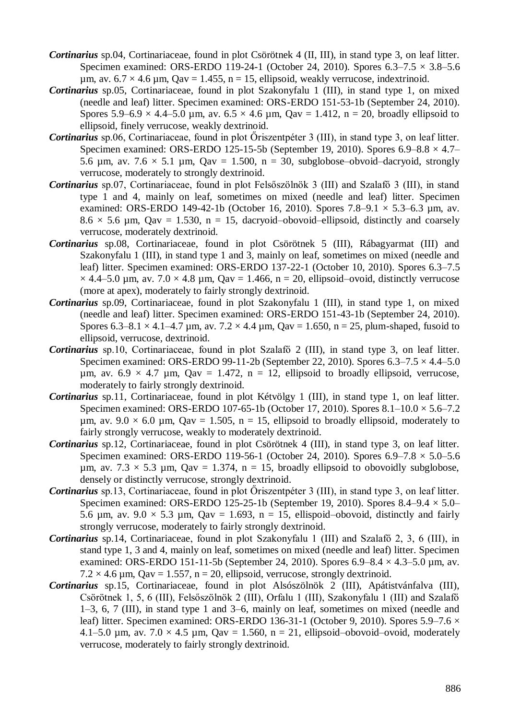- *Cortinarius* sp.04, Cortinariaceae, found in plot Csörötnek 4 (II, III), in stand type 3, on leaf litter. Specimen examined: ORS-ERDO 119-24-1 (October 24, 2010). Spores  $6.3-7.5 \times 3.8-5.6$ um, av.  $6.7 \times 4.6$  um,  $Qav = 1.455$ ,  $n = 15$ , ellipsoid, weakly verrucose, indextrinoid.
- *Cortinarius* sp.05, Cortinariaceae, found in plot Szakonyfalu 1 (III), in stand type 1, on mixed (needle and leaf) litter. Specimen examined: ORS-ERDO 151-53-1b (September 24, 2010). Spores 5.9–6.9  $\times$  4.4–5.0 µm, av. 6.5  $\times$  4.6 µm, Qav = 1.412, n = 20, broadly ellipsoid to ellipsoid, finely verrucose, weakly dextrinoid.
- *Cortinarius* sp.06, Cortinariaceae, found in plot Őriszentpéter 3 (III), in stand type 3, on leaf litter. Specimen examined: ORS-ERDO 125-15-5b (September 19, 2010). Spores  $6.9-8.8 \times 4.7-$ 5.6  $\mu$ m, av. 7.6  $\times$  5.1  $\mu$ m, Qav = 1.500, n = 30, subglobose–obvoid–dacryoid, strongly verrucose, moderately to strongly dextrinoid.
- *Cortinarius* sp.07, Cortinariaceae, found in plot Felsőszölnök 3 (III) and Szalafő 3 (III), in stand type 1 and 4, mainly on leaf, sometimes on mixed (needle and leaf) litter. Specimen examined: ORS-ERDO 149-42-1b (October 16, 2010). Spores  $7.8-9.1 \times 5.3-6.3$  µm, av.  $8.6 \times 5.6$  µm, Oav = 1.530, n = 15, dacryoid–obovoid–ellipsoid, distinctly and coarsely verrucose, moderately dextrinoid.
- *Cortinarius* sp.08, Cortinariaceae, found in plot Csörötnek 5 (III), Rábagyarmat (III) and Szakonyfalu 1 (III), in stand type 1 and 3, mainly on leaf, sometimes on mixed (needle and leaf) litter. Specimen examined: ORS-ERDO 137-22-1 (October 10, 2010). Spores 6.3–7.5  $\times$  4.4–5.0 µm, av. 7.0  $\times$  4.8 µm, Qav = 1.466, n = 20, ellipsoid–ovoid, distinctly verrucose (more at apex), moderately to fairly strongly dextrinoid.
- *Cortinarius* sp.09, Cortinariaceae, found in plot Szakonyfalu 1 (III), in stand type 1, on mixed (needle and leaf) litter. Specimen examined: ORS-ERDO 151-43-1b (September 24, 2010). Spores 6.3–8.1  $\times$  4.1–4.7 µm, av. 7.2  $\times$  4.4 µm, Qav = 1.650, n = 25, plum-shaped, fusoid to ellipsoid, verrucose, dextrinoid.
- *Cortinarius* sp.10, Cortinariaceae, found in plot Szalafő 2 (III), in stand type 3, on leaf litter. Specimen examined: ORS-ERDO 99-11-2b (September 22, 2010). Spores  $6.3-7.5 \times 4.4-5.0$  $\mu$ m, av. 6.9 × 4.7  $\mu$ m, Qav = 1.472, n = 12, ellipsoid to broadly ellipsoid, verrucose, moderately to fairly strongly dextrinoid.
- *Cortinarius* sp.11, Cortinariaceae, found in plot Kétvölgy 1 (III), in stand type 1, on leaf litter. Specimen examined: ORS-ERDO 107-65-1b (October 17, 2010). Spores 8.1–10.0 × 5.6–7.2  $\mu$ m, av. 9.0 × 6.0  $\mu$ m, Qav = 1.505, n = 15, ellipsoid to broadly ellipsoid, moderately to fairly strongly verrucose, weakly to moderately dextrinoid.
- *Cortinarius* sp.12, Cortinariaceae, found in plot Csörötnek 4 (III), in stand type 3, on leaf litter. Specimen examined: ORS-ERDO 119-56-1 (October 24, 2010). Spores  $6.9-7.8 \times 5.0-5.6$ µm, av.  $7.3 \times 5.3$  µm, Qav = 1.374, n = 15, broadly ellipsoid to obovoidly subglobose, densely or distinctly verrucose, strongly dextrinoid.
- *Cortinarius* sp.13, Cortinariaceae, found in plot Őriszentpéter 3 (III), in stand type 3, on leaf litter. Specimen examined: ORS-ERDO 125-25-1b (September 19, 2010). Spores  $8.4-9.4 \times 5.0-$ 5.6  $\mu$ m, av. 9.0  $\times$  5.3  $\mu$ m, Qav = 1.693, n = 15, ellispoid–obovoid, distinctly and fairly strongly verrucose, moderately to fairly strongly dextrinoid.
- *Cortinarius* sp.14, Cortinariaceae, found in plot Szakonyfalu 1 (III) and Szalafő 2, 3, 6 (III), in stand type 1, 3 and 4, mainly on leaf, sometimes on mixed (needle and leaf) litter. Specimen examined: ORS-ERDO 151-11-5b (September 24, 2010). Spores  $6.9-8.4 \times 4.3-5.0 \mu m$ , av.  $7.2 \times 4.6 \mu m$ , Qav = 1.557, n = 20, ellipsoid, verrucose, strongly dextrinoid.
- *Cortinarius* sp.15, Cortinariaceae, found in plot Alsószölnök 2 (III), Apátistvánfalva (III), Csörötnek 1, 5, 6 (III), Felsőszölnök 2 (III), Orfalu 1 (III), Szakonyfalu 1 (III) and Szalafő 1–3, 6, 7 (III), in stand type 1 and 3–6, mainly on leaf, sometimes on mixed (needle and leaf) litter. Specimen examined: ORS-ERDO 136-31-1 (October 9, 2010). Spores 5.9–7.6  $\times$ 4.1–5.0 µm, av.  $7.0 \times 4.5$  µm,  $Qav = 1.560$ , n = 21, ellipsoid–obovoid–ovoid, moderately verrucose, moderately to fairly strongly dextrinoid.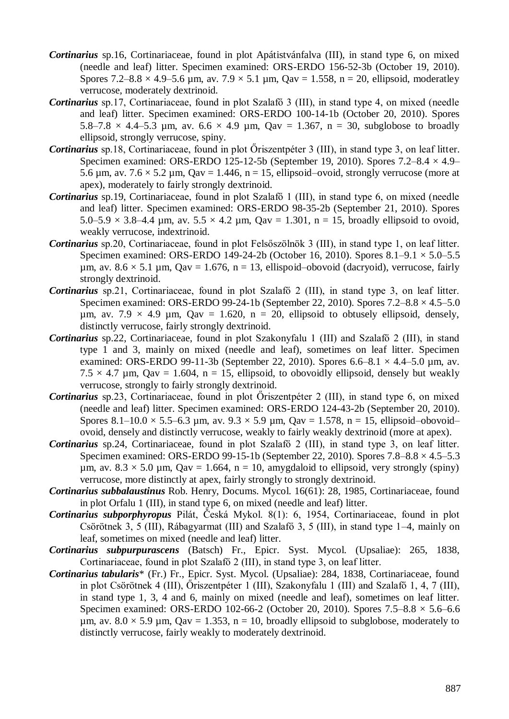- *Cortinarius* sp.16, Cortinariaceae, found in plot Apátistvánfalva (III), in stand type 6, on mixed (needle and leaf) litter. Specimen examined: ORS-ERDO 156-52-3b (October 19, 2010). Spores 7.2–8.8  $\times$  4.9–5.6 µm, av. 7.9  $\times$  5.1 µm, Qav = 1.558, n = 20, ellipsoid, moderatley verrucose, moderately dextrinoid.
- *Cortinarius* sp.17, Cortinariaceae, found in plot Szalafő 3 (III), in stand type 4, on mixed (needle and leaf) litter. Specimen examined: ORS-ERDO 100-14-1b (October 20, 2010). Spores 5.8–7.8  $\times$  4.4–5.3 µm, av. 6.6  $\times$  4.9 µm, Qav = 1.367, n = 30, subglobose to broadly ellipsoid, strongly verrucose, spiny.
- *Cortinarius* sp.18, Cortinariaceae, found in plot Őriszentpéter 3 (III), in stand type 3, on leaf litter. Specimen examined: ORS-ERDO 125-12-5b (September 19, 2010). Spores  $7.2-8.4 \times 4.9-$ 5.6  $\mu$ m, av. 7.6  $\times$  5.2  $\mu$ m, Qav = 1.446, n = 15, ellipsoid–ovoid, strongly verrucose (more at apex), moderately to fairly strongly dextrinoid.
- *Cortinarius* sp.19, Cortinariaceae, found in plot Szalafő 1 (III), in stand type 6, on mixed (needle and leaf) litter. Specimen examined: ORS-ERDO 98-35-2b (September 21, 2010). Spores 5.0–5.9  $\times$  3.8–4.4 µm, av. 5.5  $\times$  4.2 µm, Qav = 1.301, n = 15, broadly ellipsoid to ovoid, weakly verrucose, indextrinoid.
- *Cortinarius* sp.20, Cortinariaceae, found in plot Felsőszölnök 3 (III), in stand type 1, on leaf litter. Specimen examined: ORS-ERDO 149-24-2b (October 16, 2010). Spores 8.1–9.1 × 5.0–5.5  $\mu$ m, av. 8.6 × 5.1  $\mu$ m, Qav = 1.676, n = 13, ellispoid–obovoid (dacryoid), verrucose, fairly strongly dextrinoid.
- *Cortinarius* sp.21, Cortinariaceae, found in plot Szalafő 2 (III), in stand type 3, on leaf litter. Specimen examined: ORS-ERDO 99-24-1b (September 22, 2010). Spores 7.2–8.8 × 4.5–5.0  $\mu$ m, av. 7.9 × 4.9  $\mu$ m, Qav = 1.620, n = 20, ellipsoid to obtusely ellipsoid, densely, distinctly verrucose, fairly strongly dextrinoid.
- *Cortinarius* sp.22, Cortinariaceae, found in plot Szakonyfalu 1 (III) and Szalafő 2 (III), in stand type 1 and 3, mainly on mixed (needle and leaf), sometimes on leaf litter. Specimen examined: ORS-ERDO 99-11-3b (September 22, 2010). Spores  $6.6-8.1 \times 4.4-5.0 \text{ µm}$ , av.  $7.5 \times 4.7$  µm, Qav = 1.604, n = 15, ellipsoid, to obovoidly ellipsoid, densely but weakly verrucose, strongly to fairly strongly dextrinoid.
- *Cortinarius* sp.23, Cortinariaceae, found in plot Őriszentpéter 2 (III), in stand type 6, on mixed (needle and leaf) litter. Specimen examined: ORS-ERDO 124-43-2b (September 20, 2010). Spores 8.1–10.0  $\times$  5.5–6.3 µm, av. 9.3  $\times$  5.9 µm, Qav = 1.578, n = 15, ellipsoid–obovoid– ovoid, densely and distinctly verrucose, weakly to fairly weakly dextrinoid (more at apex).
- *Cortinarius* sp.24, Cortinariaceae, found in plot Szalafő 2 (III), in stand type 3, on leaf litter. Specimen examined: ORS-ERDO 99-15-1b (September 22, 2010). Spores 7.8–8.8 × 4.5–5.3 um, av.  $8.3 \times 5.0$  µm, Qav = 1.664, n = 10, amygdaloid to ellipsoid, very strongly (spiny) verrucose, more distinctly at apex, fairly strongly to strongly dextrinoid.
- *Cortinarius subbalaustinus* Rob. Henry, Docums. Mycol. 16(61): 28, 1985, Cortinariaceae, found in plot Orfalu 1 (III), in stand type 6, on mixed (needle and leaf) litter.
- *Cortinarius subporphyropus* Pilát, Česká Mykol. 8(1): 6, 1954, Cortinariaceae, found in plot Csörötnek 3, 5 (III), Rábagyarmat (III) and Szalafő 3, 5 (III), in stand type 1–4, mainly on leaf, sometimes on mixed (needle and leaf) litter.
- *Cortinarius subpurpurascens* (Batsch) Fr., Epicr. Syst. Mycol. (Upsaliae): 265, 1838, Cortinariaceae, found in plot Szalafő 2 (III), in stand type 3, on leaf litter.
- *Cortinarius tabularis*\* (Fr.) Fr., Epicr. Syst. Mycol. (Upsaliae): 284, 1838, Cortinariaceae, found in plot Csörötnek 4 (III), Őriszentpéter 1 (III), Szakonyfalu 1 (III) and Szalafő 1, 4, 7 (III), in stand type 1, 3, 4 and 6, mainly on mixed (needle and leaf), sometimes on leaf litter. Specimen examined: ORS-ERDO 102-66-2 (October 20, 2010). Spores 7.5–8.8 × 5.6–6.6  $\mu$ m, av. 8.0 × 5.9  $\mu$ m, Qav = 1.353, n = 10, broadly ellipsoid to subglobose, moderately to distinctly verrucose, fairly weakly to moderately dextrinoid.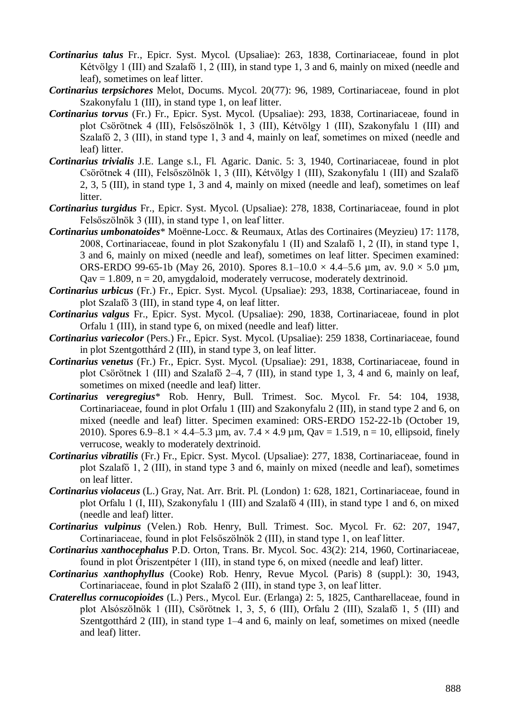- *Cortinarius talus* Fr., Epicr. Syst. Mycol. (Upsaliae): 263, 1838, Cortinariaceae, found in plot Kétvölgy 1 (III) and Szalafő 1, 2 (III), in stand type 1, 3 and 6, mainly on mixed (needle and leaf), sometimes on leaf litter.
- *Cortinarius terpsichores* Melot, Docums. Mycol. 20(77): 96, 1989, Cortinariaceae, found in plot Szakonyfalu 1 (III), in stand type 1, on leaf litter.
- *Cortinarius torvus* (Fr.) Fr., Epicr. Syst. Mycol. (Upsaliae): 293, 1838, Cortinariaceae, found in plot Csörötnek 4 (III), Felsőszölnök 1, 3 (III), Kétvölgy 1 (III), Szakonyfalu 1 (III) and Szalafő 2, 3 (III), in stand type 1, 3 and 4, mainly on leaf, sometimes on mixed (needle and leaf) litter.
- *Cortinarius trivialis* J.E. Lange s.l., Fl. Agaric. Danic. 5: 3, 1940, Cortinariaceae, found in plot Csörötnek 4 (III), Felsőszölnök 1, 3 (III), Kétvölgy 1 (III), Szakonyfalu 1 (III) and Szalafő 2, 3, 5 (III), in stand type 1, 3 and 4, mainly on mixed (needle and leaf), sometimes on leaf litter.
- *Cortinarius turgidus* Fr., Epicr. Syst. Mycol. (Upsaliae): 278, 1838, Cortinariaceae, found in plot Felsőszölnök 3 (III), in stand type 1, on leaf litter.
- *Cortinarius umbonatoides*\* Moënne-Locc. & Reumaux, Atlas des Cortinaires (Meyzieu) 17: 1178, 2008, Cortinariaceae, found in plot Szakonyfalu 1 (II) and Szalafő 1, 2 (II), in stand type 1, 3 and 6, mainly on mixed (needle and leaf), sometimes on leaf litter. Specimen examined: ORS-ERDO 99-65-1b (May 26, 2010). Spores  $8.1-10.0 \times 4.4-5.6$  µm, av.  $9.0 \times 5.0$  µm,  $Q$ av = 1.809, n = 20, amygdaloid, moderately verrucose, moderately dextrinoid.
- *Cortinarius urbicus* (Fr.) Fr., Epicr. Syst. Mycol. (Upsaliae): 293, 1838, Cortinariaceae, found in plot Szalafő 3 (III), in stand type 4, on leaf litter.
- *Cortinarius valgus* Fr., Epicr. Syst. Mycol. (Upsaliae): 290, 1838, Cortinariaceae, found in plot Orfalu 1 (III), in stand type 6, on mixed (needle and leaf) litter.
- *Cortinarius variecolor* (Pers.) Fr., Epicr. Syst. Mycol. (Upsaliae): 259 1838, Cortinariaceae, found in plot Szentgotthárd 2 (III), in stand type 3, on leaf litter.
- *Cortinarius venetus* (Fr.) Fr., Epicr. Syst. Mycol. (Upsaliae): 291, 1838, Cortinariaceae, found in plot Csörötnek 1 (III) and Szalafő 2–4, 7 (III), in stand type 1, 3, 4 and 6, mainly on leaf, sometimes on mixed (needle and leaf) litter.
- *Cortinarius veregregius*\* Rob. Henry, Bull. Trimest. Soc. Mycol. Fr. 54: 104, 1938, Cortinariaceae, found in plot Orfalu 1 (III) and Szakonyfalu 2 (III), in stand type 2 and 6, on mixed (needle and leaf) litter. Specimen examined: ORS-ERDO 152-22-1b (October 19, 2010). Spores 6.9–8.1  $\times$  4.4–5.3 µm, av. 7.4  $\times$  4.9 µm, Qav = 1.519, n = 10, ellipsoid, finely verrucose, weakly to moderately dextrinoid.
- *Cortinarius vibratilis* (Fr.) Fr., Epicr. Syst. Mycol. (Upsaliae): 277, 1838, Cortinariaceae, found in plot Szalafő 1, 2 (III), in stand type 3 and 6, mainly on mixed (needle and leaf), sometimes on leaf litter.
- *Cortinarius violaceus* (L.) Gray, Nat. Arr. Brit. Pl. (London) 1: 628, 1821, Cortinariaceae, found in plot Orfalu 1 (I, III), Szakonyfalu 1 (III) and Szalafő 4 (III), in stand type 1 and 6, on mixed (needle and leaf) litter.
- *Cortinarius vulpinus* (Velen.) Rob. Henry, Bull. Trimest. Soc. Mycol. Fr. 62: 207, 1947, Cortinariaceae, found in plot Felsőszölnök 2 (III), in stand type 1, on leaf litter.
- *Cortinarius xanthocephalus* P.D. Orton, Trans. Br. Mycol. Soc. 43(2): 214, 1960, Cortinariaceae, found in plot Őriszentpéter 1 (III), in stand type 6, on mixed (needle and leaf) litter.
- *Cortinarius xanthophyllus* (Cooke) Rob. Henry, Revue Mycol. (Paris) 8 (suppl.): 30, 1943, Cortinariaceae, found in plot Szalafő 2 (III), in stand type 3, on leaf litter.
- *Craterellus cornucopioides* (L.) Pers., Mycol. Eur. (Erlanga) 2: 5, 1825, Cantharellaceae, found in plot Alsószölnök 1 (III), Csörötnek 1, 3, 5, 6 (III), Orfalu 2 (III), Szalafő 1, 5 (III) and Szentgotthárd 2 (III), in stand type 1–4 and 6, mainly on leaf, sometimes on mixed (needle and leaf) litter.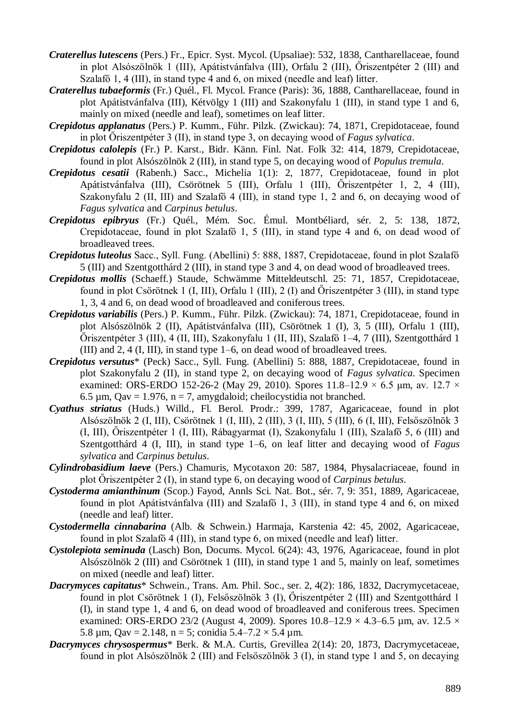- *Craterellus lutescens* (Pers.) Fr., Epicr. Syst. Mycol. (Upsaliae): 532, 1838, Cantharellaceae, found in plot Alsószölnök 1 (III), Apátistvánfalva (III), Orfalu 2 (III), Őriszentpéter 2 (III) and Szalafő 1, 4 (III), in stand type 4 and 6, on mixed (needle and leaf) litter.
- *Craterellus tubaeformis* (Fr.) Quél., Fl. Mycol. France (Paris): 36, 1888, Cantharellaceae, found in plot Apátistvánfalva (III), Kétvölgy 1 (III) and Szakonyfalu 1 (III), in stand type 1 and 6, mainly on mixed (needle and leaf), sometimes on leaf litter.
- *Crepidotus applanatus* (Pers.) P. Kumm., Führ. Pilzk. (Zwickau): 74, 1871, Crepidotaceae, found in plot Őriszentpéter 3 (II), in stand type 3, on decaying wood of *Fagus sylvatica*.
- *Crepidotus calolepis* (Fr.) P. Karst., Bidr. Känn. Finl. Nat. Folk 32: 414, 1879, Crepidotaceae, found in plot Alsószölnök 2 (III), in stand type 5, on decaying wood of *Populus tremula*.
- *Crepidotus cesatii* (Rabenh.) Sacc., Michelia 1(1): 2, 1877, Crepidotaceae, found in plot Apátistvánfalva (III), Csörötnek 5 (III), Orfalu 1 (III), Őriszentpéter 1, 2, 4 (III), Szakonyfalu 2 (II, III) and Szalafő 4 (III), in stand type 1, 2 and 6, on decaying wood of *Fagus sylvatica* and *Carpinus betulus*.
- *Crepidotus epibryus* (Fr.) Quél., Mém. Soc. Émul. Montbéliard, sér. 2, 5: 138, 1872, Crepidotaceae, found in plot Szalafő 1, 5 (III), in stand type 4 and 6, on dead wood of broadleaved trees.
- *Crepidotus luteolus* Sacc., Syll. Fung. (Abellini) 5: 888, 1887, Crepidotaceae, found in plot Szalafő 5 (III) and Szentgotthárd 2 (III), in stand type 3 and 4, on dead wood of broadleaved trees.
- *Crepidotus mollis* (Schaeff.) Staude, Schwämme Mitteldeutschl. 25: 71, 1857, Crepidotaceae, found in plot Csörötnek 1 (I, III), Orfalu 1 (III), 2 (I) and Őriszentpéter 3 (III), in stand type 1, 3, 4 and 6, on dead wood of broadleaved and coniferous trees.
- *Crepidotus variabilis* (Pers.) P. Kumm., Führ. Pilzk. (Zwickau): 74, 1871, Crepidotaceae, found in plot Alsószölnök 2 (II), Apátistvánfalva (III), Csörötnek 1 (I), 3, 5 (III), Orfalu 1 (III), Őriszentpéter 3 (III), 4 (II, III), Szakonyfalu 1 (II, III), Szalafő 1–4, 7 (III), Szentgotthárd 1 (III) and 2, 4 (I, III), in stand type 1–6, on dead wood of broadleaved trees.
- *Crepidotus versutus*\* (Peck) Sacc., Syll. Fung. (Abellini) 5: 888, 1887, Crepidotaceae, found in plot Szakonyfalu 2 (II), in stand type 2, on decaying wood of *Fagus sylvatica*. Specimen examined: ORS-ERDO 152-26-2 (May 29, 2010). Spores  $11.8-12.9 \times 6.5$  µm, av. 12.7  $\times$ 6.5  $\mu$ m, Qav = 1.976, n = 7, amygdaloid; cheilocystidia not branched.
- *Cyathus striatus* (Huds.) Willd., Fl. Berol. Prodr.: 399, 1787, Agaricaceae, found in plot Alsószölnök 2 (I, III), Csörötnek 1 (I, III), 2 (III), 3 (I, III), 5 (III), 6 (I, III), Felsőszölnök 3 (I, III), Őriszentpéter 1 (I, III), Rábagyarmat (I), Szakonyfalu 1 (III), Szalafő 5, 6 (III) and Szentgotthárd 4 (I, III), in stand type 1–6, on leaf litter and decaying wood of *Fagus sylvatica* and *Carpinus betulus*.
- *Cylindrobasidium laeve* (Pers.) Chamuris, Mycotaxon 20: 587, 1984, Physalacriaceae, found in plot Őriszentpéter 2 (I), in stand type 6, on decaying wood of *Carpinus betulus*.
- *Cystoderma amianthinum* (Scop.) Fayod, Annls Sci. Nat. Bot., sér. 7, 9: 351, 1889, Agaricaceae, found in plot Apátistvánfalva (III) and Szalafő 1, 3 (III), in stand type 4 and 6, on mixed (needle and leaf) litter.
- *Cystodermella cinnabarina* (Alb. & Schwein.) Harmaja, Karstenia 42: 45, 2002, Agaricaceae, found in plot Szalafő 4 (III), in stand type 6, on mixed (needle and leaf) litter.
- *Cystolepiota seminuda* (Lasch) Bon, Docums. Mycol. 6(24): 43, 1976, Agaricaceae, found in plot Alsószölnök 2 (III) and Csörötnek 1 (III), in stand type 1 and 5, mainly on leaf, sometimes on mixed (needle and leaf) litter.
- *Dacrymyces capitatus*\* Schwein., Trans. Am. Phil. Soc., ser. 2, 4(2): 186, 1832, Dacrymycetaceae, found in plot Csörötnek 1 (I), Felsőszölnök 3 (I), Őriszentpéter 2 (III) and Szentgotthárd 1 (I), in stand type 1, 4 and 6, on dead wood of broadleaved and coniferous trees. Specimen examined: ORS-ERDO 23/2 (August 4, 2009). Spores  $10.8-12.9 \times 4.3-6.5$  µm, av.  $12.5 \times$ 5.8  $\mu$ m, Qav = 2.148, n = 5; conidia 5.4–7.2  $\times$  5.4  $\mu$ m.
- *Dacrymyces chrysospermus*\* Berk. & M.A. Curtis, Grevillea 2(14): 20, 1873, Dacrymycetaceae, found in plot Alsószölnök 2 (III) and Felsőszölnök 3 (I), in stand type 1 and 5, on decaying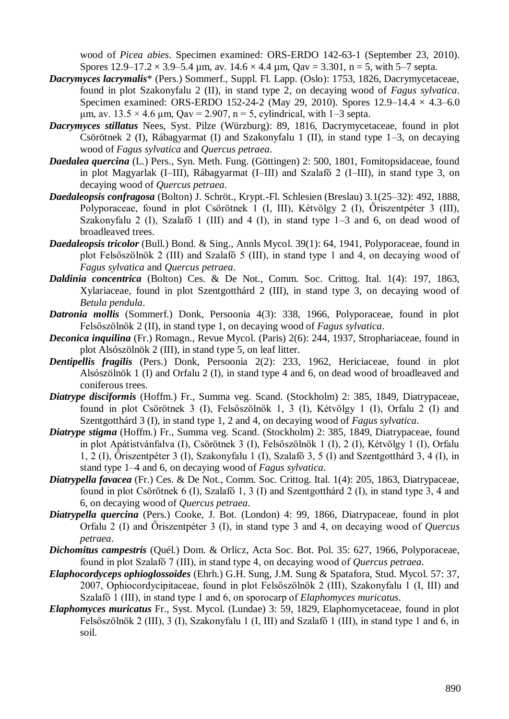wood of *Picea abies*. Specimen examined: ORS-ERDO 142-63-1 (September 23, 2010). Spores  $12.9-17.2 \times 3.9-5.4$  µm, av.  $14.6 \times 4.4$  µm,  $Qav = 3.301$ , n = 5, with 5–7 septa.

- *Dacrymyces lacrymalis*\* (Pers.) Sommerf., Suppl. Fl. Lapp. (Oslo): 1753, 1826, Dacrymycetaceae, found in plot Szakonyfalu 2 (II), in stand type 2, on decaying wood of *Fagus sylvatica*. Specimen examined: ORS-ERDO 152-24-2 (May 29, 2010). Spores  $12.9-14.4 \times 4.3-6.0$  $\mu$ m, av. 13.5 × 4.6  $\mu$ m, Qav = 2.907, n = 5, cylindrical, with 1–3 septa.
- *Dacrymyces stillatus* Nees, Syst. Pilze (Würzburg): 89, 1816, Dacrymycetaceae, found in plot Csörötnek 2 (I), Rábagyarmat (I) and Szakonyfalu 1 (II), in stand type 1–3, on decaying wood of *Fagus sylvatica* and *Quercus petraea*.
- *Daedalea quercina* (L.) Pers., Syn. Meth. Fung. (Göttingen) 2: 500, 1801, Fomitopsidaceae, found in plot Magyarlak (I–III), Rábagyarmat (I–III) and Szalafő 2 (I–III), in stand type 3, on decaying wood of *Quercus petraea*.
- *Daedaleopsis confragosa* (Bolton) J. Schröt., Krypt.-Fl. Schlesien (Breslau) 3.1(25–32): 492, 1888, Polyporaceae, found in plot Csörötnek 1 (I, III), Kétvölgy 2 (I), Őriszentpéter 3 (III), Szakonyfalu 2 (I), Szalafő 1 (III) and 4 (I), in stand type 1–3 and 6, on dead wood of broadleaved trees.
- *Daedaleopsis tricolor* (Bull.) Bond. & Sing., Annls Mycol. 39(1): 64, 1941, Polyporaceae, found in plot Felsőszölnök 2 (III) and Szalafő 5 (III), in stand type 1 and 4, on decaying wood of *Fagus sylvatica* and *Quercus petraea*.
- *Daldinia concentrica* (Bolton) Ces. & De Not., Comm. Soc. Crittog. Ital. 1(4): 197, 1863, Xylariaceae, found in plot Szentgotthárd 2 (III), in stand type 3, on decaying wood of *Betula pendula*.
- *Datronia mollis* (Sommerf.) Donk, Persoonia 4(3): 338, 1966, Polyporaceae, found in plot Felsőszölnök 2 (II), in stand type 1, on decaying wood of *Fagus sylvatica*.
- *Deconica inquilina* (Fr.) Romagn., Revue Mycol. (Paris) 2(6): 244, 1937, Strophariaceae, found in plot Alsószölnök 2 (III), in stand type 5, on leaf litter.
- *Dentipellis fragilis* (Pers.) Donk, Persoonia 2(2): 233, 1962, Hericiaceae, found in plot Alsószölnök 1 (I) and Orfalu 2 (I), in stand type 4 and 6, on dead wood of broadleaved and coniferous trees.
- *Diatrype disciformis* (Hoffm.) Fr., Summa veg. Scand. (Stockholm) 2: 385, 1849, Diatrypaceae, found in plot Csörötnek 3 (I), Felsőszölnök 1, 3 (I), Kétvölgy 1 (I), Orfalu 2 (I) and Szentgotthárd 3 (I), in stand type 1, 2 and 4, on decaying wood of *Fagus sylvatica*.
- *Diatrype stigma* (Hoffm.) Fr., Summa veg. Scand. (Stockholm) 2: 385, 1849, Diatrypaceae, found in plot Apátistvánfalva (I), Csörötnek 3 (I), Felsőszölnök 1 (I), 2 (I), Kétvölgy 1 (I), Orfalu 1, 2 (I), Őriszentpéter 3 (I), Szakonyfalu 1 (I), Szalafő 3, 5 (I) and Szentgotthárd 3, 4 (I), in stand type 1–4 and 6, on decaying wood of *Fagus sylvatica*.
- *Diatrypella favacea* (Fr.) Ces. & De Not., Comm. Soc. Crittog. Ital. 1(4): 205, 1863, Diatrypaceae, found in plot Csörötnek 6 (I), Szalafő 1, 3 (I) and Szentgotthárd 2 (I), in stand type 3, 4 and 6, on decaying wood of *Quercus petraea*.
- *Diatrypella quercina* (Pers.) Cooke, J. Bot. (London) 4: 99, 1866, Diatrypaceae, found in plot Orfalu 2 (I) and Őriszentpéter 3 (I), in stand type 3 and 4, on decaying wood of *Quercus petraea*.
- *Dichomitus campestris* (Quél.) Dom. & Orlicz, Acta Soc. Bot. Pol. 35: 627, 1966, Polyporaceae, found in plot Szalafő 7 (III), in stand type 4, on decaying wood of *Quercus petraea*.
- *Elaphocordyceps ophioglossoides* (Ehrh.) G.H. Sung, J.M. Sung & Spatafora, Stud. Mycol. 57: 37, 2007, Ophiocordycipitaceae, found in plot Felsőszölnök 2 (III), Szakonyfalu 1 (I, III) and Szalafő 1 (III), in stand type 1 and 6, on sporocarp of *Elaphomyces muricatus*.
- *Elaphomyces muricatus* Fr., Syst. Mycol. (Lundae) 3: 59, 1829, Elaphomycetaceae, found in plot Felsőszölnök 2 (III), 3 (I), Szakonyfalu 1 (I, III) and Szalafő 1 (III), in stand type 1 and 6, in soil.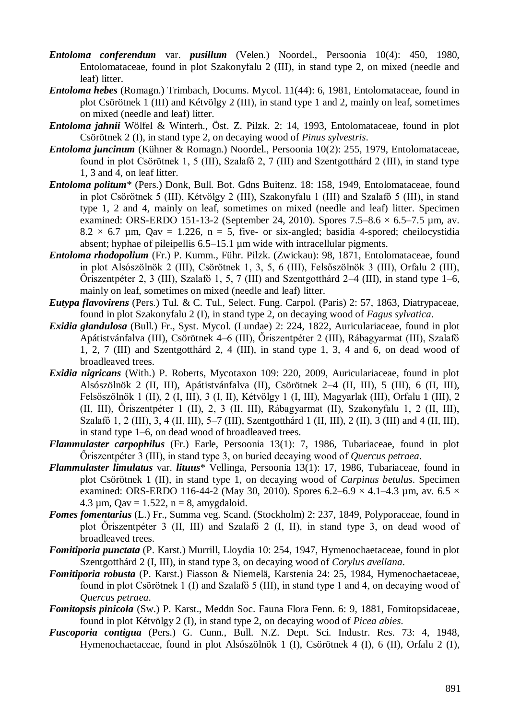- *Entoloma conferendum* var. *pusillum* (Velen.) Noordel., Persoonia 10(4): 450, 1980, Entolomataceae, found in plot Szakonyfalu 2 (III), in stand type 2, on mixed (needle and leaf) litter.
- *Entoloma hebes* (Romagn.) Trimbach, Docums. Mycol. 11(44): 6, 1981, Entolomataceae, found in plot Csörötnek 1 (III) and Kétvölgy 2 (III), in stand type 1 and 2, mainly on leaf, sometimes on mixed (needle and leaf) litter.
- *Entoloma jahnii* Wölfel & Winterh., Öst. Z. Pilzk. 2: 14, 1993, Entolomataceae, found in plot Csörötnek 2 (I), in stand type 2, on decaying wood of *Pinus sylvestris*.
- *Entoloma juncinum* (Kühner & Romagn.) Noordel., Persoonia 10(2): 255, 1979, Entolomataceae, found in plot Csörötnek 1, 5 (III), Szalafő 2, 7 (III) and Szentgotthárd 2 (III), in stand type 1, 3 and 4, on leaf litter.
- *Entoloma politum*\* (Pers.) Donk, Bull. Bot. Gdns Buitenz. 18: 158, 1949, Entolomataceae, found in plot Csörötnek 5 (III), Kétvölgy 2 (III), Szakonyfalu 1 (III) and Szalafő 5 (III), in stand type 1, 2 and 4, mainly on leaf, sometimes on mixed (needle and leaf) litter. Specimen examined: ORS-ERDO 151-13-2 (September 24, 2010). Spores  $7.5-8.6 \times 6.5-7.5$  µm, av.  $8.2 \times 6.7$  um, Oav = 1.226, n = 5, five- or six-angled; basidia 4-spored; cheilocystidia absent; hyphae of pileipellis 6.5–15.1 µm wide with intracellular pigments.
- *Entoloma rhodopolium* (Fr.) P. Kumm., Führ. Pilzk. (Zwickau): 98, 1871, Entolomataceae, found in plot Alsószölnök 2 (III), Csörötnek 1, 3, 5, 6 (III), Felsőszölnök 3 (III), Orfalu 2 (III), Őriszentpéter 2, 3 (III), Szalafő 1, 5, 7 (III) and Szentgotthárd 2–4 (III), in stand type 1–6, mainly on leaf, sometimes on mixed (needle and leaf) litter.
- *Eutypa flavovirens* (Pers.) Tul. & C. Tul., Select. Fung. Carpol. (Paris) 2: 57, 1863, Diatrypaceae, found in plot Szakonyfalu 2 (I), in stand type 2, on decaying wood of *Fagus sylvatica*.
- *Exidia glandulosa* (Bull.) Fr., Syst. Mycol. (Lundae) 2: 224, 1822, Auriculariaceae, found in plot Apátistvánfalva (III), Csörötnek 4–6 (III), Őriszentpéter 2 (III), Rábagyarmat (III), Szalafő 1, 2, 7 (III) and Szentgotthárd 2, 4 (III), in stand type 1, 3, 4 and 6, on dead wood of broadleaved trees.
- *Exidia nigricans* (With.) P. Roberts, Mycotaxon 109: 220, 2009, Auriculariaceae, found in plot Alsószölnök 2 (II, III), Apátistvánfalva (II), Csörötnek 2–4 (II, III), 5 (III), 6 (II, III), Felsőszölnök 1 (II), 2 (I, III), 3 (I, II), Kétvölgy 1 (I, III), Magyarlak (III), Orfalu 1 (III), 2 (II, III), Őriszentpéter 1 (II), 2, 3 (II, III), Rábagyarmat (II), Szakonyfalu 1, 2 (II, III), Szalafő 1, 2 (III), 3, 4 (II, III), 5–7 (III), Szentgotthárd 1 (II, III), 2 (II), 3 (III) and 4 (II, III), in stand type 1–6, on dead wood of broadleaved trees.
- *Flammulaster carpophilus* (Fr.) Earle, Persoonia 13(1): 7, 1986, Tubariaceae, found in plot Őriszentpéter 3 (III), in stand type 3, on buried decaying wood of *Quercus petraea*.
- *Flammulaster limulatus* var. *lituus*\* Vellinga, Persoonia 13(1): 17, 1986, Tubariaceae, found in plot Csörötnek 1 (II), in stand type 1, on decaying wood of *Carpinus betulus*. Specimen examined: ORS-ERDO 116-44-2 (May 30, 2010). Spores 6.2–6.9  $\times$  4.1–4.3 um, av. 6.5  $\times$ 4.3  $\mu$ m, Oav = 1.522, n = 8, amygdaloid.
- *Fomes fomentarius* (L.) Fr., Summa veg. Scand. (Stockholm) 2: 237, 1849, Polyporaceae, found in plot Őriszentpéter 3 (II, III) and Szalafő 2 (I, II), in stand type 3, on dead wood of broadleaved trees.
- *Fomitiporia punctata* (P. Karst.) Murrill, Lloydia 10: 254, 1947, Hymenochaetaceae, found in plot Szentgotthárd 2 (I, III), in stand type 3, on decaying wood of *Corylus avellana*.
- *Fomitiporia robusta* (P. Karst.) Fiasson & Niemelä, Karstenia 24: 25, 1984, Hymenochaetaceae, found in plot Csörötnek 1 (I) and Szalafő 5 (III), in stand type 1 and 4, on decaying wood of *Quercus petraea*.
- *Fomitopsis pinicola* (Sw.) P. Karst., Meddn Soc. Fauna Flora Fenn. 6: 9, 1881, Fomitopsidaceae, found in plot Kétvölgy 2 (I), in stand type 2, on decaying wood of *Picea abies*.
- *Fuscoporia contigua* (Pers.) G. Cunn., Bull. N.Z. Dept. Sci. Industr. Res. 73: 4, 1948, Hymenochaetaceae, found in plot Alsószölnök 1 (I), Csörötnek 4 (I), 6 (II), Orfalu 2 (I),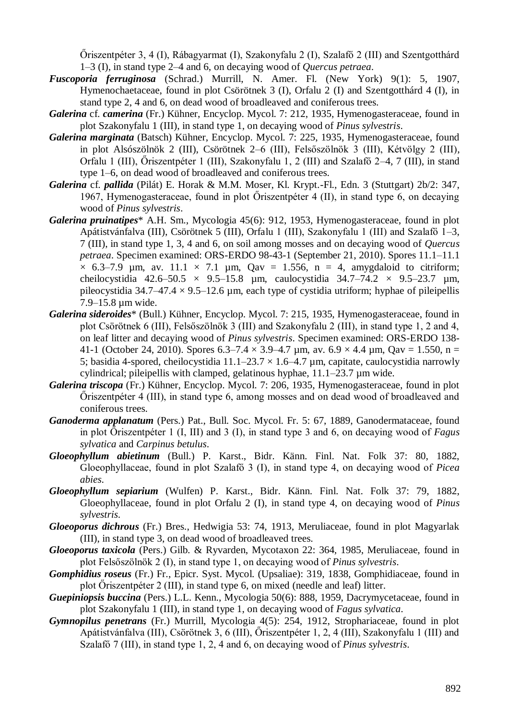Őriszentpéter 3, 4 (I), Rábagyarmat (I), Szakonyfalu 2 (I), Szalafő 2 (III) and Szentgotthárd 1–3 (I), in stand type 2–4 and 6, on decaying wood of *Quercus petraea*.

- *Fuscoporia ferruginosa* (Schrad.) Murrill, N. Amer. Fl. (New York) 9(1): 5, 1907, Hymenochaetaceae, found in plot Csörötnek 3 (I), Orfalu 2 (I) and Szentgotthárd 4 (I), in stand type 2, 4 and 6, on dead wood of broadleaved and coniferous trees.
- *Galerina* cf. *camerina* (Fr.) Kühner, Encyclop. Mycol. 7: 212, 1935, Hymenogasteraceae, found in plot Szakonyfalu 1 (III), in stand type 1, on decaying wood of *Pinus sylvestris*.
- *Galerina marginata* (Batsch) Kühner, Encyclop. Mycol. 7: 225, 1935, Hymenogasteraceae, found in plot Alsószölnök 2 (III), Csörötnek 2–6 (III), Felsőszölnök 3 (III), Kétvölgy 2 (III), Orfalu 1 (III), Őriszentpéter 1 (III), Szakonyfalu 1, 2 (III) and Szalafő 2–4, 7 (III), in stand type 1–6, on dead wood of broadleaved and coniferous trees.
- *Galerina* cf. *pallida* (Pilát) E. Horak & M.M. Moser, Kl. Krypt.-Fl., Edn. 3 (Stuttgart) 2b/2: 347, 1967, Hymenogasteraceae, found in plot Őriszentpéter 4 (II), in stand type 6, on decaying wood of *Pinus sylvestris*.
- *Galerina pruinatipes*\* A.H. Sm., Mycologia 45(6): 912, 1953, Hymenogasteraceae, found in plot Apátistvánfalva (III), Csörötnek 5 (III), Orfalu 1 (III), Szakonyfalu 1 (III) and Szalafő 1–3, 7 (III), in stand type 1, 3, 4 and 6, on soil among mosses and on decaying wood of *Quercus petraea*. Specimen examined: ORS-ERDO 98-43-1 (September 21, 2010). Spores 11.1–11.1  $\times$  6.3–7.9 µm, av. 11.1  $\times$  7.1 µm, Qav = 1.556, n = 4, amygdaloid to citriform; cheilocystidia 42.6–50.5  $\times$  9.5–15.8 µm, caulocystidia 34.7–74.2  $\times$  9.5–23.7 µm, pileocystidia 34.7–47.4  $\times$  9.5–12.6 µm, each type of cystidia utriform; hyphae of pileipellis 7.9–15.8 µm wide.
- *Galerina sideroides*\* (Bull.) Kühner, Encyclop. Mycol. 7: 215, 1935, Hymenogasteraceae, found in plot Csörötnek 6 (III), Felsőszölnök 3 (III) and Szakonyfalu 2 (III), in stand type 1, 2 and 4, on leaf litter and decaying wood of *Pinus sylvestris*. Specimen examined: ORS-ERDO 138- 41-1 (October 24, 2010). Spores 6.3–7.4  $\times$  3.9–4.7 µm, av. 6.9  $\times$  4.4 µm, Qav = 1.550, n = 5; basidia 4-spored, cheilocystidia  $11.1-23.7 \times 1.6-4.7$  µm, capitate, caulocystidia narrowly cylindrical; pileipellis with clamped, gelatinous hyphae, 11.1–23.7 µm wide.
- *Galerina triscopa* (Fr.) Kühner, Encyclop. Mycol. 7: 206, 1935, Hymenogasteraceae, found in plot Őriszentpéter 4 (III), in stand type 6, among mosses and on dead wood of broadleaved and coniferous trees.
- *Ganoderma applanatum* (Pers.) Pat., Bull. Soc. Mycol. Fr. 5: 67, 1889, Ganodermataceae, found in plot Őriszentpéter 1 (I, III) and 3 (I), in stand type 3 and 6, on decaying wood of *Fagus sylvatica* and *Carpinus betulus*.
- *Gloeophyllum abietinum* (Bull.) P. Karst., Bidr. Känn. Finl. Nat. Folk 37: 80, 1882, Gloeophyllaceae, found in plot Szalafő 3 (I), in stand type 4, on decaying wood of *Picea abies*.
- *Gloeophyllum sepiarium* (Wulfen) P. Karst., Bidr. Känn. Finl. Nat. Folk 37: 79, 1882, Gloeophyllaceae, found in plot Orfalu 2 (I), in stand type 4, on decaying wood of *Pinus sylvestris*.
- *Gloeoporus dichrous* (Fr.) Bres., Hedwigia 53: 74, 1913, Meruliaceae, found in plot Magyarlak (III), in stand type 3, on dead wood of broadleaved trees.
- *Gloeoporus taxicola* (Pers.) Gilb. & Ryvarden, Mycotaxon 22: 364, 1985, Meruliaceae, found in plot Felsőszölnök 2 (I), in stand type 1, on decaying wood of *Pinus sylvestris*.
- *Gomphidius roseus* (Fr.) Fr., Epicr. Syst. Mycol. (Upsaliae): 319, 1838, Gomphidiaceae, found in plot Őriszentpéter 2 (III), in stand type 6, on mixed (needle and leaf) litter.
- *Guepiniopsis buccina* (Pers.) L.L. Kenn., Mycologia 50(6): 888, 1959, Dacrymycetaceae, found in plot Szakonyfalu 1 (III), in stand type 1, on decaying wood of *Fagus sylvatica*.
- *Gymnopilus penetrans* (Fr.) Murrill, Mycologia 4(5): 254, 1912, Strophariaceae, found in plot Apátistvánfalva (III), Csörötnek 3, 6 (III), Őriszentpéter 1, 2, 4 (III), Szakonyfalu 1 (III) and Szalafő 7 (III), in stand type 1, 2, 4 and 6, on decaying wood of *Pinus sylvestris*.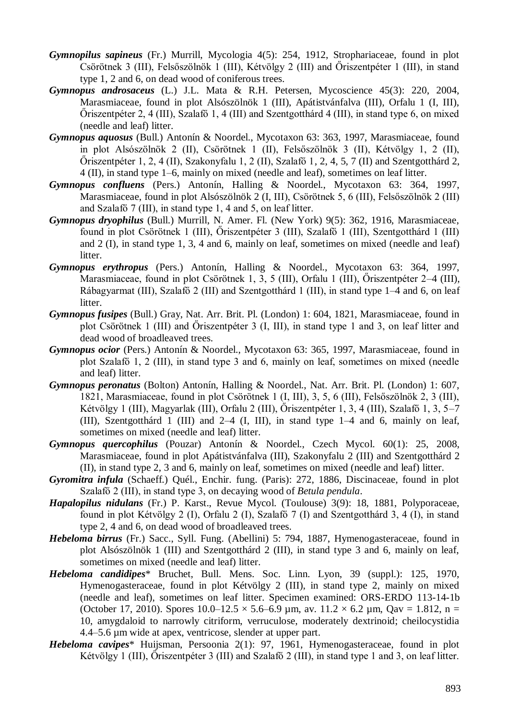- *Gymnopilus sapineus* (Fr.) Murrill, Mycologia 4(5): 254, 1912, Strophariaceae, found in plot Csörötnek 3 (III), Felsőszölnök 1 (III), Kétvölgy 2 (III) and Őriszentpéter 1 (III), in stand type 1, 2 and 6, on dead wood of coniferous trees.
- *Gymnopus androsaceus* (L.) J.L. Mata & R.H. Petersen, Mycoscience 45(3): 220, 2004, Marasmiaceae, found in plot Alsószölnök 1 (III), Apátistvánfalva (III), Orfalu 1 (I, III), Őriszentpéter 2, 4 (III), Szalafő 1, 4 (III) and Szentgotthárd 4 (III), in stand type 6, on mixed (needle and leaf) litter.
- *Gymnopus aquosus* (Bull.) Antonín & Noordel., Mycotaxon 63: 363, 1997, Marasmiaceae, found in plot Alsószölnök 2 (II), Csörötnek 1 (II), Felsőszölnök 3 (II), Kétvölgy 1, 2 (II), Őriszentpéter 1, 2, 4 (II), Szakonyfalu 1, 2 (II), Szalafő 1, 2, 4, 5, 7 (II) and Szentgotthárd 2, 4 (II), in stand type 1–6, mainly on mixed (needle and leaf), sometimes on leaf litter.
- *Gymnopus confluens* (Pers.) Antonín, Halling & Noordel., Mycotaxon 63: 364, 1997, Marasmiaceae, found in plot Alsószölnök 2 (I, III), Csörötnek 5, 6 (III), Felsőszölnök 2 (III) and Szalafő 7 (III), in stand type 1, 4 and 5, on leaf litter.
- *Gymnopus dryophilus* (Bull.) Murrill, N. Amer. Fl. (New York) 9(5): 362, 1916, Marasmiaceae, found in plot Csörötnek 1 (III), Őriszentpéter 3 (III), Szalafő 1 (III), Szentgotthárd 1 (III) and 2 (I), in stand type 1, 3, 4 and 6, mainly on leaf, sometimes on mixed (needle and leaf) litter.
- *Gymnopus erythropus* (Pers.) Antonín, Halling & Noordel., Mycotaxon 63: 364, 1997, Marasmiaceae, found in plot Csörötnek 1, 3, 5 (III), Orfalu 1 (III), Őriszentpéter 2–4 (III), Rábagyarmat (III), Szalafő 2 (III) and Szentgotthárd 1 (III), in stand type 1–4 and 6, on leaf litter.
- *Gymnopus fusipes* (Bull.) Gray, Nat. Arr. Brit. Pl. (London) 1: 604, 1821, Marasmiaceae, found in plot Csörötnek 1 (III) and Őriszentpéter 3 (I, III), in stand type 1 and 3, on leaf litter and dead wood of broadleaved trees.
- *Gymnopus ocior* (Pers.) Antonín & Noordel., Mycotaxon 63: 365, 1997, Marasmiaceae, found in plot Szalafő 1, 2 (III), in stand type 3 and 6, mainly on leaf, sometimes on mixed (needle and leaf) litter.
- *Gymnopus peronatus* (Bolton) Antonín, Halling & Noordel., Nat. Arr. Brit. Pl. (London) 1: 607, 1821, Marasmiaceae, found in plot Csörötnek 1 (I, III), 3, 5, 6 (III), Felsőszölnök 2, 3 (III), Kétvölgy 1 (III), Magyarlak (III), Orfalu 2 (III), Őriszentpéter 1, 3, 4 (III), Szalafő 1, 3, 5–7 (III), Szentgotthárd 1 (III) and 2–4 (I, III), in stand type 1–4 and 6, mainly on leaf, sometimes on mixed (needle and leaf) litter.
- *Gymnopus quercophilus* (Pouzar) Antonín & Noordel., Czech Mycol. 60(1): 25, 2008, Marasmiaceae, found in plot Apátistvánfalva (III), Szakonyfalu 2 (III) and Szentgotthárd 2 (II), in stand type 2, 3 and 6, mainly on leaf, sometimes on mixed (needle and leaf) litter.
- *Gyromitra infula* (Schaeff.) Quél., Enchir. fung. (Paris): 272, 1886, Discinaceae, found in plot Szalafő 2 (III), in stand type 3, on decaying wood of *Betula pendula*.
- *Hapalopilus nidulans* (Fr.) P. Karst., Revue Mycol. (Toulouse) 3(9): 18, 1881, Polyporaceae, found in plot Kétvölgy 2 (I), Orfalu 2 (I), Szalafő 7 (I) and Szentgotthárd 3, 4 (I), in stand type 2, 4 and 6, on dead wood of broadleaved trees.
- *Hebeloma birrus* (Fr.) Sacc., Syll. Fung. (Abellini) 5: 794, 1887, Hymenogasteraceae, found in plot Alsószölnök 1 (III) and Szentgotthárd 2 (III), in stand type 3 and 6, mainly on leaf, sometimes on mixed (needle and leaf) litter.
- *Hebeloma candidipes*\* Bruchet, Bull. Mens. Soc. Linn. Lyon, 39 (suppl.): 125, 1970, Hymenogasteraceae, found in plot Kétvölgy 2 (III), in stand type 2, mainly on mixed (needle and leaf), sometimes on leaf litter. Specimen examined: ORS-ERDO 113-14-1b (October 17, 2010). Spores  $10.0-12.5 \times 5.6-6.9 \mu m$ , av.  $11.2 \times 6.2 \mu m$ , Qav = 1.812, n = 10, amygdaloid to narrowly citriform, verruculose, moderately dextrinoid; cheilocystidia 4.4–5.6 µm wide at apex, ventricose, slender at upper part.
- *Hebeloma cavipes*\* Huijsman, Persoonia 2(1): 97, 1961, Hymenogasteraceae, found in plot Kétvölgy 1 (III), Őriszentpéter 3 (III) and Szalafő 2 (III), in stand type 1 and 3, on leaf litter.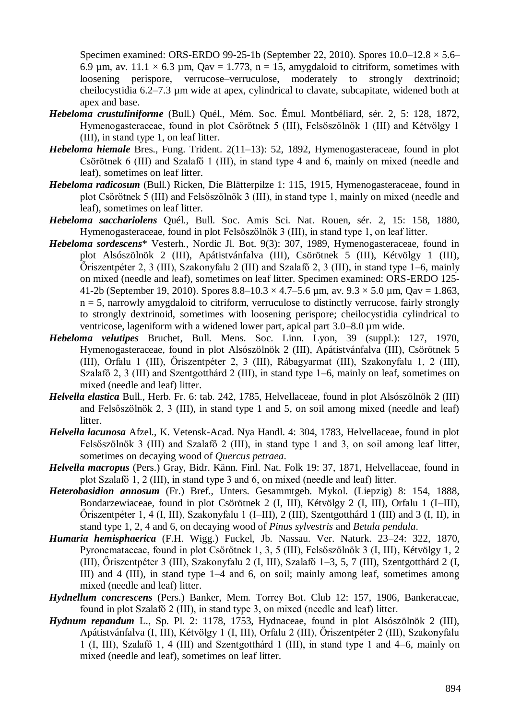Specimen examined: ORS-ERDO 99-25-1b (September 22, 2010). Spores  $10.0-12.8 \times 5.6-$ 6.9 µm, av.  $11.1 \times 6.3$  µm, Qav = 1.773, n = 15, amygdaloid to citriform, sometimes with loosening perispore, verrucose–verruculose, moderately to strongly dextrinoid; cheilocystidia 6.2–7.3 µm wide at apex, cylindrical to clavate, subcapitate, widened both at apex and base.

- *Hebeloma crustuliniforme* (Bull.) Quél., Mém. Soc. Émul. Montbéliard, sér. 2, 5: 128, 1872, Hymenogasteraceae, found in plot Csörötnek 5 (III), Felsőszölnök 1 (III) and Kétvölgy 1 (III), in stand type 1, on leaf litter.
- *Hebeloma hiemale* Bres., Fung. Trident. 2(11–13): 52, 1892, Hymenogasteraceae, found in plot Csörötnek 6 (III) and Szalafő 1 (III), in stand type 4 and 6, mainly on mixed (needle and leaf), sometimes on leaf litter.
- *Hebeloma radicosum* (Bull.) Ricken, Die Blätterpilze 1: 115, 1915, Hymenogasteraceae, found in plot Csörötnek 5 (III) and Felsőszölnök 3 (III), in stand type 1, mainly on mixed (needle and leaf), sometimes on leaf litter.
- *Hebeloma sacchariolens* Quél., Bull. Soc. Amis Sci. Nat. Rouen, sér. 2, 15: 158, 1880, Hymenogasteraceae, found in plot Felsőszölnök 3 (III), in stand type 1, on leaf litter.
- *Hebeloma sordescens*\* Vesterh., Nordic Jl. Bot. 9(3): 307, 1989, Hymenogasteraceae, found in plot Alsószölnök 2 (III), Apátistvánfalva (III), Csörötnek 5 (III), Kétvölgy 1 (III), Őriszentpéter 2, 3 (III), Szakonyfalu 2 (III) and Szalafő 2, 3 (III), in stand type 1–6, mainly on mixed (needle and leaf), sometimes on leaf litter. Specimen examined: ORS-ERDO 125- 41-2b (September 19, 2010). Spores  $8.8-10.3 \times 4.7-5.6$  µm, av.  $9.3 \times 5.0$  µm, Qav = 1.863,  $n = 5$ , narrowly amygdaloid to citriform, verruculose to distinctly verrucose, fairly strongly to strongly dextrinoid, sometimes with loosening perispore; cheilocystidia cylindrical to ventricose, lageniform with a widened lower part, apical part 3.0–8.0 µm wide.
- *Hebeloma velutipes* Bruchet, Bull. Mens. Soc. Linn. Lyon, 39 (suppl.): 127, 1970, Hymenogasteraceae, found in plot Alsószölnök 2 (III), Apátistvánfalva (III), Csörötnek 5 (III), Orfalu 1 (III), Őriszentpéter 2, 3 (III), Rábagyarmat (III), Szakonyfalu 1, 2 (III), Szalafő 2, 3 (III) and Szentgotthárd 2 (III), in stand type 1–6, mainly on leaf, sometimes on mixed (needle and leaf) litter.
- *Helvella elastica* Bull., Herb. Fr. 6: tab. 242, 1785, Helvellaceae, found in plot Alsószölnök 2 (III) and Felsőszölnök 2, 3 (III), in stand type 1 and 5, on soil among mixed (needle and leaf) litter.
- *Helvella lacunosa* Afzel., K. Vetensk-Acad. Nya Handl. 4: 304, 1783, Helvellaceae, found in plot Felsőszölnök 3 (III) and Szalafő 2 (III), in stand type 1 and 3, on soil among leaf litter, sometimes on decaying wood of *Quercus petraea*.
- *Helvella macropus* (Pers.) Gray, Bidr. Känn. Finl. Nat. Folk 19: 37, 1871, Helvellaceae, found in plot Szalafő 1, 2 (III), in stand type 3 and 6, on mixed (needle and leaf) litter.
- *Heterobasidion annosum* (Fr.) Bref., Unters. Gesammtgeb. Mykol. (Liepzig) 8: 154, 1888. Bondarzewiaceae, found in plot Csörötnek 2 (I, III), Kétvölgy 2 (I, III), Orfalu 1 (I–III), Őriszentpéter 1, 4 (I, III), Szakonyfalu 1 (I–III), 2 (III), Szentgotthárd 1 (III) and 3 (I, II), in stand type 1, 2, 4 and 6, on decaying wood of *Pinus sylvestris* and *Betula pendula*.
- *Humaria hemisphaerica* (F.H. Wigg.) Fuckel, Jb. Nassau. Ver. Naturk. 23–24: 322, 1870, Pyronemataceae, found in plot Csörötnek 1, 3, 5 (III), Felsőszölnök 3 (I, III), Kétvölgy 1, 2 (III), Őriszentpéter 3 (III), Szakonyfalu 2 (I, III), Szalafő 1–3, 5, 7 (III), Szentgotthárd 2 (I, III) and 4 (III), in stand type 1–4 and 6, on soil; mainly among leaf, sometimes among mixed (needle and leaf) litter.
- *Hydnellum concrescens* (Pers.) Banker, Mem. Torrey Bot. Club 12: 157, 1906, Bankeraceae, found in plot Szalafő 2 (III), in stand type 3, on mixed (needle and leaf) litter.
- *Hydnum repandum* L., Sp. Pl. 2: 1178, 1753, Hydnaceae, found in plot Alsószölnök 2 (III), Apátistvánfalva (I, III), Kétvölgy 1 (I, III), Orfalu 2 (III), Őriszentpéter 2 (III), Szakonyfalu 1 (I, III), Szalafő 1, 4 (III) and Szentgotthárd 1 (III), in stand type 1 and 4–6, mainly on mixed (needle and leaf), sometimes on leaf litter.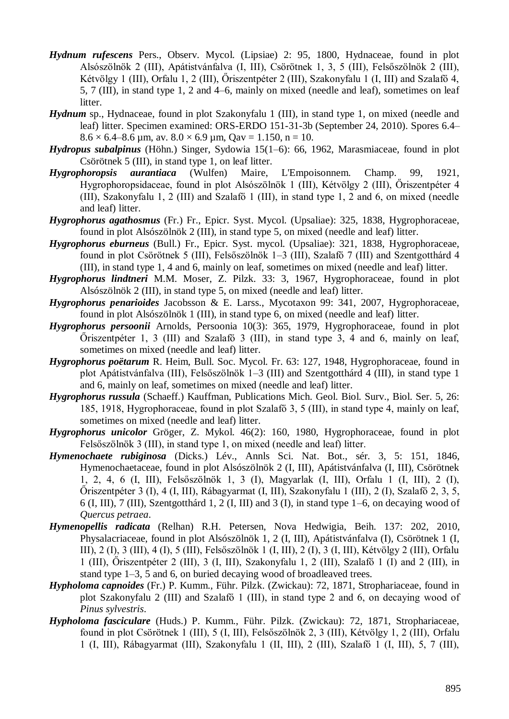- *Hydnum rufescens* Pers., Observ. Mycol. (Lipsiae) 2: 95, 1800, Hydnaceae, found in plot Alsószölnök 2 (III), Apátistvánfalva (I, III), Csörötnek 1, 3, 5 (III), Felsőszölnök 2 (III), Kétvölgy 1 (III), Orfalu 1, 2 (III), Őriszentpéter 2 (III), Szakonyfalu 1 (I, III) and Szalafő 4, 5, 7 (III), in stand type 1, 2 and 4–6, mainly on mixed (needle and leaf), sometimes on leaf litter.
- *Hydnum* sp., Hydnaceae, found in plot Szakonyfalu 1 (III), in stand type 1, on mixed (needle and leaf) litter. Specimen examined: ORS-ERDO 151-31-3b (September 24, 2010). Spores 6.4–  $8.6 \times 6.4 - 8.6 \text{ µm}, \text{av. } 8.0 \times 6.9 \text{ µm}, \text{Qav} = 1.150, \text{ n} = 10.$
- *Hydropus subalpinus* (Höhn.) Singer, Sydowia 15(1–6): 66, 1962, Marasmiaceae, found in plot Csörötnek 5 (III), in stand type 1, on leaf litter.
- *Hygrophoropsis aurantiaca* (Wulfen) Maire, L'Empoisonnem. Champ. 99, 1921, Hygrophoropsidaceae, found in plot Alsószölnök 1 (III), Kétvölgy 2 (III), Őriszentpéter 4 (III), Szakonyfalu 1, 2 (III) and Szalafő 1 (III), in stand type 1, 2 and 6, on mixed (needle and leaf) litter.
- *Hygrophorus agathosmus* (Fr.) Fr., Epicr. Syst. Mycol. (Upsaliae): 325, 1838, Hygrophoraceae, found in plot Alsószölnök 2 (III), in stand type 5, on mixed (needle and leaf) litter.
- *Hygrophorus eburneus* (Bull.) Fr., Epicr. Syst. mycol. (Upsaliae): 321, 1838, Hygrophoraceae, found in plot Csörötnek 5 (III), Felsőszölnök 1–3 (III), Szalafő 7 (III) and Szentgotthárd 4 (III), in stand type 1, 4 and 6, mainly on leaf, sometimes on mixed (needle and leaf) litter.
- *Hygrophorus lindtneri* M.M. Moser, Z. Pilzk. 33: 3, 1967, Hygrophoraceae, found in plot Alsószölnök 2 (III), in stand type 5, on mixed (needle and leaf) litter.
- *Hygrophorus penarioides* Jacobsson & E. Larss., Mycotaxon 99: 341, 2007, Hygrophoraceae, found in plot Alsószölnök 1 (III), in stand type 6, on mixed (needle and leaf) litter.
- *Hygrophorus persoonii* Arnolds, Persoonia 10(3): 365, 1979, Hygrophoraceae, found in plot Őriszentpéter 1, 3 (III) and Szalafő 3 (III), in stand type 3, 4 and 6, mainly on leaf, sometimes on mixed (needle and leaf) litter.
- *Hygrophorus poëtarum* R. Heim, Bull. Soc. Mycol. Fr. 63: 127, 1948, Hygrophoraceae, found in plot Apátistvánfalva (III), Felsőszölnök 1–3 (III) and Szentgotthárd 4 (III), in stand type 1 and 6, mainly on leaf, sometimes on mixed (needle and leaf) litter.
- *Hygrophorus russula* (Schaeff.) Kauffman, Publications Mich. Geol. Biol. Surv., Biol. Ser. 5, 26: 185, 1918, Hygrophoraceae, found in plot Szalafő 3, 5 (III), in stand type 4, mainly on leaf, sometimes on mixed (needle and leaf) litter.
- *Hygrophorus unicolor* Gröger, Z. Mykol. 46(2): 160, 1980, Hygrophoraceae, found in plot Felsőszölnök 3 (III), in stand type 1, on mixed (needle and leaf) litter.
- *Hymenochaete rubiginosa* (Dicks.) Lév., Annls Sci. Nat. Bot., sér. 3, 5: 151, 1846, Hymenochaetaceae, found in plot Alsószölnök 2 (I, III), Apátistvánfalva (I, III), Csörötnek 1, 2, 4, 6 (I, III), Felsőszölnök 1, 3 (I), Magyarlak (I, III), Orfalu 1 (I, III), 2 (I), Őriszentpéter 3 (I), 4 (I, III), Rábagyarmat (I, III), Szakonyfalu 1 (III), 2 (I), Szalafő 2, 3, 5, 6 (I, III), 7 (III), Szentgotthárd 1, 2 (I, III) and 3 (I), in stand type 1–6, on decaying wood of *Quercus petraea*.
- *Hymenopellis radicata* (Relhan) R.H. Petersen, Nova Hedwigia, Beih. 137: 202, 2010, Physalacriaceae, found in plot Alsószölnök 1, 2 (I, III), Apátistvánfalva (I), Csörötnek 1 (I, III), 2 (I), 3 (III), 4 (I), 5 (III), Felsőszölnök 1 (I, III), 2 (I), 3 (I, III), Kétvölgy 2 (III), Orfalu 1 (III), Őriszentpéter 2 (III), 3 (I, III), Szakonyfalu 1, 2 (III), Szalafő 1 (I) and 2 (III), in stand type 1–3, 5 and 6, on buried decaying wood of broadleaved trees.
- *Hypholoma capnoides* (Fr.) P. Kumm., Führ. Pilzk. (Zwickau): 72, 1871, Strophariaceae, found in plot Szakonyfalu 2 (III) and Szalafő 1 (III), in stand type 2 and 6, on decaying wood of *Pinus sylvestris*.
- *Hypholoma fasciculare* (Huds.) P. Kumm., Führ. Pilzk. (Zwickau): 72, 1871, Strophariaceae, found in plot Csörötnek 1 (III), 5 (I, III), Felsőszölnök 2, 3 (III), Kétvölgy 1, 2 (III), Orfalu 1 (I, III), Rábagyarmat (III), Szakonyfalu 1 (II, III), 2 (III), Szalafő 1 (I, III), 5, 7 (III),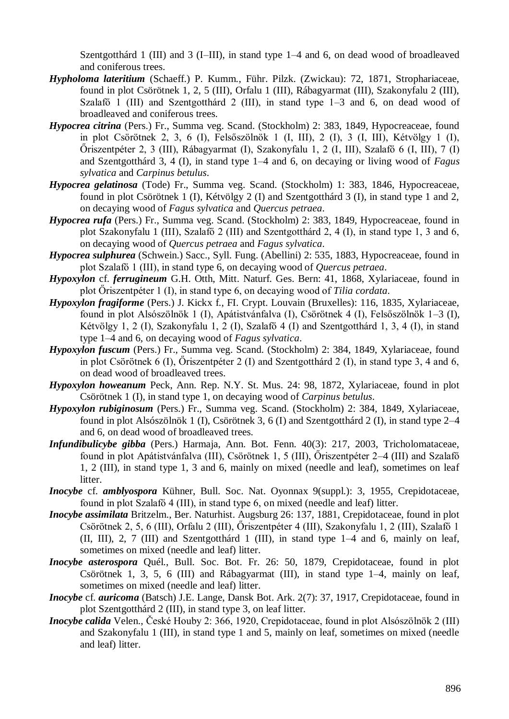Szentgotthárd 1 (III) and 3 (I–III), in stand type 1–4 and 6, on dead wood of broadleaved and coniferous trees.

- *Hypholoma lateritium* (Schaeff.) P. Kumm., Führ. Pilzk. (Zwickau): 72, 1871, Strophariaceae, found in plot Csörötnek 1, 2, 5 (III), Orfalu 1 (III), Rábagyarmat (III), Szakonyfalu 2 (III), Szalafő 1 (III) and Szentgotthárd 2 (III), in stand type 1–3 and 6, on dead wood of broadleaved and coniferous trees.
- *Hypocrea citrina* (Pers.) Fr., Summa veg. Scand. (Stockholm) 2: 383, 1849, Hypocreaceae, found in plot Csörötnek 2, 3, 6 (I), Felsőszölnök 1 (I, III), 2 (I), 3 (I, III), Kétvölgy 1 (I), Őriszentpéter 2, 3 (III), Rábagyarmat (I), Szakonyfalu 1, 2 (I, III), Szalafő 6 (I, III), 7 (I) and Szentgotthárd 3, 4 (I), in stand type 1–4 and 6, on decaying or living wood of *Fagus sylvatica* and *Carpinus betulus*.
- *Hypocrea gelatinosa* (Tode) Fr., Summa veg. Scand. (Stockholm) 1: 383, 1846, Hypocreaceae, found in plot Csörötnek 1 (I), Kétvölgy 2 (I) and Szentgotthárd 3 (I), in stand type 1 and 2, on decaying wood of *Fagus sylvatica* and *Quercus petraea*.
- *Hypocrea rufa* (Pers.) Fr., Summa veg. Scand. (Stockholm) 2: 383, 1849, Hypocreaceae, found in plot Szakonyfalu 1 (III), Szalafő 2 (III) and Szentgotthárd 2, 4 (I), in stand type 1, 3 and 6, on decaying wood of *Quercus petraea* and *Fagus sylvatica*.
- *Hypocrea sulphurea* (Schwein.) Sacc., Syll. Fung. (Abellini) 2: 535, 1883, Hypocreaceae, found in plot Szalafő 1 (III), in stand type 6, on decaying wood of *Quercus petraea*.
- *Hypoxylon* cf. *ferrugineum* G.H. Otth, Mitt. Naturf. Ges. Bern: 41, 1868, Xylariaceae, found in plot Őriszentpéter 1 (I), in stand type 6, on decaying wood of *Tilia cordata*.
- *Hypoxylon fragiforme* (Pers.) J. Kickx f., FI. Crypt. Louvain (Bruxelles): 116, 1835, Xylariaceae, found in plot Alsószölnök 1 (I), Apátistvánfalva (I), Csörötnek 4 (I), Felsőszölnök 1–3 (I), Kétvölgy 1, 2 (I), Szakonyfalu 1, 2 (I), Szalafő 4 (I) and Szentgotthárd 1, 3, 4 (I), in stand type 1–4 and 6, on decaying wood of *Fagus sylvatica*.
- *Hypoxylon fuscum* (Pers.) Fr., Summa veg. Scand. (Stockholm) 2: 384, 1849, Xylariaceae, found in plot Csörötnek 6 (I), Őriszentpéter 2 (I) and Szentgotthárd 2 (I), in stand type 3, 4 and 6, on dead wood of broadleaved trees.
- *Hypoxylon howeanum* Peck, Ann. Rep. N.Y. St. Mus. 24: 98, 1872, Xylariaceae, found in plot Csörötnek 1 (I), in stand type 1, on decaying wood of *Carpinus betulus*.
- *Hypoxylon rubiginosum* (Pers.) Fr., Summa veg. Scand. (Stockholm) 2: 384, 1849, Xylariaceae, found in plot Alsószölnök 1 (I), Csörötnek 3, 6 (I) and Szentgotthárd 2 (I), in stand type 2–4 and 6, on dead wood of broadleaved trees.
- *Infundibulicybe gibba* (Pers.) Harmaja, Ann. Bot. Fenn. 40(3): 217, 2003, Tricholomataceae, found in plot Apátistvánfalva (III), Csörötnek 1, 5 (III), Őriszentpéter 2–4 (III) and Szalafő 1, 2 (III), in stand type 1, 3 and 6, mainly on mixed (needle and leaf), sometimes on leaf litter.
- *Inocybe* cf. *amblyospora* Kühner, Bull. Soc. Nat. Oyonnax 9(suppl.): 3, 1955, Crepidotaceae, found in plot Szalafő 4 (III), in stand type 6, on mixed (needle and leaf) litter.
- *Inocybe assimilata* Britzelm., Ber. Naturhist. Augsburg 26: 137, 1881, Crepidotaceae, found in plot Csörötnek 2, 5, 6 (III), Orfalu 2 (III), Őriszentpéter 4 (III), Szakonyfalu 1, 2 (III), Szalafő 1 (II, III), 2, 7 (III) and Szentgotthárd 1 (III), in stand type 1–4 and 6, mainly on leaf, sometimes on mixed (needle and leaf) litter.
- *Inocybe asterospora* Quél., Bull. Soc. Bot. Fr. 26: 50, 1879, Crepidotaceae, found in plot Csörötnek 1, 3, 5, 6 (III) and Rábagyarmat (III), in stand type 1–4, mainly on leaf, sometimes on mixed (needle and leaf) litter.
- *Inocybe* cf. *auricoma* (Batsch) J.E. Lange, Dansk Bot. Ark. 2(7): 37, 1917, Crepidotaceae, found in plot Szentgotthárd 2 (III), in stand type 3, on leaf litter.
- *Inocybe calida* Velen., České Houby 2: 366, 1920, Crepidotaceae, found in plot Alsószölnök 2 (III) and Szakonyfalu 1 (III), in stand type 1 and 5, mainly on leaf, sometimes on mixed (needle and leaf) litter.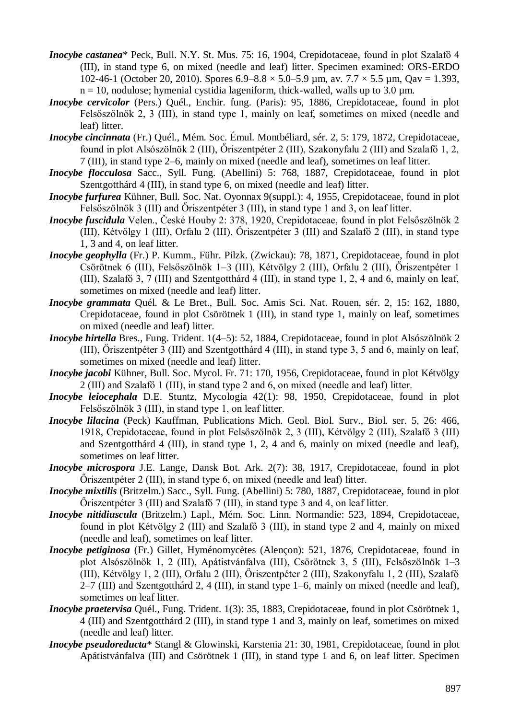- *Inocybe castanea*\* Peck, Bull. N.Y. St. Mus. 75: 16, 1904, Crepidotaceae, found in plot Szalafő 4 (III), in stand type 6, on mixed (needle and leaf) litter. Specimen examined: ORS-ERDO 102-46-1 (October 20, 2010). Spores  $6.9-8.8 \times 5.0-5.9$  µm, av.  $7.7 \times 5.5$  µm, Qav = 1.393,  $n = 10$ , nodulose; hymenial cystidia lageniform, thick-walled, walls up to 3.0 um.
- *Inocybe cervicolor* (Pers.) Quél., Enchir. fung. (Paris): 95, 1886, Crepidotaceae, found in plot Felsőszölnök 2, 3 (III), in stand type 1, mainly on leaf, sometimes on mixed (needle and leaf) litter.
- *Inocybe cincinnata* (Fr.) Quél., Mém. Soc. Émul. Montbéliard, sér. 2, 5: 179, 1872, Crepidotaceae, found in plot Alsószölnök 2 (III), Őriszentpéter 2 (III), Szakonyfalu 2 (III) and Szalafő 1, 2, 7 (III), in stand type 2–6, mainly on mixed (needle and leaf), sometimes on leaf litter.
- *Inocybe flocculosa* Sacc., Syll. Fung. (Abellini) 5: 768, 1887, Crepidotaceae, found in plot Szentgotthárd 4 (III), in stand type 6, on mixed (needle and leaf) litter.
- *Inocybe furfurea* Kühner, Bull. Soc. Nat. Oyonnax 9(suppl.): 4, 1955, Crepidotaceae, found in plot Felsőszölnök 3 (III) and Őriszentpéter 3 (III), in stand type 1 and 3, on leaf litter.
- *Inocybe fuscidula* Velen., České Houby 2: 378, 1920, Crepidotaceae, found in plot Felsőszölnök 2 (III), Kétvölgy 1 (III), Orfalu 2 (III), Őriszentpéter 3 (III) and Szalafő 2 (III), in stand type 1, 3 and 4, on leaf litter.
- *Inocybe geophylla* (Fr.) P. Kumm., Führ. Pilzk. (Zwickau): 78, 1871, Crepidotaceae, found in plot Csörötnek 6 (III), Felsőszölnök 1–3 (III), Kétvölgy 2 (III), Orfalu 2 (III), Őriszentpéter 1 (III), Szalafő 3, 7 (III) and Szentgotthárd 4 (III), in stand type 1, 2, 4 and 6, mainly on leaf, sometimes on mixed (needle and leaf) litter.
- *Inocybe grammata* Quél. & Le Bret., Bull. Soc. Amis Sci. Nat. Rouen, sér. 2, 15: 162, 1880, Crepidotaceae, found in plot Csörötnek 1 (III), in stand type 1, mainly on leaf, sometimes on mixed (needle and leaf) litter.
- *Inocybe hirtella* Bres., Fung. Trident. 1(4–5): 52, 1884, Crepidotaceae, found in plot Alsószölnök 2 (III), Őriszentpéter 3 (III) and Szentgotthárd 4 (III), in stand type 3, 5 and 6, mainly on leaf, sometimes on mixed (needle and leaf) litter.
- *Inocybe jacobi* Kühner, Bull. Soc. Mycol. Fr. 71: 170, 1956, Crepidotaceae, found in plot Kétvölgy 2 (III) and Szalafő 1 (III), in stand type 2 and 6, on mixed (needle and leaf) litter.
- *Inocybe leiocephala* D.E. Stuntz, Mycologia 42(1): 98, 1950, Crepidotaceae, found in plot Felsőszölnök 3 (III), in stand type 1, on leaf litter.
- *Inocybe lilacina* (Peck) Kauffman, Publications Mich. Geol. Biol. Surv., Biol. ser. 5, 26: 466, 1918, Crepidotaceae, found in plot Felsőszölnök 2, 3 (III), Kétvölgy 2 (III), Szalafő 3 (III) and Szentgotthárd 4 (III), in stand type 1, 2, 4 and 6, mainly on mixed (needle and leaf), sometimes on leaf litter.
- *Inocybe microspora* J.E. Lange, Dansk Bot. Ark. 2(7): 38, 1917, Crepidotaceae, found in plot Őriszentpéter 2 (III), in stand type 6, on mixed (needle and leaf) litter.
- *Inocybe mixtilis* (Britzelm.) Sacc., Syll. Fung. (Abellini) 5: 780, 1887, Crepidotaceae, found in plot Őriszentpéter 3 (III) and Szalafő 7 (III), in stand type 3 and 4, on leaf litter.
- *Inocybe nitidiuscula* (Britzelm.) Lapl., Mém. Soc. Linn. Normandie: 523, 1894, Crepidotaceae, found in plot Kétvölgy 2 (III) and Szalafő 3 (III), in stand type 2 and 4, mainly on mixed (needle and leaf), sometimes on leaf litter.
- *Inocybe petiginosa* (Fr.) Gillet, Hyménomycètes (Alençon): 521, 1876, Crepidotaceae, found in plot Alsószölnök 1, 2 (III), Apátistvánfalva (III), Csörötnek 3, 5 (III), Felsőszölnök 1–3 (III), Kétvölgy 1, 2 (III), Orfalu 2 (III), Őriszentpéter 2 (III), Szakonyfalu 1, 2 (III), Szalafő 2–7 (III) and Szentgotthárd 2, 4 (III), in stand type 1–6, mainly on mixed (needle and leaf), sometimes on leaf litter.
- *Inocybe praetervisa* Quél., Fung. Trident. 1(3): 35, 1883, Crepidotaceae, found in plot Csörötnek 1, 4 (III) and Szentgotthárd 2 (III), in stand type 1 and 3, mainly on leaf, sometimes on mixed (needle and leaf) litter.
- *Inocybe pseudoreducta*\* Stangl & Glowinski, Karstenia 21: 30, 1981, Crepidotaceae, found in plot Apátistvánfalva (III) and Csörötnek 1 (III), in stand type 1 and 6, on leaf litter. Specimen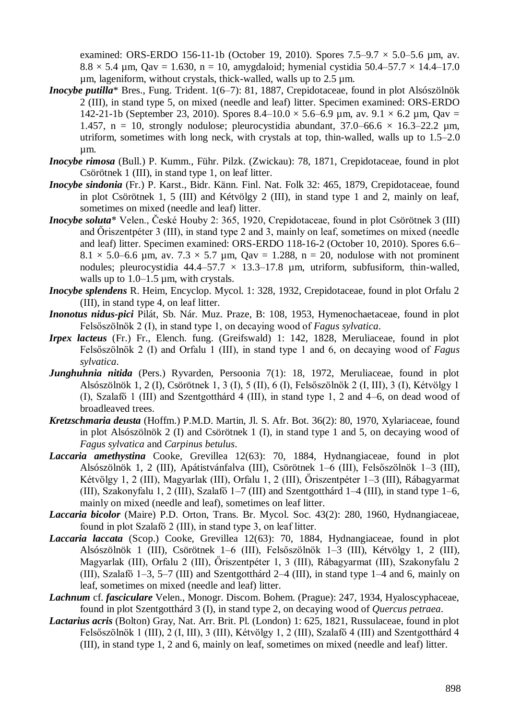examined: ORS-ERDO 156-11-1b (October 19, 2010). Spores  $7.5-9.7 \times 5.0-5.6$  um, av.  $8.8 \times 5.4$  µm, Qav = 1.630, n = 10, amygdaloid; hymenial cystidia 50.4–57.7  $\times$  14.4–17.0 µm, lageniform, without crystals, thick-walled, walls up to 2.5 µm.

- *Inocybe putilla*<sup>\*</sup> Bres., Fung. Trident. 1(6–7): 81, 1887. Crepidotaceae, found in plot Alsószölnök 2 (III), in stand type 5, on mixed (needle and leaf) litter. Specimen examined: ORS-ERDO 142-21-1b (September 23, 2010). Spores 8.4–10.0  $\times$  5.6–6.9 µm, av. 9.1  $\times$  6.2 µm, Qav = 1.457, n = 10, strongly nodulose; pleurocystidia abundant,  $37.0-66.6 \times 16.3-22.2 \mu m$ , utriform, sometimes with long neck, with crystals at top, thin-walled, walls up to 1.5–2.0 µm.
- *Inocybe rimosa* (Bull.) P. Kumm., Führ. Pilzk. (Zwickau): 78, 1871, Crepidotaceae, found in plot Csörötnek 1 (III), in stand type 1, on leaf litter.
- *Inocybe sindonia* (Fr.) P. Karst., Bidr. Känn. Finl. Nat. Folk 32: 465, 1879, Crepidotaceae, found in plot Csörötnek 1, 5 (III) and Kétvölgy 2 (III), in stand type 1 and 2, mainly on leaf, sometimes on mixed (needle and leaf) litter.
- *Inocybe soluta*\* Velen., České Houby 2: 365, 1920, Crepidotaceae, found in plot Csörötnek 3 (III) and Őriszentpéter 3 (III), in stand type 2 and 3, mainly on leaf, sometimes on mixed (needle and leaf) litter. Specimen examined: ORS-ERDO 118-16-2 (October 10, 2010). Spores 6.6–  $8.1 \times 5.0$ –6.6 µm, av.  $7.3 \times 5.7$  µm, Qav = 1.288, n = 20, nodulose with not prominent nodules; pleurocystidia  $44.4-57.7 \times 13.3-17.8$  µm, utriform, subfusiform, thin-walled, walls up to  $1.0-1.5$  µm, with crystals.
- *Inocybe splendens* R. Heim, Encyclop. Mycol. 1: 328, 1932, Crepidotaceae, found in plot Orfalu 2 (III), in stand type 4, on leaf litter.
- *Inonotus nidus-pici* Pilát, Sb. Nár. Muz. Praze, B: 108, 1953, Hymenochaetaceae, found in plot Felsőszölnök 2 (I), in stand type 1, on decaying wood of *Fagus sylvatica*.
- *Irpex lacteus* (Fr.) Fr., Elench. fung. (Greifswald) 1: 142, 1828, Meruliaceae, found in plot Felsőszölnök 2 (I) and Orfalu 1 (III), in stand type 1 and 6, on decaying wood of *Fagus sylvatica*.
- *Junghuhnia nitida* (Pers.) Ryvarden, Persoonia 7(1): 18, 1972, Meruliaceae, found in plot Alsószölnök 1, 2 (I), Csörötnek 1, 3 (I), 5 (II), 6 (I), Felsőszölnök 2 (I, III), 3 (I), Kétvölgy 1 (I), Szalafő 1 (III) and Szentgotthárd 4 (III), in stand type 1, 2 and 4–6, on dead wood of broadleaved trees.
- *Kretzschmaria deusta* (Hoffm.) P.M.D. Martin, Jl. S. Afr. Bot. 36(2): 80, 1970, Xylariaceae, found in plot Alsószölnök 2 (I) and Csörötnek 1 (I), in stand type 1 and 5, on decaying wood of *Fagus sylvatica* and *Carpinus betulus*.
- *Laccaria amethystina* Cooke, Grevillea 12(63): 70, 1884, Hydnangiaceae, found in plot Alsószölnök 1, 2 (III), Apátistvánfalva (III), Csörötnek 1–6 (III), Felsőszölnök 1–3 (III), Kétvölgy 1, 2 (III), Magyarlak (III), Orfalu 1, 2 (III), Őriszentpéter 1–3 (III), Rábagyarmat (III), Szakonyfalu 1, 2 (III), Szalafő 1–7 (III) and Szentgotthárd 1–4 (III), in stand type 1–6, mainly on mixed (needle and leaf), sometimes on leaf litter.
- *Laccaria bicolor* (Maire) P.D. Orton, Trans. Br. Mycol. Soc. 43(2): 280, 1960, Hydnangiaceae, found in plot Szalafő 2 (III), in stand type 3, on leaf litter.
- *Laccaria laccata* (Scop.) Cooke, Grevillea 12(63): 70, 1884, Hydnangiaceae, found in plot Alsószölnök 1 (III), Csörötnek 1–6 (III), Felsőszölnök 1–3 (III), Kétvölgy 1, 2 (III), Magyarlak (III), Orfalu 2 (III), Őriszentpéter 1, 3 (III), Rábagyarmat (III), Szakonyfalu 2 (III), Szalafő 1–3, 5–7 (III) and Szentgotthárd 2–4 (III), in stand type 1–4 and 6, mainly on leaf, sometimes on mixed (needle and leaf) litter.
- *Lachnum* cf. *fasciculare* Velen., Monogr. Discom. Bohem. (Prague): 247, 1934, Hyaloscyphaceae, found in plot Szentgotthárd 3 (I), in stand type 2, on decaying wood of *Quercus petraea*.
- *Lactarius acris* (Bolton) Gray, Nat. Arr. Brit. Pl. (London) 1: 625, 1821, Russulaceae, found in plot Felsőszölnök 1 (III), 2 (I, III), 3 (III), Kétvölgy 1, 2 (III), Szalafő 4 (III) and Szentgotthárd 4 (III), in stand type 1, 2 and 6, mainly on leaf, sometimes on mixed (needle and leaf) litter.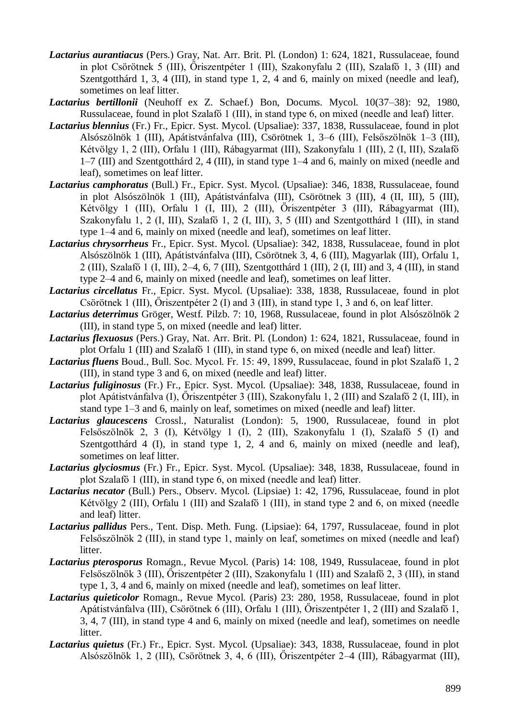- *Lactarius aurantiacus* (Pers.) Gray, Nat. Arr. Brit. Pl. (London) 1: 624, 1821, Russulaceae, found in plot Csörötnek 5 (III), Őriszentpéter 1 (III), Szakonyfalu 2 (III), Szalafő 1, 3 (III) and Szentgotthárd 1, 3, 4 (III), in stand type 1, 2, 4 and 6, mainly on mixed (needle and leaf), sometimes on leaf litter.
- *Lactarius bertillonii* (Neuhoff ex Z. Schaef.) Bon, Docums. Mycol. 10(37–38): 92, 1980, Russulaceae, found in plot Szalafő 1 (III), in stand type 6, on mixed (needle and leaf) litter.
- *Lactarius blennius* (Fr.) Fr., Epicr. Syst. Mycol. (Upsaliae): 337, 1838, Russulaceae, found in plot Alsószölnök 1 (III), Apátistvánfalva (III), Csörötnek 1, 3–6 (III), Felsőszölnök 1–3 (III), Kétvölgy 1, 2 (III), Orfalu 1 (III), Rábagyarmat (III), Szakonyfalu 1 (III), 2 (I, III), Szalafő 1–7 (III) and Szentgotthárd 2, 4 (III), in stand type 1–4 and 6, mainly on mixed (needle and leaf), sometimes on leaf litter.
- *Lactarius camphoratus* (Bull.) Fr., Epicr. Syst. Mycol. (Upsaliae): 346, 1838, Russulaceae, found in plot Alsószölnök 1 (III), Apátistvánfalva (III), Csörötnek 3 (III), 4 (II, III), 5 (III), Kétvölgy 1 (III), Orfalu 1 (I, III), 2 (III), Őriszentpéter 3 (III), Rábagyarmat (III), Szakonyfalu 1, 2 (I, III), Szalafő 1, 2 (I, III), 3, 5 (III) and Szentgotthárd 1 (III), in stand type 1–4 and 6, mainly on mixed (needle and leaf), sometimes on leaf litter.
- *Lactarius chrysorrheus* Fr., Epicr. Syst. Mycol. (Upsaliae): 342, 1838, Russulaceae, found in plot Alsószölnök 1 (III), Apátistvánfalva (III), Csörötnek 3, 4, 6 (III), Magyarlak (III), Orfalu 1, 2 (III), Szalafő 1 (I, III), 2–4, 6, 7 (III), Szentgotthárd 1 (III), 2 (I, III) and 3, 4 (III), in stand type 2–4 and 6, mainly on mixed (needle and leaf), sometimes on leaf litter.
- *Lactarius circellatus* Fr., Epicr. Syst. Mycol. (Upsaliae): 338, 1838, Russulaceae, found in plot Csörötnek 1 (III), Őriszentpéter 2 (I) and 3 (III), in stand type 1, 3 and 6, on leaf litter.
- *Lactarius deterrimus* Gröger, Westf. Pilzb. 7: 10, 1968, Russulaceae, found in plot Alsószölnök 2 (III), in stand type 5, on mixed (needle and leaf) litter.
- *Lactarius flexuosus* (Pers.) Gray, Nat. Arr. Brit. Pl. (London) 1: 624, 1821, Russulaceae, found in plot Orfalu 1 (III) and Szalafő 1 (III), in stand type 6, on mixed (needle and leaf) litter.
- *Lactarius fluens* Boud., Bull. Soc. Mycol. Fr. 15: 49, 1899, Russulaceae, found in plot Szalafő 1, 2 (III), in stand type 3 and 6, on mixed (needle and leaf) litter.
- *Lactarius fuliginosus* (Fr.) Fr., Epicr. Syst. Mycol. (Upsaliae): 348, 1838, Russulaceae, found in plot Apátistvánfalva (I), Őriszentpéter 3 (III), Szakonyfalu 1, 2 (III) and Szalafő 2 (I, III), in stand type 1–3 and 6, mainly on leaf, sometimes on mixed (needle and leaf) litter.
- *Lactarius glaucescens* Crossl., Naturalist (London): 5, 1900, Russulaceae, found in plot Felsőszölnök 2, 3 (I), Kétvölgy 1 (I), 2 (III), Szakonyfalu 1 (I), Szalafő 5 (I) and Szentgotthárd 4 (I), in stand type 1, 2, 4 and 6, mainly on mixed (needle and leaf), sometimes on leaf litter.
- *Lactarius glyciosmus* (Fr.) Fr., Epicr. Syst. Mycol. (Upsaliae): 348, 1838, Russulaceae, found in plot Szalafő 1 (III), in stand type 6, on mixed (needle and leaf) litter.
- *Lactarius necator* (Bull.) Pers., Observ. Mycol. (Lipsiae) 1: 42, 1796, Russulaceae, found in plot Kétvölgy 2 (III), Orfalu 1 (III) and Szalafő 1 (III), in stand type 2 and 6, on mixed (needle and leaf) litter.
- *Lactarius pallidus* Pers., Tent. Disp. Meth. Fung. (Lipsiae): 64, 1797, Russulaceae, found in plot Felsőszölnök 2 (III), in stand type 1, mainly on leaf, sometimes on mixed (needle and leaf) litter.
- *Lactarius pterosporus* Romagn., Revue Mycol. (Paris) 14: 108, 1949, Russulaceae, found in plot Felsőszölnök 3 (III), Őriszentpéter 2 (III), Szakonyfalu 1 (III) and Szalafő 2, 3 (III), in stand type 1, 3, 4 and 6, mainly on mixed (needle and leaf), sometimes on leaf litter.
- *Lactarius quieticolor* Romagn., Revue Mycol. (Paris) 23: 280, 1958, Russulaceae, found in plot Apátistvánfalva (III), Csörötnek 6 (III), Orfalu 1 (III), Őriszentpéter 1, 2 (III) and Szalafő 1, 3, 4, 7 (III), in stand type 4 and 6, mainly on mixed (needle and leaf), sometimes on needle litter.
- *Lactarius quietus* (Fr.) Fr., Epicr. Syst. Mycol. (Upsaliae): 343, 1838, Russulaceae, found in plot Alsószölnök 1, 2 (III), Csörötnek 3, 4, 6 (III), Őriszentpéter 2–4 (III), Rábagyarmat (III),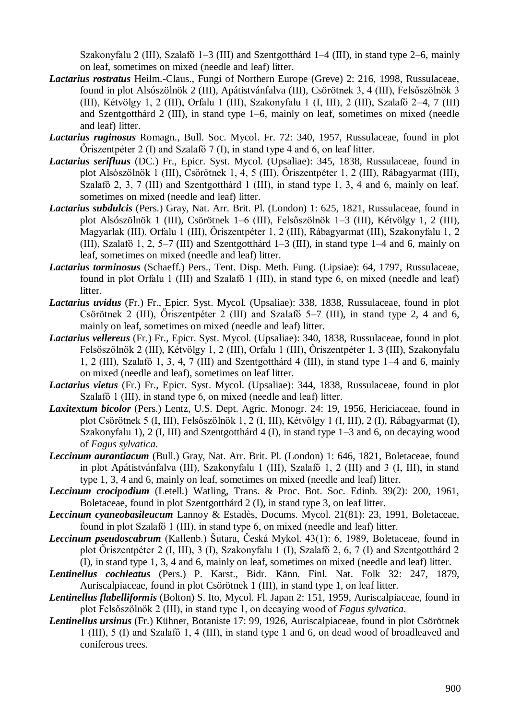Szakonyfalu 2 (III), Szalafő 1–3 (III) and Szentgotthárd 1–4 (III), in stand type 2–6, mainly on leaf, sometimes on mixed (needle and leaf) litter.

- *Lactarius rostratus* Heilm.-Claus., Fungi of Northern Europe (Greve) 2: 216, 1998, Russulaceae, found in plot Alsószölnök 2 (III), Apátistvánfalva (III), Csörötnek 3, 4 (III), Felsőszölnök 3 (III), Kétvölgy 1, 2 (III), Orfalu 1 (III), Szakonyfalu 1 (I, III), 2 (III), Szalafő 2–4, 7 (III) and Szentgotthárd 2 (III), in stand type 1–6, mainly on leaf, sometimes on mixed (needle and leaf) litter.
- *Lactarius ruginosus* Romagn., Bull. Soc. Mycol. Fr. 72: 340, 1957, Russulaceae, found in plot Őriszentpéter 2 (I) and Szalafő 7 (I), in stand type 4 and 6, on leaf litter.
- *Lactarius serifluus* (DC.) Fr., Epicr. Syst. Mycol. (Upsaliae): 345, 1838, Russulaceae, found in plot Alsószölnök 1 (III), Csörötnek 1, 4, 5 (III), Őriszentpéter 1, 2 (III), Rábagyarmat (III), Szalafő 2, 3, 7 (III) and Szentgotthárd 1 (III), in stand type 1, 3, 4 and 6, mainly on leaf, sometimes on mixed (needle and leaf) litter.
- *Lactarius subdulcis* (Pers.) Gray, Nat. Arr. Brit. Pl. (London) 1: 625, 1821, Russulaceae, found in plot Alsószölnök 1 (III), Csörötnek 1–6 (III), Felsőszölnök 1–3 (III), Kétvölgy 1, 2 (III), Magyarlak (III), Orfalu 1 (III), Őriszentpéter 1, 2 (III), Rábagyarmat (III), Szakonyfalu 1, 2 (III), Szalafő 1, 2, 5–7 (III) and Szentgotthárd 1–3 (III), in stand type 1–4 and 6, mainly on leaf, sometimes on mixed (needle and leaf) litter.
- *Lactarius torminosus* (Schaeff.) Pers., Tent. Disp. Meth. Fung. (Lipsiae): 64, 1797, Russulaceae, found in plot Orfalu 1 (III) and Szalafő 1 (III), in stand type 6, on mixed (needle and leaf) litter.
- *Lactarius uvidus* (Fr.) Fr., Epicr. Syst. Mycol. (Upsaliae): 338, 1838, Russulaceae, found in plot Csörötnek 2 (III), Őriszentpéter 2 (III) and Szalafő 5–7 (III), in stand type 2, 4 and 6, mainly on leaf, sometimes on mixed (needle and leaf) litter.
- *Lactarius vellereus* (Fr.) Fr., Epicr. Syst. Mycol. (Upsaliae): 340, 1838, Russulaceae, found in plot Felsőszölnök 2 (III), Kétvölgy 1, 2 (III), Orfalu 1 (III), Őriszentpéter 1, 3 (III), Szakonyfalu 1, 2 (III), Szalafő 1, 3, 4, 7 (III) and Szentgotthárd 4 (III), in stand type 1–4 and 6, mainly on mixed (needle and leaf), sometimes on leaf litter.
- *Lactarius vietus* (Fr.) Fr., Epicr. Syst. Mycol. (Upsaliae): 344, 1838, Russulaceae, found in plot Szalafő 1 (III), in stand type 6, on mixed (needle and leaf) litter.
- *Laxitextum bicolor* (Pers.) Lentz, U.S. Dept. Agric. Monogr. 24: 19, 1956, Hericiaceae, found in plot Csörötnek 5 (I, III), Felsőszölnök 1, 2 (I, III), Kétvölgy 1 (I, III), 2 (I), Rábagyarmat (I), Szakonyfalu 1), 2 (I, III) and Szentgotthárd 4 (I), in stand type 1–3 and 6, on decaying wood of *Fagus sylvatica*.
- *Leccinum aurantiacum* (Bull.) Gray, Nat. Arr. Brit. Pl. (London) 1: 646, 1821, Boletaceae, found in plot Apátistvánfalva (III), Szakonyfalu 1 (III), Szalafő 1, 2 (III) and 3 (I, III), in stand type 1, 3, 4 and 6, mainly on leaf, sometimes on mixed (needle and leaf) litter.
- *Leccinum crocipodium* (Letell.) Watling, Trans. & Proc. Bot. Soc. Edinb. 39(2): 200, 1961, Boletaceae, found in plot Szentgotthárd 2 (I), in stand type 3, on leaf litter.
- *Leccinum cyaneobasileucum* Lannoy & Estadès, Docums. Mycol. 21(81): 23, 1991, Boletaceae, found in plot Szalafő 1 (III), in stand type 6, on mixed (needle and leaf) litter.
- *Leccinum pseudoscabrum* (Kallenb.) Šutara, Česká Mykol. 43(1): 6, 1989, Boletaceae, found in plot Őriszentpéter 2 (I, III), 3 (I), Szakonyfalu 1 (I), Szalafő 2, 6, 7 (I) and Szentgotthárd 2 (I), in stand type 1, 3, 4 and 6, mainly on leaf, sometimes on mixed (needle and leaf) litter.
- *Lentinellus cochleatus* (Pers.) P. Karst., Bidr. Känn. Finl. Nat. Folk 32: 247, 1879, Auriscalpiaceae, found in plot Csörötnek 1 (III), in stand type 1, on leaf litter.
- *Lentinellus flabelliformis* (Bolton) S. Ito, Mycol. Fl. Japan 2: 151, 1959, Auriscalpiaceae, found in plot Felsőszölnök 2 (III), in stand type 1, on decaying wood of *Fagus sylvatica*.
- *Lentinellus ursinus* (Fr.) Kühner, Botaniste 17: 99, 1926, Auriscalpiaceae, found in plot Csörötnek 1 (III), 5 (I) and Szalafő 1, 4 (III), in stand type 1 and 6, on dead wood of broadleaved and coniferous trees.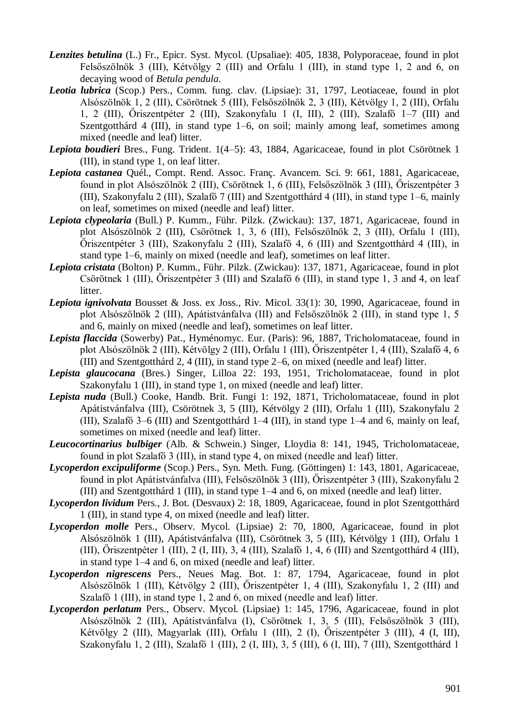- *Lenzites betulina* (L.) Fr., Epicr. Syst. Mycol. (Upsaliae): 405, 1838, Polyporaceae, found in plot Felsőszölnök 3 (III), Kétvölgy 2 (III) and Orfalu 1 (III), in stand type 1, 2 and 6, on decaying wood of *Betula pendula*.
- *Leotia lubrica* (Scop.) Pers., Comm. fung. clav. (Lipsiae): 31, 1797, Leotiaceae, found in plot Alsószölnök 1, 2 (III), Csörötnek 5 (III), Felsőszölnök 2, 3 (III), Kétvölgy 1, 2 (III), Orfalu 1, 2 (III), Őriszentpéter 2 (III), Szakonyfalu 1 (I, III), 2 (III), Szalafő 1–7 (III) and Szentgotthárd 4 (III), in stand type 1–6, on soil; mainly among leaf, sometimes among mixed (needle and leaf) litter.
- *Lepiota boudieri* Bres., Fung. Trident. 1(4–5): 43, 1884, Agaricaceae, found in plot Csörötnek 1 (III), in stand type 1, on leaf litter.
- *Lepiota castanea* Quél., Compt. Rend. Assoc. Franç. Avancem. Sci. 9: 661, 1881, Agaricaceae, found in plot Alsószölnök 2 (III), Csörötnek 1, 6 (III), Felsőszölnök 3 (III), Őriszentpéter 3 (III), Szakonyfalu 2 (III), Szalafő 7 (III) and Szentgotthárd 4 (III), in stand type 1–6, mainly on leaf, sometimes on mixed (needle and leaf) litter.
- *Lepiota clypeolaria* (Bull.) P. Kumm., Führ. Pilzk. (Zwickau): 137, 1871, Agaricaceae, found in plot Alsószölnök 2 (III), Csörötnek 1, 3, 6 (III), Felsőszölnök 2, 3 (III), Orfalu 1 (III), Őriszentpéter 3 (III), Szakonyfalu 2 (III), Szalafő 4, 6 (III) and Szentgotthárd 4 (III), in stand type 1–6, mainly on mixed (needle and leaf), sometimes on leaf litter.
- *Lepiota cristata* (Bolton) P. Kumm., Führ. Pilzk. (Zwickau): 137, 1871, Agaricaceae, found in plot Csörötnek 1 (III), Őriszentpéter 3 (III) and Szalafő 6 (III), in stand type 1, 3 and 4, on leaf litter.
- *Lepiota ignivolvata* Bousset & Joss. ex Joss., Riv. Micol. 33(1): 30, 1990, Agaricaceae, found in plot Alsószölnök 2 (III), Apátistvánfalva (III) and Felsőszölnök 2 (III), in stand type 1, 5 and 6, mainly on mixed (needle and leaf), sometimes on leaf litter.
- *Lepista flaccida* (Sowerby) Pat., Hyménomyc. Eur. (Paris): 96, 1887, Tricholomataceae, found in plot Alsószölnök 2 (III), Kétvölgy 2 (III), Orfalu 1 (III), Őriszentpéter 1, 4 (III), Szalafő 4, 6 (III) and Szentgotthárd 2, 4 (III), in stand type 2–6, on mixed (needle and leaf) litter.
- *Lepista glaucocana* (Bres.) Singer, Lilloa 22: 193, 1951, Tricholomataceae, found in plot Szakonyfalu 1 (III), in stand type 1, on mixed (needle and leaf) litter.
- *Lepista nuda* (Bull.) Cooke, Handb. Brit. Fungi 1: 192, 1871, Tricholomataceae, found in plot Apátistvánfalva (III), Csörötnek 3, 5 (III), Kétvölgy 2 (III), Orfalu 1 (III), Szakonyfalu 2 (III), Szalafő 3–6 (III) and Szentgotthárd 1–4 (III), in stand type 1–4 and 6, mainly on leaf, sometimes on mixed (needle and leaf) litter.
- *Leucocortinarius bulbiger* (Alb. & Schwein.) Singer, Lloydia 8: 141, 1945, Tricholomataceae, found in plot Szalafő 3 (III), in stand type 4, on mixed (needle and leaf) litter.
- *Lycoperdon excipuliforme* (Scop.) Pers., Syn. Meth. Fung. (Göttingen) 1: 143, 1801, Agaricaceae, found in plot Apátistvánfalva (III), Felsőszölnök 3 (III), Őriszentpéter 3 (III), Szakonyfalu 2 (III) and Szentgotthárd 1 (III), in stand type 1–4 and 6, on mixed (needle and leaf) litter.
- *Lycoperdon lividum* Pers., J. Bot. (Desvaux) 2: 18, 1809, Agaricaceae, found in plot Szentgotthárd 1 (III), in stand type 4, on mixed (needle and leaf) litter.
- *Lycoperdon molle* Pers., Observ. Mycol. (Lipsiae) 2: 70, 1800, Agaricaceae, found in plot Alsószölnök 1 (III), Apátistvánfalva (III), Csörötnek 3, 5 (III), Kétvölgy 1 (III), Orfalu 1 (III), Őriszentpéter 1 (III), 2 (I, III), 3, 4 (III), Szalafő 1, 4, 6 (III) and Szentgotthárd 4 (III), in stand type 1–4 and 6, on mixed (needle and leaf) litter.
- *Lycoperdon nigrescens* Pers., Neues Mag. Bot. 1: 87, 1794, Agaricaceae, found in plot Alsószölnök 1 (III), Kétvölgy 2 (III), Őriszentpéter 1, 4 (III), Szakonyfalu 1, 2 (III) and Szalafő 1 (III), in stand type 1, 2 and 6, on mixed (needle and leaf) litter.
- *Lycoperdon perlatum* Pers., Observ. Mycol. (Lipsiae) 1: 145, 1796, Agaricaceae, found in plot Alsószölnök 2 (III), Apátistvánfalva (I), Csörötnek 1, 3, 5 (III), Felsőszölnök 3 (III), Kétvölgy 2 (III), Magyarlak (III), Orfalu 1 (III), 2 (I), Őriszentpéter 3 (III), 4 (I, III), Szakonyfalu 1, 2 (III), Szalafő 1 (III), 2 (I, III), 3, 5 (III), 6 (I, III), 7 (III), Szentgotthárd 1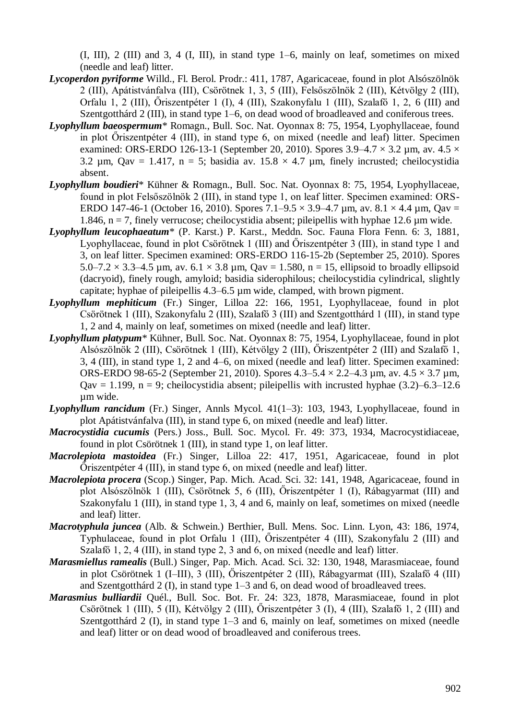(I, III), 2 (III) and 3, 4 (I, III), in stand type 1–6, mainly on leaf, sometimes on mixed (needle and leaf) litter.

- *Lycoperdon pyriforme* Willd., Fl. Berol. Prodr.: 411, 1787, Agaricaceae, found in plot Alsószölnök 2 (III), Apátistvánfalva (III), Csörötnek 1, 3, 5 (III), Felsőszölnök 2 (III), Kétvölgy 2 (III), Orfalu 1, 2 (III), Őriszentpéter 1 (I), 4 (III), Szakonyfalu 1 (III), Szalafő 1, 2, 6 (III) and Szentgotthárd 2 (III), in stand type 1–6, on dead wood of broadleaved and coniferous trees.
- *Lyophyllum baeospermum*\* Romagn., Bull. Soc. Nat. Oyonnax 8: 75, 1954, Lyophyllaceae, found in plot Őriszentpéter 4 (III), in stand type 6, on mixed (needle and leaf) litter. Specimen examined: ORS-ERDO 126-13-1 (September 20, 2010). Spores  $3.9-4.7 \times 3.2$  µm, av.  $4.5 \times$ 3.2  $\mu$ m, Qav = 1.417, n = 5; basidia av. 15.8  $\times$  4.7  $\mu$ m, finely incrusted; cheilocystidia absent.
- *Lyophyllum boudieri*\* Kühner & Romagn., Bull. Soc. Nat. Oyonnax 8: 75, 1954, Lyophyllaceae, found in plot Felsőszölnök 2 (III), in stand type 1, on leaf litter. Specimen examined: ORS-ERDO 147-46-1 (October 16, 2010). Spores 7.1–9.5  $\times$  3.9–4.7 µm, av. 8.1  $\times$  4.4 µm, Qav = 1.846,  $n = 7$ , finely verrucose; cheilocystidia absent; pileipellis with hyphae 12.6  $\mu$ m wide.
- *Lyophyllum leucophaeatum*\* (P. Karst.) P. Karst., Meddn. Soc. Fauna Flora Fenn. 6: 3, 1881, Lyophyllaceae, found in plot Csörötnek 1 (III) and Őriszentpéter 3 (III), in stand type 1 and 3, on leaf litter. Specimen examined: ORS-ERDO 116-15-2b (September 25, 2010). Spores  $5.0 - 7.2 \times 3.3 - 4.5$  µm, av.  $6.1 \times 3.8$  µm, Qav = 1.580, n = 15, ellipsoid to broadly ellipsoid (dacryoid), finely rough, amyloid; basidia siderophilous; cheilocystidia cylindrical, slightly capitate; hyphae of pileipellis 4.3–6.5 µm wide, clamped, with brown pigment.
- *Lyophyllum mephiticum* (Fr.) Singer, Lilloa 22: 166, 1951, Lyophyllaceae, found in plot Csörötnek 1 (III), Szakonyfalu 2 (III), Szalafő 3 (III) and Szentgotthárd 1 (III), in stand type 1, 2 and 4, mainly on leaf, sometimes on mixed (needle and leaf) litter.
- *Lyophyllum platypum*\* Kühner, Bull. Soc. Nat. Oyonnax 8: 75, 1954, Lyophyllaceae, found in plot Alsószölnök 2 (III), Csörötnek 1 (III), Kétvölgy 2 (III), Őriszentpéter 2 (III) and Szalafő 1, 3, 4 (III), in stand type 1, 2 and 4–6, on mixed (needle and leaf) litter. Specimen examined: ORS-ERDO 98-65-2 (September 21, 2010). Spores 4.3–5.4 × 2.2–4.3 µm, av. 4.5 × 3.7 µm,  $Q$ av = 1.199, n = 9; cheilocystidia absent; pileipellis with incrusted hyphae (3.2)–6.3–12.6 µm wide.
- *Lyophyllum rancidum* (Fr.) Singer, Annls Mycol. 41(1–3): 103, 1943, Lyophyllaceae, found in plot Apátistvánfalva (III), in stand type 6, on mixed (needle and leaf) litter.
- *Macrocystidia cucumis* (Pers.) Joss., Bull. Soc. Mycol. Fr. 49: 373, 1934, Macrocystidiaceae, found in plot Csörötnek 1 (III), in stand type 1, on leaf litter.
- *Macrolepiota mastoidea* (Fr.) Singer, Lilloa 22: 417, 1951, Agaricaceae, found in plot Őriszentpéter 4 (III), in stand type 6, on mixed (needle and leaf) litter.
- *Macrolepiota procera* (Scop.) Singer, Pap. Mich. Acad. Sci. 32: 141, 1948, Agaricaceae, found in plot Alsószölnök 1 (III), Csörötnek 5, 6 (III), Őriszentpéter 1 (I), Rábagyarmat (III) and Szakonyfalu 1 (III), in stand type 1, 3, 4 and 6, mainly on leaf, sometimes on mixed (needle and leaf) litter.
- *Macrotyphula juncea* (Alb. & Schwein.) Berthier, Bull. Mens. Soc. Linn. Lyon, 43: 186, 1974, Typhulaceae, found in plot Orfalu 1 (III), Őriszentpéter 4 (III), Szakonyfalu 2 (III) and Szalafő 1, 2, 4 (III), in stand type 2, 3 and 6, on mixed (needle and leaf) litter.
- *Marasmiellus ramealis* (Bull.) Singer, Pap. Mich. Acad. Sci. 32: 130, 1948, Marasmiaceae, found in plot Csörötnek 1 (I–III), 3 (III), Őriszentpéter 2 (III), Rábagyarmat (III), Szalafő 4 (III) and Szentgotthárd 2 (I), in stand type 1–3 and 6, on dead wood of broadleaved trees.
- *Marasmius bulliardii* Quél., Bull. Soc. Bot. Fr. 24: 323, 1878, Marasmiaceae, found in plot Csörötnek 1 (III), 5 (II), Kétvölgy 2 (III), Őriszentpéter 3 (I), 4 (III), Szalafő 1, 2 (III) and Szentgotthárd 2 (I), in stand type 1–3 and 6, mainly on leaf, sometimes on mixed (needle and leaf) litter or on dead wood of broadleaved and coniferous trees.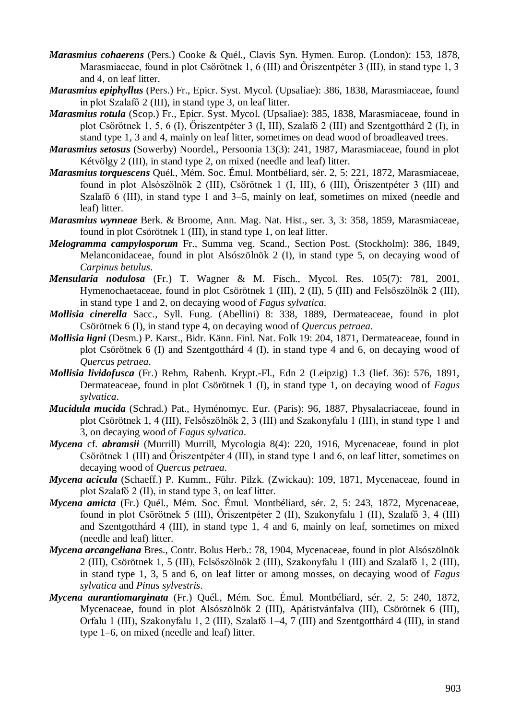- *Marasmius cohaerens* (Pers.) Cooke & Quél., Clavis Syn. Hymen. Europ. (London): 153, 1878, Marasmiaceae, found in plot Csörötnek 1, 6 (III) and Őriszentpéter 3 (III), in stand type 1, 3 and 4, on leaf litter.
- *Marasmius epiphyllus* (Pers.) Fr., Epicr. Syst. Mycol. (Upsaliae): 386, 1838, Marasmiaceae, found in plot Szalafő 2 (III), in stand type 3, on leaf litter.
- *Marasmius rotula* (Scop.) Fr., Epicr. Syst. Mycol. (Upsaliae): 385, 1838, Marasmiaceae, found in plot Csörötnek 1, 5, 6 (I), Őriszentpéter 3 (I, III), Szalafő 2 (III) and Szentgotthárd 2 (I), in stand type 1, 3 and 4, mainly on leaf litter, sometimes on dead wood of broadleaved trees.
- *Marasmius setosus* (Sowerby) Noordel., Persoonia 13(3): 241, 1987, Marasmiaceae, found in plot Kétvölgy 2 (III), in stand type 2, on mixed (needle and leaf) litter.
- *Marasmius torquescens* Quél., Mém. Soc. Émul. Montbéliard, sér. 2, 5: 221, 1872, Marasmiaceae, found in plot Alsószölnök 2 (III), Csörötnek 1 (I, III), 6 (III), Őriszentpéter 3 (III) and Szalafő 6 (III), in stand type 1 and 3–5, mainly on leaf, sometimes on mixed (needle and leaf) litter.
- *Marasmius wynneae* Berk. & Broome, Ann. Mag. Nat. Hist., ser. 3, 3: 358, 1859, Marasmiaceae, found in plot Csörötnek 1 (III), in stand type 1, on leaf litter.
- *Melogramma campylosporum* Fr., Summa veg. Scand., Section Post. (Stockholm): 386, 1849, Melanconidaceae, found in plot Alsószölnök 2 (I), in stand type 5, on decaying wood of *Carpinus betulus*.
- *Mensularia nodulosa* (Fr.) T. Wagner & M. Fisch., Mycol. Res. 105(7): 781, 2001, Hymenochaetaceae, found in plot Csörötnek 1 (III), 2 (II), 5 (III) and Felsőszölnök 2 (III), in stand type 1 and 2, on decaying wood of *Fagus sylvatica*.
- *Mollisia cinerella* Sacc., Syll. Fung. (Abellini) 8: 338, 1889, Dermateaceae, found in plot Csörötnek 6 (I), in stand type 4, on decaying wood of *Quercus petraea*.
- *Mollisia ligni* (Desm.) P. Karst., Bidr. Känn. Finl. Nat. Folk 19: 204, 1871, Dermateaceae, found in plot Csörötnek 6 (I) and Szentgotthárd 4 (I), in stand type 4 and 6, on decaying wood of *Quercus petraea*.
- *Mollisia lividofusca* (Fr.) Rehm, Rabenh. Krypt.-Fl., Edn 2 (Leipzig) 1.3 (lief. 36): 576, 1891, Dermateaceae, found in plot Csörötnek 1 (I), in stand type 1, on decaying wood of *Fagus sylvatica*.
- *Mucidula mucida* (Schrad.) Pat., Hyménomyc. Eur. (Paris): 96, 1887, Physalacriaceae, found in plot Csörötnek 1, 4 (III), Felsőszölnök 2, 3 (III) and Szakonyfalu 1 (III), in stand type 1 and 3, on decaying wood of *Fagus sylvatica*.
- *Mycena* cf. *abramsii* (Murrill) Murrill, Mycologia 8(4): 220, 1916, Mycenaceae, found in plot Csörötnek 1 (III) and Őriszentpéter 4 (III), in stand type 1 and 6, on leaf litter, sometimes on decaying wood of *Quercus petraea*.
- *Mycena acicula* (Schaeff.) P. Kumm., Führ. Pilzk. (Zwickau): 109, 1871, Mycenaceae, found in plot Szalafő 2 (II), in stand type 3, on leaf litter.
- *Mycena amicta* (Fr.) Quél., Mém. Soc. Émul. Montbéliard, sér. 2, 5: 243, 1872, Mycenaceae, found in plot Csörötnek 5 (III), Őriszentpéter 2 (II), Szakonyfalu 1 (II), Szalafő 3, 4 (III) and Szentgotthárd 4 (III), in stand type 1, 4 and 6, mainly on leaf, sometimes on mixed (needle and leaf) litter.
- *Mycena arcangeliana* Bres., Contr. Bolus Herb.: 78, 1904, Mycenaceae, found in plot Alsószölnök 2 (III), Csörötnek 1, 5 (III), Felsőszölnök 2 (III), Szakonyfalu 1 (III) and Szalafő 1, 2 (III), in stand type 1, 3, 5 and 6, on leaf litter or among mosses, on decaying wood of *Fagus sylvatica* and *Pinus sylvestris*.
- *Mycena aurantiomarginata* (Fr.) Quél., Mém. Soc. Émul. Montbéliard, sér. 2, 5: 240, 1872, Mycenaceae, found in plot Alsószölnök 2 (III), Apátistvánfalva (III), Csörötnek 6 (III), Orfalu 1 (III), Szakonyfalu 1, 2 (III), Szalafő 1–4, 7 (III) and Szentgotthárd 4 (III), in stand type 1–6, on mixed (needle and leaf) litter.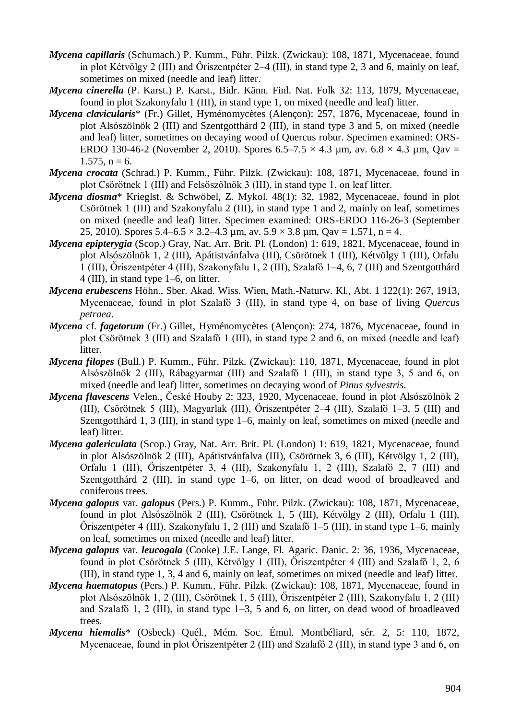- *Mycena capillaris* (Schumach.) P. Kumm., Führ. Pilzk. (Zwickau): 108, 1871, Mycenaceae, found in plot Kétvölgy 2 (III) and Őriszentpéter 2–4 (III), in stand type 2, 3 and 6, mainly on leaf, sometimes on mixed (needle and leaf) litter.
- *Mycena cinerella* (P. Karst.) P. Karst., Bidr. Känn. Finl. Nat. Folk 32: 113, 1879, Mycenaceae, found in plot Szakonyfalu 1 (III), in stand type 1, on mixed (needle and leaf) litter.
- *Mycena clavicularis*\* (Fr.) Gillet, Hyménomycètes (Alençon): 257, 1876, Mycenaceae, found in plot Alsószölnök 2 (III) and Szentgotthárd 2 (III), in stand type 3 and 5, on mixed (needle and leaf) litter, sometimes on decaying wood of Quercus robur. Specimen examined: ORS-ERDO 130-46-2 (November 2, 2010). Spores  $6.5-7.5 \times 4.3$  µm, av.  $6.8 \times 4.3$  µm, Qav =  $1.575$ ,  $n = 6$ .
- *Mycena crocata* (Schrad.) P. Kumm., Führ. Pilzk. (Zwickau): 108, 1871, Mycenaceae, found in plot Csörötnek 1 (III) and Felsőszölnök 3 (III), in stand type 1, on leaf litter.
- *Mycena diosma*\* Krieglst. & Schwöbel, Z. Mykol. 48(1): 32, 1982, Mycenaceae, found in plot Csörötnek 1 (III) and Szakonyfalu 2 (III), in stand type 1 and 2, mainly on leaf, sometimes on mixed (needle and leaf) litter. Specimen examined: ORS-ERDO 116-26-3 (September 25, 2010). Spores  $5.4-6.5 \times 3.2-4.3 \mu m$ , av.  $5.9 \times 3.8 \mu m$ , Qav = 1.571, n = 4.
- *Mycena epipterygia* (Scop.) Gray, Nat. Arr. Brit. Pl. (London) 1: 619, 1821, Mycenaceae, found in plot Alsószölnök 1, 2 (III), Apátistvánfalva (III), Csörötnek 1 (III), Kétvölgy 1 (III), Orfalu 1 (III), Őriszentpéter 4 (III), Szakonyfalu 1, 2 (III), Szalafő 1–4, 6, 7 (III) and Szentgotthárd 4 (III), in stand type 1–6, on litter.
- *Mycena erubescens* Höhn., Sber. Akad. Wiss. Wien, Math.-Naturw. Kl., Abt. 1 122(1): 267, 1913, Mycenaceae, found in plot Szalafő 3 (III), in stand type 4, on base of living *Quercus petraea*.
- *Mycena* cf. *fagetorum* (Fr.) Gillet, Hyménomycètes (Alençon): 274, 1876, Mycenaceae, found in plot Csörötnek 3 (III) and Szalafő 1 (III), in stand type 2 and 6, on mixed (needle and leaf) litter.
- *Mycena filopes* (Bull.) P. Kumm., Führ. Pilzk. (Zwickau): 110, 1871, Mycenaceae, found in plot Alsószölnök 2 (III), Rábagyarmat (III) and Szalafő 1 (III), in stand type 3, 5 and 6, on mixed (needle and leaf) litter, sometimes on decaying wood of *Pinus sylvestris*.
- *Mycena flavescens* Velen., České Houby 2: 323, 1920, Mycenaceae, found in plot Alsószölnök 2 (III), Csörötnek 5 (III), Magyarlak (III), Őriszentpéter 2–4 (III), Szalafő 1–3, 5 (III) and Szentgotthárd 1, 3 (III), in stand type 1–6, mainly on leaf, sometimes on mixed (needle and leaf) litter.
- *Mycena galericulata* (Scop.) Gray, Nat. Arr. Brit. Pl. (London) 1: 619, 1821, Mycenaceae, found in plot Alsószölnök 2 (III), Apátistvánfalva (III), Csörötnek 3, 6 (III), Kétvölgy 1, 2 (III), Orfalu 1 (III), Őriszentpéter 3, 4 (III), Szakonyfalu 1, 2 (III), Szalafő 2, 7 (III) and Szentgotthárd 2 (III), in stand type 1–6, on litter, on dead wood of broadleaved and coniferous trees.
- *Mycena galopus* var. *galopus* (Pers.) P. Kumm., Führ. Pilzk. (Zwickau): 108, 1871, Mycenaceae, found in plot Alsószölnök 2 (III), Csörötnek 1, 5 (III), Kétvölgy 2 (III), Orfalu 1 (III), Őriszentpéter 4 (III), Szakonyfalu 1, 2 (III) and Szalafő 1–5 (III), in stand type 1–6, mainly on leaf, sometimes on mixed (needle and leaf) litter.
- *Mycena galopus* var. *leucogala* (Cooke) J.E. Lange, Fl. Agaric. Danic. 2: 36, 1936, Mycenaceae, found in plot Csörötnek 5 (III), Kétvölgy 1 (III), Őriszentpéter 4 (III) and Szalafő 1, 2, 6 (III), in stand type 1, 3, 4 and 6, mainly on leaf, sometimes on mixed (needle and leaf) litter.
- *Mycena haematopus* (Pers.) P. Kumm., Führ. Pilzk. (Zwickau): 108, 1871, Mycenaceae, found in plot Alsószölnök 1, 2 (III), Csörötnek 1, 5 (III), Őriszentpéter 2 (III), Szakonyfalu 1, 2 (III) and Szalafő 1, 2 (III), in stand type 1–3, 5 and 6, on litter, on dead wood of broadleaved trees.
- *Mycena hiemalis*\* (Osbeck) Quél., Mém. Soc. Émul. Montbéliard, sér. 2, 5: 110, 1872, Mycenaceae, found in plot Őriszentpéter 2 (III) and Szalafő 2 (III), in stand type 3 and 6, on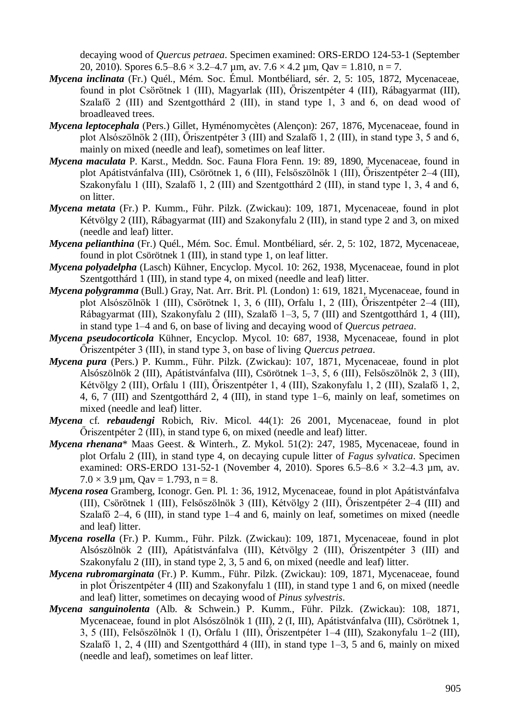decaying wood of *Quercus petraea*. Specimen examined: ORS-ERDO 124-53-1 (September 20, 2010). Spores  $6.5-8.6 \times 3.2-4.7 \mu m$ , av.  $7.6 \times 4.2 \mu m$ , Qav = 1.810, n = 7.

- *Mycena inclinata* (Fr.) Quél., Mém. Soc. Émul. Montbéliard, sér. 2, 5: 105, 1872, Mycenaceae, found in plot Csörötnek 1 (III), Magyarlak (III), Őriszentpéter 4 (III), Rábagyarmat (III), Szalafő 2 (III) and Szentgotthárd 2 (III), in stand type 1, 3 and 6, on dead wood of broadleaved trees.
- *Mycena leptocephala* (Pers.) Gillet, Hyménomycètes (Alençon): 267, 1876, Mycenaceae, found in plot Alsószölnök 2 (III), Őriszentpéter 3 (III) and Szalafő 1, 2 (III), in stand type 3, 5 and 6, mainly on mixed (needle and leaf), sometimes on leaf litter.
- *Mycena maculata* P. Karst., Meddn. Soc. Fauna Flora Fenn. 19: 89, 1890, Mycenaceae, found in plot Apátistvánfalva (III), Csörötnek 1, 6 (III), Felsőszölnök 1 (III), Őriszentpéter 2–4 (III), Szakonyfalu 1 (III), Szalafő 1, 2 (III) and Szentgotthárd 2 (III), in stand type 1, 3, 4 and 6, on litter.
- *Mycena metata* (Fr.) P. Kumm., Führ. Pilzk. (Zwickau): 109, 1871, Mycenaceae, found in plot Kétvölgy 2 (III), Rábagyarmat (III) and Szakonyfalu 2 (III), in stand type 2 and 3, on mixed (needle and leaf) litter.
- *Mycena pelianthina* (Fr.) Quél., Mém. Soc. Émul. Montbéliard, sér. 2, 5: 102, 1872, Mycenaceae, found in plot Csörötnek 1 (III), in stand type 1, on leaf litter.
- *Mycena polyadelpha* (Lasch) Kühner, Encyclop. Mycol. 10: 262, 1938, Mycenaceae, found in plot Szentgotthárd 1 (III), in stand type 4, on mixed (needle and leaf) litter.
- *Mycena polygramma* (Bull.) Gray, Nat. Arr. Brit. Pl. (London) 1: 619, 1821, Mycenaceae, found in plot Alsószölnök 1 (III), Csörötnek 1, 3, 6 (III), Orfalu 1, 2 (III), Őriszentpéter 2–4 (III), Rábagyarmat (III), Szakonyfalu 2 (III), Szalafő 1–3, 5, 7 (III) and Szentgotthárd 1, 4 (III), in stand type 1–4 and 6, on base of living and decaying wood of *Quercus petraea*.
- *Mycena pseudocorticola* Kühner, Encyclop. Mycol. 10: 687, 1938, Mycenaceae, found in plot Őriszentpéter 3 (III), in stand type 3, on base of living *Quercus petraea*.
- *Mycena pura* (Pers.) P. Kumm., Führ. Pilzk. (Zwickau): 107, 1871, Mycenaceae, found in plot Alsószölnök 2 (III), Apátistvánfalva (III), Csörötnek 1–3, 5, 6 (III), Felsőszölnök 2, 3 (III), Kétvölgy 2 (III), Orfalu 1 (III), Őriszentpéter 1, 4 (III), Szakonyfalu 1, 2 (III), Szalafő 1, 2, 4, 6, 7 (III) and Szentgotthárd 2, 4 (III), in stand type 1–6, mainly on leaf, sometimes on mixed (needle and leaf) litter.
- *Mycena* cf. *rebaudengi* Robich, Riv. Micol. 44(1): 26 2001, Mycenaceae, found in plot Őriszentpéter 2 (III), in stand type 6, on mixed (needle and leaf) litter.
- *Mycena rhenana*\* Maas Geest. & Winterh., Z. Mykol. 51(2): 247, 1985, Mycenaceae, found in plot Orfalu 2 (III), in stand type 4, on decaying cupule litter of *Fagus sylvatica*. Specimen examined: ORS-ERDO 131-52-1 (November 4, 2010). Spores  $6.5-8.6 \times 3.2-4.3$  µm, av.  $7.0 \times 3.9 \text{ µm}$ , Qav = 1.793, n = 8.
- *Mycena rosea* Gramberg, Iconogr. Gen. Pl. 1: 36, 1912, Mycenaceae, found in plot Apátistvánfalva (III), Csörötnek 1 (III), Felsőszölnök 3 (III), Kétvölgy 2 (III), Őriszentpéter 2–4 (III) and Szalafő 2–4, 6 (III), in stand type 1–4 and 6, mainly on leaf, sometimes on mixed (needle and leaf) litter.
- *Mycena rosella* (Fr.) P. Kumm., Führ. Pilzk. (Zwickau): 109, 1871, Mycenaceae, found in plot Alsószölnök 2 (III), Apátistvánfalva (III), Kétvölgy 2 (III), Őriszentpéter 3 (III) and Szakonyfalu 2 (III), in stand type 2, 3, 5 and 6, on mixed (needle and leaf) litter.
- *Mycena rubromarginata* (Fr.) P. Kumm., Führ. Pilzk. (Zwickau): 109, 1871, Mycenaceae, found in plot Őriszentpéter 4 (III) and Szakonyfalu 1 (III), in stand type 1 and 6, on mixed (needle and leaf) litter, sometimes on decaying wood of *Pinus sylvestris*.
- *Mycena sanguinolenta* (Alb. & Schwein.) P. Kumm., Führ. Pilzk. (Zwickau): 108, 1871, Mycenaceae, found in plot Alsószölnök 1 (III), 2 (I, III), Apátistvánfalva (III), Csörötnek 1, 3, 5 (III), Felsőszölnök 1 (I), Orfalu 1 (III), Őriszentpéter 1–4 (III), Szakonyfalu 1–2 (III), Szalafő 1, 2, 4 (III) and Szentgotthárd 4 (III), in stand type  $1-3$ , 5 and 6, mainly on mixed (needle and leaf), sometimes on leaf litter.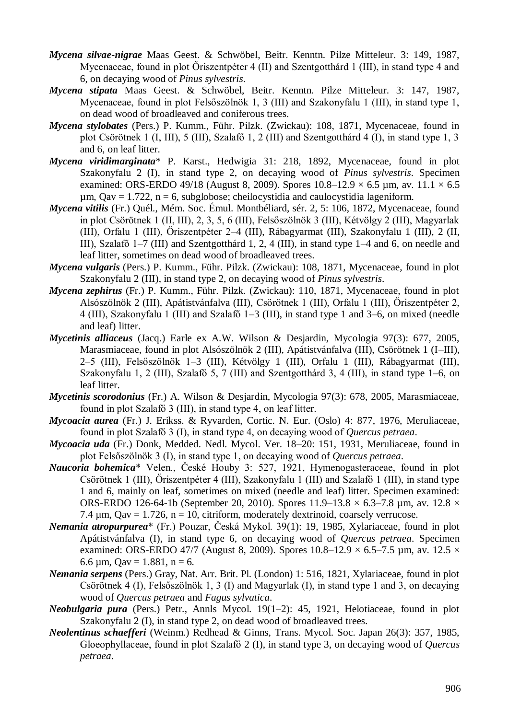- *Mycena silvae-nigrae* Maas Geest. & Schwöbel, Beitr. Kenntn. Pilze Mitteleur. 3: 149, 1987, Mycenaceae, found in plot Őriszentpéter 4 (II) and Szentgotthárd 1 (III), in stand type 4 and 6, on decaying wood of *Pinus sylvestris*.
- *Mycena stipata* Maas Geest. & Schwöbel, Beitr. Kenntn. Pilze Mitteleur. 3: 147, 1987, Mycenaceae, found in plot Felsőszölnök 1, 3 (III) and Szakonyfalu 1 (III), in stand type 1, on dead wood of broadleaved and coniferous trees.
- *Mycena stylobates* (Pers.) P. Kumm., Führ. Pilzk. (Zwickau): 108, 1871, Mycenaceae, found in plot Csörötnek 1 (I, III), 5 (III), Szalafő 1, 2 (III) and Szentgotthárd 4 (I), in stand type 1, 3 and 6, on leaf litter.
- *Mycena viridimarginata*\* P. Karst., Hedwigia 31: 218, 1892, Mycenaceae, found in plot Szakonyfalu 2 (I), in stand type 2, on decaying wood of *Pinus sylvestris*. Specimen examined: ORS-ERDO 49/18 (August 8, 2009). Spores  $10.8-12.9 \times 6.5$  µm, av.  $11.1 \times 6.5$  $\mu$ m, Qav = 1.722, n = 6, subglobose; cheilocystidia and caulocystidia lageniform.
- *Mycena vitilis* (Fr.) Quél., Mém. Soc. Émul. Montbéliard, sér. 2, 5: 106, 1872, Mycenaceae, found in plot Csörötnek 1 (II, III), 2, 3, 5, 6 (III), Felsőszölnök 3 (III), Kétvölgy 2 (III), Magyarlak (III), Orfalu 1 (III), Őriszentpéter 2–4 (III), Rábagyarmat (III), Szakonyfalu 1 (III), 2 (II, III), Szalafő 1–7 (III) and Szentgotthárd 1, 2, 4 (III), in stand type 1–4 and 6, on needle and leaf litter, sometimes on dead wood of broadleaved trees.
- *Mycena vulgaris* (Pers.) P. Kumm., Führ. Pilzk. (Zwickau): 108, 1871, Mycenaceae, found in plot Szakonyfalu 2 (III), in stand type 2, on decaying wood of *Pinus sylvestris*.
- *Mycena zephirus* (Fr.) P. Kumm., Führ. Pilzk. (Zwickau): 110, 1871, Mycenaceae, found in plot Alsószölnök 2 (III), Apátistvánfalva (III), Csörötnek 1 (III), Orfalu 1 (III), Őriszentpéter 2, 4 (III), Szakonyfalu 1 (III) and Szalafő 1–3 (III), in stand type 1 and 3–6, on mixed (needle and leaf) litter.
- *Mycetinis alliaceus* (Jacq.) Earle ex A.W. Wilson & Desjardin, Mycologia 97(3): 677, 2005, Marasmiaceae, found in plot Alsószölnök 2 (III), Apátistvánfalva (III), Csörötnek 1 (I–III), 2–5 (III), Felsőszölnök 1–3 (III), Kétvölgy 1 (III), Orfalu 1 (III), Rábagyarmat (III), Szakonyfalu 1, 2 (III), Szalafő 5, 7 (III) and Szentgotthárd 3, 4 (III), in stand type 1–6, on leaf litter.
- *Mycetinis scorodonius* (Fr.) A. Wilson & Desjardin, Mycologia 97(3): 678, 2005, Marasmiaceae, found in plot Szalafő 3 (III), in stand type 4, on leaf litter.
- *Mycoacia aurea* (Fr.) J. Erikss. & Ryvarden, Cortic. N. Eur. (Oslo) 4: 877, 1976, Meruliaceae, found in plot Szalafő 3 (I), in stand type 4, on decaying wood of *Quercus petraea*.
- *Mycoacia uda* (Fr.) Donk, Medded. Nedl. Mycol. Ver. 18–20: 151, 1931, Meruliaceae, found in plot Felsőszölnök 3 (I), in stand type 1, on decaying wood of *Quercus petraea*.
- *Naucoria bohemica*\* Velen., České Houby 3: 527, 1921, Hymenogasteraceae, found in plot Csörötnek 1 (III), Őriszentpéter 4 (III), Szakonyfalu 1 (III) and Szalafő 1 (III), in stand type 1 and 6, mainly on leaf, sometimes on mixed (needle and leaf) litter. Specimen examined: ORS-ERDO 126-64-1b (September 20, 2010). Spores 11.9–13.8  $\times$  6.3–7.8 µm, av. 12.8  $\times$ 7.4  $\mu$ m, Qav = 1.726, n = 10, citriform, moderately dextrinoid, coarsely verrucose.
- *Nemania atropurpurea*\* (Fr.) Pouzar, Česká Mykol. 39(1): 19, 1985, Xylariaceae, found in plot Apátistvánfalva (I), in stand type 6, on decaying wood of *Quercus petraea*. Specimen examined: ORS-ERDO 47/7 (August 8, 2009). Spores  $10.8-12.9 \times 6.5-7.5$  µm, av.  $12.5 \times$ 6.6  $\mu$ m, Qav = 1.881, n = 6.
- *Nemania serpens* (Pers.) Gray, Nat. Arr. Brit. Pl. (London) 1: 516, 1821, Xylariaceae, found in plot Csörötnek 4 (I), Felsőszölnök 1, 3 (I) and Magyarlak (I), in stand type 1 and 3, on decaying wood of *Quercus petraea* and *Fagus sylvatica*.
- *Neobulgaria pura* (Pers.) Petr., Annls Mycol. 19(1–2): 45, 1921, Helotiaceae, found in plot Szakonyfalu 2 (I), in stand type 2, on dead wood of broadleaved trees.
- *Neolentinus schaefferi* (Weinm.) Redhead & Ginns, Trans. Mycol. Soc. Japan 26(3): 357, 1985, Gloeophyllaceae, found in plot Szalafő 2 (I), in stand type 3, on decaying wood of *Quercus petraea*.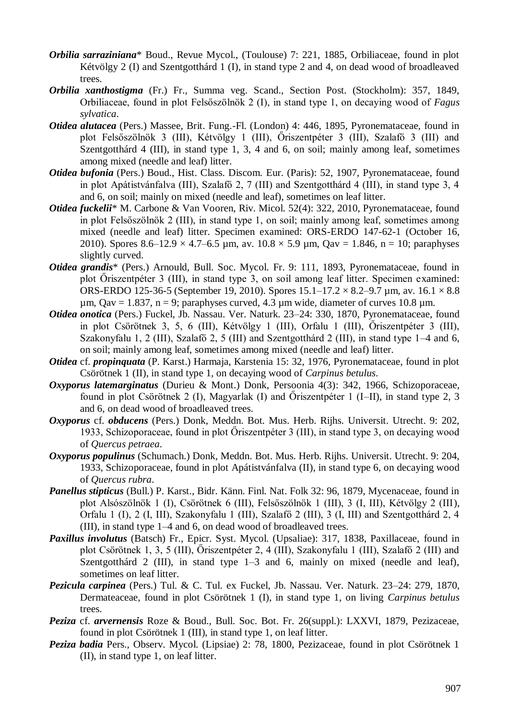- *Orbilia sarraziniana*\* Boud., Revue Mycol., (Toulouse) 7: 221, 1885, Orbiliaceae, found in plot Kétvölgy 2 (I) and Szentgotthárd 1 (I), in stand type 2 and 4, on dead wood of broadleaved trees.
- *Orbilia xanthostigma* (Fr.) Fr., Summa veg. Scand., Section Post. (Stockholm): 357, 1849, Orbiliaceae, found in plot Felsőszölnök 2 (I), in stand type 1, on decaying wood of *Fagus sylvatica*.
- *Otidea alutacea* (Pers.) Massee, Brit. Fung.-Fl. (London) 4: 446, 1895, Pyronemataceae, found in plot Felsőszölnök 3 (III), Kétvölgy 1 (III), Őriszentpéter 3 (III), Szalafő 3 (III) and Szentgotthárd 4 (III), in stand type 1, 3, 4 and 6, on soil; mainly among leaf, sometimes among mixed (needle and leaf) litter.
- *Otidea bufonia* (Pers.) Boud., Hist. Class. Discom. Eur. (Paris): 52, 1907, Pyronemataceae, found in plot Apátistvánfalva (III), Szalafő 2, 7 (III) and Szentgotthárd 4 (III), in stand type 3, 4 and 6, on soil; mainly on mixed (needle and leaf), sometimes on leaf litter.
- *Otidea fuckelii*\* M. Carbone & Van Vooren, Riv. Micol. 52(4): 322, 2010, Pyronemataceae, found in plot Felsőszölnök 2 (III), in stand type 1, on soil; mainly among leaf, sometimes among mixed (needle and leaf) litter. Specimen examined: ORS-ERDO 147-62-1 (October 16, 2010). Spores 8.6–12.9  $\times$  4.7–6.5 µm, av. 10.8  $\times$  5.9 µm, Oav = 1.846, n = 10; paraphyses slightly curved.
- *Otidea grandis*\* (Pers.) Arnould, Bull. Soc. Mycol. Fr. 9: 111, 1893, Pyronemataceae, found in plot Őriszentpéter 3 (III), in stand type 3, on soil among leaf litter. Specimen examined: ORS-ERDO 125-36-5 (September 19, 2010). Spores  $15.1 - 17.2 \times 8.2 - 9.7 \mu m$ , av.  $16.1 \times 8.8$  $\mu$ m, Qav = 1.837, n = 9; paraphyses curved, 4.3  $\mu$ m wide, diameter of curves 10.8  $\mu$ m.
- *Otidea onotica* (Pers.) Fuckel, Jb. Nassau. Ver. Naturk. 23–24: 330, 1870, Pyronemataceae, found in plot Csörötnek 3, 5, 6 (III), Kétvölgy 1 (III), Orfalu 1 (III), Őriszentpéter 3 (III), Szakonyfalu 1, 2 (III), Szalafő 2, 5 (III) and Szentgotthárd 2 (III), in stand type 1–4 and 6, on soil; mainly among leaf, sometimes among mixed (needle and leaf) litter.
- *Otidea* cf. *propinquata* (P. Karst.) Harmaja, Karstenia 15: 32, 1976, Pyronemataceae, found in plot Csörötnek 1 (II), in stand type 1, on decaying wood of *Carpinus betulus*.
- *Oxyporus latemarginatus* (Durieu & Mont.) Donk, Persoonia 4(3): 342, 1966, Schizoporaceae, found in plot Csörötnek 2 (I), Magyarlak (I) and Őriszentpéter 1 (I–II), in stand type 2, 3 and 6, on dead wood of broadleaved trees.
- *Oxyporus* cf. *obducens* (Pers.) Donk, Meddn. Bot. Mus. Herb. Rijhs. Universit. Utrecht. 9: 202, 1933, Schizoporaceae, found in plot Őriszentpéter 3 (III), in stand type 3, on decaying wood of *Quercus petraea*.
- *Oxyporus populinus* (Schumach.) Donk, Meddn. Bot. Mus. Herb. Rijhs. Universit. Utrecht. 9: 204, 1933, Schizoporaceae, found in plot Apátistvánfalva (II), in stand type 6, on decaying wood of *Quercus rubra*.
- *Panellus stipticus* (Bull.) P. Karst., Bidr. Känn. Finl. Nat. Folk 32: 96, 1879, Mycenaceae, found in plot Alsószölnök 1 (I), Csörötnek 6 (III), Felsőszölnök 1 (III), 3 (I, III), Kétvölgy 2 (III), Orfalu 1 (I), 2 (I, III), Szakonyfalu 1 (III), Szalafő 2 (III), 3 (I, III) and Szentgotthárd 2, 4 (III), in stand type 1–4 and 6, on dead wood of broadleaved trees.
- *Paxillus involutus* (Batsch) Fr., Epicr. Syst. Mycol. (Upsaliae): 317, 1838, Paxillaceae, found in plot Csörötnek 1, 3, 5 (III), Őriszentpéter 2, 4 (III), Szakonyfalu 1 (III), Szalafő 2 (III) and Szentgotthárd 2 (III), in stand type 1–3 and 6, mainly on mixed (needle and leaf), sometimes on leaf litter.
- *Pezicula carpinea* (Pers.) Tul. & C. Tul. ex Fuckel, Jb. Nassau. Ver. Naturk. 23–24: 279, 1870, Dermateaceae, found in plot Csörötnek 1 (I), in stand type 1, on living *Carpinus betulus* trees.
- *Peziza* cf. *arvernensis* Roze & Boud., Bull. Soc. Bot. Fr. 26(suppl.): LXXVI, 1879, Pezizaceae, found in plot Csörötnek 1 (III), in stand type 1, on leaf litter.
- *Peziza badia* Pers., Observ. Mycol. (Lipsiae) 2: 78, 1800, Pezizaceae, found in plot Csörötnek 1 (II), in stand type 1, on leaf litter.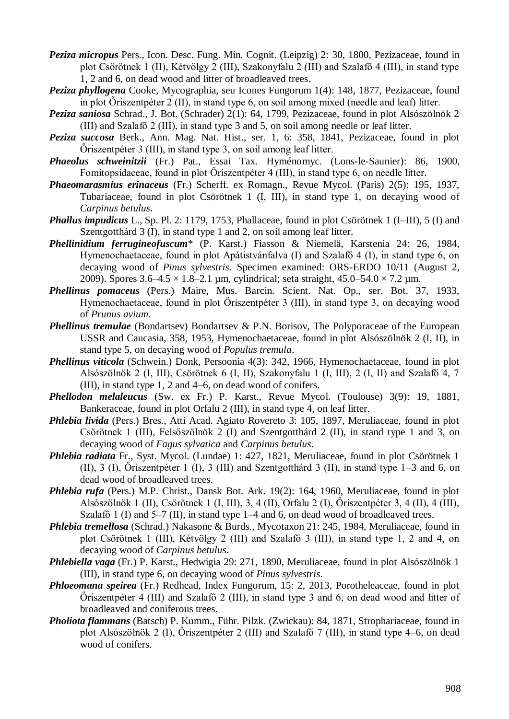- *Peziza micropus* Pers., Icon. Desc. Fung. Min. Cognit. (Leipzig) 2: 30, 1800, Pezizaceae, found in plot Csörötnek 1 (II), Kétvölgy 2 (III), Szakonyfalu 2 (III) and Szalafő 4 (III), in stand type 1, 2 and 6, on dead wood and litter of broadleaved trees.
- *Peziza phyllogena* Cooke, Mycographia, seu Icones Fungorum 1(4): 148, 1877, Pezizaceae, found in plot Őriszentpéter 2 (II), in stand type 6, on soil among mixed (needle and leaf) litter.
- *Peziza saniosa* Schrad., J. Bot. (Schrader) 2(1): 64, 1799, Pezizaceae, found in plot Alsószölnök 2 (III) and Szalafő 2 (III), in stand type 3 and 5, on soil among needle or leaf litter.
- *Peziza succosa* Berk., Ann. Mag. Nat. Hist., ser. 1, 6: 358, 1841, Pezizaceae, found in plot Őriszentpéter 3 (III), in stand type 3, on soil among leaf litter.
- *Phaeolus schweinitzii* (Fr.) Pat., Essai Tax. Hyménomyc. (Lons-le-Saunier): 86, 1900, Fomitopsidaceae, found in plot Őriszentpéter 4 (III), in stand type 6, on needle litter.
- *Phaeomarasmius erinaceus* (Fr.) Scherff. ex Romagn., Revue Mycol. (Paris) 2(5): 195, 1937, Tubariaceae, found in plot Csörötnek 1 (I, III), in stand type 1, on decaying wood of *Carpinus betulus*.
- *Phallus impudicus* L., Sp. Pl. 2: 1179, 1753, Phallaceae, found in plot Csörötnek 1 (I–III), 5 (I) and Szentgotthárd 3 (I), in stand type 1 and 2, on soil among leaf litter.
- *Phellinidium ferrugineofuscum*\* (P. Karst.) Fiasson & Niemelä, Karstenia 24: 26, 1984, Hymenochaetaceae, found in plot Apátistvánfalva (I) and Szalafő 4 (I), in stand type 6, on decaying wood of *Pinus sylvestris*. Specimen examined: ORS-ERDO 10/11 (August 2, 2009). Spores  $3.6-4.5 \times 1.8-2.1$  µm, cylindrical; seta straight,  $45.0-54.0 \times 7.2$  µm.
- *Phellinus pomaceus* (Pers.) Maire, Mus. Barcin. Scient. Nat. Op., ser. Bot. 37, 1933, Hymenochaetaceae, found in plot Őriszentpéter 3 (III), in stand type 3, on decaying wood of *Prunus avium*.
- *Phellinus tremulae* (Bondartsev) Bondartsev & P.N. Borisov, The Polyporaceae of the European USSR and Caucasia, 358, 1953, Hymenochaetaceae, found in plot Alsószölnök 2 (I, II), in stand type 5, on decaying wood of *Populus tremula*.
- *Phellinus viticola* (Schwein.) Donk, Persoonia 4(3): 342, 1966, Hymenochaetaceae, found in plot Alsószölnök 2 (I, III), Csörötnek 6 (I, II), Szakonyfalu 1 (I, III), 2 (I, II) and Szalafő 4, 7 (III), in stand type 1, 2 and 4–6, on dead wood of conifers.
- *Phellodon melaleucus* (Sw. ex Fr.) P. Karst., Revue Mycol. (Toulouse) 3(9): 19, 1881, Bankeraceae, found in plot Orfalu 2 (III), in stand type 4, on leaf litter.
- *Phlebia livida* (Pers.) Bres., Atti Acad. Agiato Rovereto 3: 105, 1897, Meruliaceae, found in plot Csörötnek 1 (III), Felsőszölnök 2 (I) and Szentgotthárd 2 (II), in stand type 1 and 3, on decaying wood of *Fagus sylvatica* and *Carpinus betulus*.
- *Phlebia radiata* Fr., Syst. Mycol. (Lundae) 1: 427, 1821, Meruliaceae, found in plot Csörötnek 1 (II), 3 (I), Őriszentpéter 1 (I), 3 (III) and Szentgotthárd 3 (II), in stand type 1–3 and 6, on dead wood of broadleaved trees.
- *Phlebia rufa* (Pers.) M.P. Christ., Dansk Bot. Ark. 19(2): 164, 1960, Meruliaceae, found in plot Alsószölnök 1 (II), Csörötnek 1 (I, III), 3, 4 (II), Orfalu 2 (I), Őriszentpéter 3, 4 (II), 4 (III), Szalafő 1 (I) and 5–7 (II), in stand type 1–4 and 6, on dead wood of broadleaved trees.
- *Phlebia tremellosa* (Schrad.) Nakasone & Burds., Mycotaxon 21: 245, 1984, Meruliaceae, found in plot Csörötnek 1 (III), Kétvölgy 2 (III) and Szalafő 3 (III), in stand type 1, 2 and 4, on decaying wood of *Carpinus betulus*.
- *Phlebiella vaga* (Fr.) P. Karst., Hedwigia 29: 271, 1890, Meruliaceae, found in plot Alsószölnök 1 (III), in stand type 6, on decaying wood of *Pinus sylvestris*.
- *Phloeomana speirea* (Fr.) Redhead, Index Fungorum, 15: 2, 2013, Porotheleaceae, found in plot Őriszentpéter 4 (III) and Szalafő 2 (III), in stand type 3 and 6, on dead wood and litter of broadleaved and coniferous trees.
- *Pholiota flammans* (Batsch) P. Kumm., Führ. Pilzk. (Zwickau): 84, 1871, Strophariaceae, found in plot Alsószölnök 2 (I), Őriszentpéter 2 (III) and Szalafő 7 (III), in stand type 4–6, on dead wood of conifers.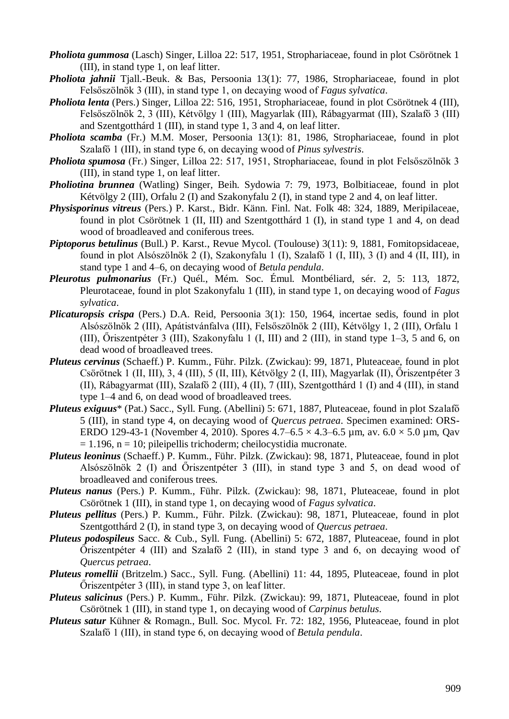- *Pholiota gummosa* (Lasch) Singer, Lilloa 22: 517, 1951, Strophariaceae, found in plot Csörötnek 1 (III), in stand type 1, on leaf litter.
- *Pholiota jahnii* Tjall.-Beuk. & Bas, Persoonia 13(1): 77, 1986, Strophariaceae, found in plot Felsőszölnök 3 (III), in stand type 1, on decaying wood of *Fagus sylvatica*.
- *Pholiota lenta* (Pers.) Singer, Lilloa 22: 516, 1951, Strophariaceae, found in plot Csörötnek 4 (III), Felsőszölnök 2, 3 (III), Kétvölgy 1 (III), Magyarlak (III), Rábagyarmat (III), Szalafő 3 (III) and Szentgotthárd 1 (III), in stand type 1, 3 and 4, on leaf litter.
- *Pholiota scamba* (Fr.) M.M. Moser, Persoonia 13(1): 81, 1986, Strophariaceae, found in plot Szalafő 1 (III), in stand type 6, on decaying wood of *Pinus sylvestris*.
- *Pholiota spumosa* (Fr.) Singer, Lilloa 22: 517, 1951, Strophariaceae, found in plot Felsőszölnök 3 (III), in stand type 1, on leaf litter.
- *Pholiotina brunnea* (Watling) Singer, Beih. Sydowia 7: 79, 1973, Bolbitiaceae, found in plot Kétvölgy 2 (III), Orfalu 2 (I) and Szakonyfalu 2 (I), in stand type 2 and 4, on leaf litter.
- *Physisporinus vitreus* (Pers.) P. Karst., Bidr. Känn. Finl. Nat. Folk 48: 324, 1889, Meripilaceae, found in plot Csörötnek 1 (II, III) and Szentgotthárd 1 (I), in stand type 1 and 4, on dead wood of broadleaved and coniferous trees.
- *Piptoporus betulinus* (Bull.) P. Karst., Revue Mycol. (Toulouse) 3(11): 9, 1881, Fomitopsidaceae, found in plot Alsószölnök 2 (I), Szakonyfalu 1 (I), Szalafő 1 (I, III), 3 (I) and 4 (II, III), in stand type 1 and 4–6, on decaying wood of *Betula pendula*.
- *Pleurotus pulmonarius* (Fr.) Quél., Mém. Soc. Émul. Montbéliard, sér. 2, 5: 113, 1872, Pleurotaceae, found in plot Szakonyfalu 1 (III), in stand type 1, on decaying wood of *Fagus sylvatica*.
- *Plicaturopsis crispa* (Pers.) D.A. Reid, Persoonia 3(1): 150, 1964, incertae sedis, found in plot Alsószölnök 2 (III), Apátistvánfalva (III), Felsőszölnök 2 (III), Kétvölgy 1, 2 (III), Orfalu 1 (III), Őriszentpéter 3 (III), Szakonyfalu 1 (I, III) and 2 (III), in stand type 1–3, 5 and 6, on dead wood of broadleaved trees.
- *Pluteus cervinus* (Schaeff.) P. Kumm., Führ. Pilzk. (Zwickau): 99, 1871, Pluteaceae, found in plot Csörötnek 1 (II, III), 3, 4 (III), 5 (II, III), Kétvölgy 2 (I, III), Magyarlak (II), Őriszentpéter 3 (II), Rábagyarmat (III), Szalafő 2 (III), 4 (II), 7 (III), Szentgotthárd 1 (I) and 4 (III), in stand type 1–4 and 6, on dead wood of broadleaved trees.
- *Pluteus exiguus*\* (Pat.) Sacc., Syll. Fung. (Abellini) 5: 671, 1887, Pluteaceae, found in plot Szalafő 5 (III), in stand type 4, on decaying wood of *Quercus petraea*. Specimen examined: ORS-ERDO 129-43-1 (November 4, 2010). Spores  $4.7-6.5 \times 4.3-6.5 \mu$ m, av.  $6.0 \times 5.0 \mu$ m, Qav  $= 1.196$ , n = 10; pileipellis trichoderm; cheilocystidia mucronate.
- *Pluteus leoninus* (Schaeff.) P. Kumm., Führ. Pilzk. (Zwickau): 98, 1871, Pluteaceae, found in plot Alsószölnök 2 (I) and Őriszentpéter 3 (III), in stand type 3 and 5, on dead wood of broadleaved and coniferous trees.
- *Pluteus nanus* (Pers.) P. Kumm., Führ. Pilzk. (Zwickau): 98, 1871, Pluteaceae, found in plot Csörötnek 1 (III), in stand type 1, on decaying wood of *Fagus sylvatica*.
- *Pluteus pellitus* (Pers.) P. Kumm., Führ. Pilzk. (Zwickau): 98, 1871, Pluteaceae, found in plot Szentgotthárd 2 (I), in stand type 3, on decaying wood of *Quercus petraea*.
- *Pluteus podospileus* Sacc. & Cub., Syll. Fung. (Abellini) 5: 672, 1887, Pluteaceae, found in plot Őriszentpéter 4 (III) and Szalafő 2 (III), in stand type 3 and 6, on decaying wood of *Quercus petraea*.
- *Pluteus romellii* (Britzelm.) Sacc., Syll. Fung. (Abellini) 11: 44, 1895, Pluteaceae, found in plot Őriszentpéter 3 (III), in stand type 3, on leaf litter.
- *Pluteus salicinus* (Pers.) P. Kumm., Führ. Pilzk. (Zwickau): 99, 1871, Pluteaceae, found in plot Csörötnek 1 (III), in stand type 1, on decaying wood of *Carpinus betulus*.
- *Pluteus satur* Kühner & Romagn., Bull. Soc. Mycol. Fr. 72: 182, 1956, Pluteaceae, found in plot Szalafő 1 (III), in stand type 6, on decaying wood of *Betula pendula*.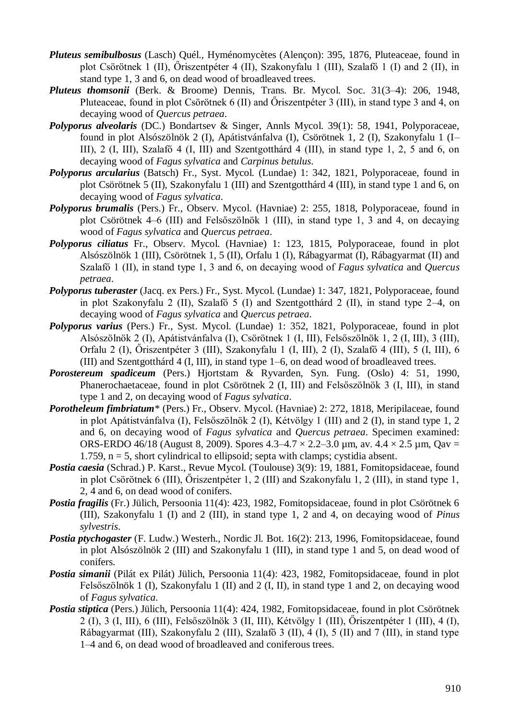- *Pluteus semibulbosus* (Lasch) Quél., Hyménomycètes (Alençon): 395, 1876, Pluteaceae, found in plot Csörötnek 1 (II), Őriszentpéter 4 (II), Szakonyfalu 1 (III), Szalafő 1 (I) and 2 (II), in stand type 1, 3 and 6, on dead wood of broadleaved trees.
- *Pluteus thomsonii* (Berk. & Broome) Dennis, Trans. Br. Mycol. Soc. 31(3–4): 206, 1948, Pluteaceae, found in plot Csörötnek 6 (II) and Őriszentpéter 3 (III), in stand type 3 and 4, on decaying wood of *Quercus petraea*.
- *Polyporus alveolaris* (DC.) Bondartsev & Singer, Annls Mycol. 39(1): 58, 1941, Polyporaceae, found in plot Alsószölnök 2 (I), Apátistvánfalva (I), Csörötnek 1, 2 (I), Szakonyfalu 1 (I– III), 2 (I, III), Szalafő 4 (I, III) and Szentgotthárd 4 (III), in stand type 1, 2, 5 and 6, on decaying wood of *Fagus sylvatica* and *Carpinus betulus*.
- *Polyporus arcularius* (Batsch) Fr., Syst. Mycol. (Lundae) 1: 342, 1821, Polyporaceae, found in plot Csörötnek 5 (II), Szakonyfalu 1 (III) and Szentgotthárd 4 (III), in stand type 1 and 6, on decaying wood of *Fagus sylvatica*.
- *Polyporus brumalis* (Pers.) Fr., Observ. Mycol. (Havniae) 2: 255, 1818, Polyporaceae, found in plot Csörötnek 4–6 (III) and Felsőszölnök 1 (III), in stand type 1, 3 and 4, on decaying wood of *Fagus sylvatica* and *Quercus petraea*.
- *Polyporus ciliatus* Fr., Observ. Mycol. (Havniae) 1: 123, 1815, Polyporaceae, found in plot Alsószölnök 1 (III), Csörötnek 1, 5 (II), Orfalu 1 (I), Rábagyarmat (I), Rábagyarmat (II) and Szalafő 1 (II), in stand type 1, 3 and 6, on decaying wood of *Fagus sylvatica* and *Quercus petraea*.
- *Polyporus tuberaster* (Jacq. ex Pers.) Fr., Syst. Mycol. (Lundae) 1: 347, 1821, Polyporaceae, found in plot Szakonyfalu 2 (II), Szalafő 5 (I) and Szentgotthárd 2 (II), in stand type 2–4, on decaying wood of *Fagus sylvatica* and *Quercus petraea*.
- *Polyporus varius* (Pers.) Fr., Syst. Mycol. (Lundae) 1: 352, 1821, Polyporaceae, found in plot Alsószölnök 2 (I), Apátistvánfalva (I), Csörötnek 1 (I, III), Felsőszölnök 1, 2 (I, III), 3 (III), Orfalu 2 (I), Őriszentpéter 3 (III), Szakonyfalu 1 (I, III), 2 (I), Szalafő 4 (III), 5 (I, III), 6 (III) and Szentgotthárd 4 (I, III), in stand type 1–6, on dead wood of broadleaved trees.
- *Porostereum spadiceum* (Pers.) Hjortstam & Ryvarden, Syn. Fung. (Oslo) 4: 51, 1990, Phanerochaetaceae, found in plot Csörötnek 2 (I, III) and Felsőszölnök 3 (I, III), in stand type 1 and 2, on decaying wood of *Fagus sylvatica*.
- *Porotheleum fimbriatum*\* (Pers.) Fr., Observ. Mycol. (Havniae) 2: 272, 1818, Meripilaceae, found in plot Apátistvánfalva (I), Felsőszölnök 2 (I), Kétvölgy 1 (III) and 2 (I), in stand type 1, 2 and 6, on decaying wood of *Fagus sylvatica* and *Quercus petraea*. Specimen examined: ORS-ERDO 46/18 (August 8, 2009). Spores  $4.3-4.7 \times 2.2-3.0$  µm, av.  $4.4 \times 2.5$  µm, Qav = 1.759,  $n = 5$ , short cylindrical to ellipsoid; septa with clamps; cystidia absent.
- *Postia caesia* (Schrad.) P. Karst., Revue Mycol. (Toulouse) 3(9): 19, 1881, Fomitopsidaceae, found in plot Csörötnek 6 (III), Őriszentpéter 1, 2 (III) and Szakonyfalu 1, 2 (III), in stand type 1, 2, 4 and 6, on dead wood of conifers.
- *Postia fragilis* (Fr.) Jülich, Persoonia 11(4): 423, 1982, Fomitopsidaceae, found in plot Csörötnek 6 (III), Szakonyfalu 1 (I) and 2 (III), in stand type 1, 2 and 4, on decaying wood of *Pinus sylvestris*.
- *Postia ptychogaster* (F. Ludw.) Westerh., Nordic Jl. Bot. 16(2): 213, 1996, Fomitopsidaceae, found in plot Alsószölnök 2 (III) and Szakonyfalu 1 (III), in stand type 1 and 5, on dead wood of conifers.
- *Postia simanii* (Pilát ex Pilát) Jülich, Persoonia 11(4): 423, 1982, Fomitopsidaceae, found in plot Felsőszölnök 1 (I), Szakonyfalu 1 (II) and 2 (I, II), in stand type 1 and 2, on decaying wood of *Fagus sylvatica*.
- *Postia stiptica* (Pers.) Jülich, Persoonia 11(4): 424, 1982, Fomitopsidaceae, found in plot Csörötnek 2 (I), 3 (I, III), 6 (III), Felsőszölnök 3 (II, III), Kétvölgy 1 (III), Őriszentpéter 1 (III), 4 (I), Rábagyarmat (III), Szakonyfalu 2 (III), Szalafő 3 (II), 4 (I), 5 (II) and 7 (III), in stand type 1–4 and 6, on dead wood of broadleaved and coniferous trees.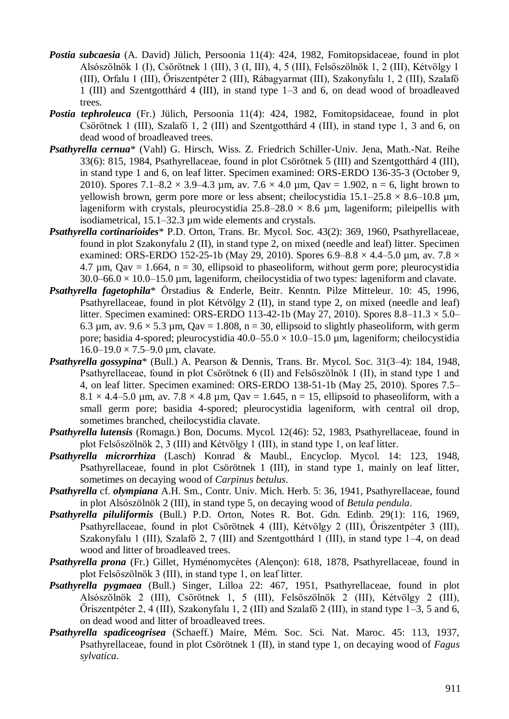- *Postia subcaesia* (A. David) Jülich, Persoonia 11(4): 424, 1982, Fomitopsidaceae, found in plot Alsószölnök 1 (I), Csörötnek 1 (III), 3 (I, III), 4, 5 (III), Felsőszölnök 1, 2 (III), Kétvölgy 1 (III), Orfalu 1 (III), Őriszentpéter 2 (III), Rábagyarmat (III), Szakonyfalu 1, 2 (III), Szalafő 1 (III) and Szentgotthárd 4 (III), in stand type 1–3 and 6, on dead wood of broadleaved trees.
- *Postia tephroleuca* (Fr.) Jülich, Persoonia 11(4): 424, 1982, Fomitopsidaceae, found in plot Csörötnek 1 (III), Szalafő 1, 2 (III) and Szentgotthárd 4 (III), in stand type 1, 3 and 6, on dead wood of broadleaved trees.
- *Psathyrella cernua*\* (Vahl) G. Hirsch, Wiss. Z. Friedrich Schiller-Univ. Jena, Math.-Nat. Reihe 33(6): 815, 1984, Psathyrellaceae, found in plot Csörötnek 5 (III) and Szentgotthárd 4 (III), in stand type 1 and 6, on leaf litter. Specimen examined: ORS-ERDO 136-35-3 (October 9, 2010). Spores 7.1–8.2  $\times$  3.9–4.3 µm, av. 7.6  $\times$  4.0 µm, Qav = 1.902, n = 6, light brown to yellowish brown, germ pore more or less absent; cheilocystidia  $15.1-25.8 \times 8.6-10.8 \mu m$ , lageniform with crystals, pleurocystidia  $25.8-28.0 \times 8.6$  µm, lageniform; pileipellis with isodiametrical, 15.1–32.3 µm wide elements and crystals.
- *Psathyrella cortinarioides*\* P.D. Orton, Trans. Br. Mycol. Soc. 43(2): 369, 1960, Psathyrellaceae, found in plot Szakonyfalu 2 (II), in stand type 2, on mixed (needle and leaf) litter. Specimen examined: ORS-ERDO 152-25-1b (May 29, 2010). Spores 6.9–8.8  $\times$  4.4–5.0 µm, av. 7.8  $\times$ 4.7  $\mu$ m, Qav = 1.664, n = 30, ellipsoid to phaseoliform, without germ pore; pleurocystidia  $30.0-66.0 \times 10.0-15.0 \mu m$ , lageniform, cheilocystidia of two types: lageniform and clavate.
- *Psathyrella fagetophila*\* Örstadius & Enderle, Beitr. Kenntn. Pilze Mitteleur. 10: 45, 1996, Psathyrellaceae, found in plot Kétvölgy 2 (II), in stand type 2, on mixed (needle and leaf) litter. Specimen examined: ORS-ERDO 113-42-1b (May 27, 2010). Spores  $8.8-11.3 \times 5.0-$ 6.3  $\mu$ m, av. 9.6  $\times$  5.3  $\mu$ m, Qav = 1.808, n = 30, ellipsoid to slightly phaseoliform, with germ pore; basidia 4-spored; pleurocystidia 40.0–55.0  $\times$  10.0–15.0 µm, lageniform; cheilocystidia  $16.0 - 19.0 \times 7.5 - 9.0 \mu m$ , clavate.
- *Psathyrella gossypina*\* (Bull.) A. Pearson & Dennis, Trans. Br. Mycol. Soc. 31(3–4): 184, 1948, Psathyrellaceae, found in plot Csörötnek 6 (II) and Felsőszölnök 1 (II), in stand type 1 and 4, on leaf litter. Specimen examined: ORS-ERDO 138-51-1b (May 25, 2010). Spores 7.5–  $8.1 \times 4.4$ –5.0 µm, av.  $7.8 \times 4.8$  µm, Qav = 1.645, n = 15, ellipsoid to phaseoliform, with a small germ pore; basidia 4-spored; pleurocystidia lageniform, with central oil drop, sometimes branched, cheilocystidia clavate.
- *Psathyrella lutensis* (Romagn.) Bon, Docums. Mycol. 12(46): 52, 1983, Psathyrellaceae, found in plot Felsőszölnök 2, 3 (III) and Kétvölgy 1 (III), in stand type 1, on leaf litter.
- Psathyrella microrrhiza (Lasch) Konrad & Maubl., Encyclop. Mycol. 14: 123, 1948, Psathyrellaceae, found in plot Csörötnek 1 (III), in stand type 1, mainly on leaf litter, sometimes on decaying wood of *Carpinus betulus*.
- *Psathyrella* cf. *olympiana* A.H. Sm., Contr. Univ. Mich. Herb. 5: 36, 1941, Psathyrellaceae, found in plot Alsószölnök 2 (III), in stand type 5, on decaying wood of *Betula pendula*.
- *Psathyrella piluliformis* (Bull.) P.D. Orton, Notes R. Bot. Gdn. Edinb. 29(1): 116, 1969, Psathyrellaceae, found in plot Csörötnek 4 (III), Kétvölgy 2 (III), Őriszentpéter 3 (III), Szakonyfalu 1 (III), Szalafő 2, 7 (III) and Szentgotthárd 1 (III), in stand type 1–4, on dead wood and litter of broadleaved trees.
- *Psathyrella prona* (Fr.) Gillet, Hyménomycètes (Alençon): 618, 1878, Psathyrellaceae, found in plot Felsőszölnök 3 (III), in stand type 1, on leaf litter.
- *Psathyrella pygmaea* (Bull.) Singer, Lilloa 22: 467, 1951, Psathyrellaceae, found in plot Alsószölnök 2 (III), Csörötnek 1, 5 (III), Felsőszölnök 2 (III), Kétvölgy 2 (III), Őriszentpéter 2, 4 (III), Szakonyfalu 1, 2 (III) and Szalafő 2 (III), in stand type 1–3, 5 and 6, on dead wood and litter of broadleaved trees.
- *Psathyrella spadiceogrisea* (Schaeff.) Maire, Mém. Soc. Sci. Nat. Maroc. 45: 113, 1937, Psathyrellaceae, found in plot Csörötnek 1 (II), in stand type 1, on decaying wood of *Fagus sylvatica*.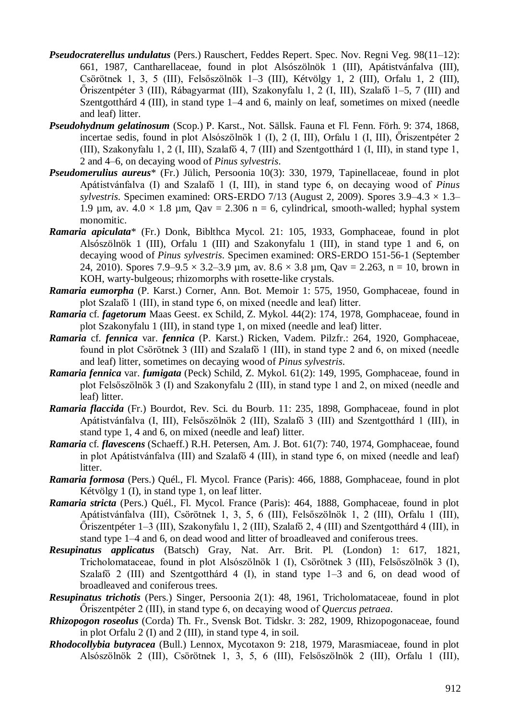- *Pseudocraterellus undulatus* (Pers.) Rauschert, Feddes Repert. Spec. Nov. Regni Veg. 98(11–12): 661, 1987, Cantharellaceae, found in plot Alsószölnök 1 (III), Apátistvánfalva (III), Csörötnek 1, 3, 5 (III), Felsőszölnök 1–3 (III), Kétvölgy 1, 2 (III), Orfalu 1, 2 (III), Őriszentpéter 3 (III), Rábagyarmat (III), Szakonyfalu 1, 2 (I, III), Szalafő 1–5, 7 (III) and Szentgotthárd 4 (III), in stand type 1–4 and 6, mainly on leaf, sometimes on mixed (needle and leaf) litter.
- *Pseudohydnum gelatinosum* (Scop.) P. Karst., Not. Sällsk. Fauna et Fl. Fenn. Förh. 9: 374, 1868, incertae sedis, found in plot Alsószölnök 1 (I), 2 (I, III), Orfalu 1 (I, III), Őriszentpéter 2 (III), Szakonyfalu 1, 2 (I, III), Szalafő 4, 7 (III) and Szentgotthárd 1 (I, III), in stand type 1, 2 and 4–6, on decaying wood of *Pinus sylvestris*.
- *Pseudomerulius aureus*\* (Fr.) Jülich, Persoonia 10(3): 330, 1979, Tapinellaceae, found in plot Apátistvánfalva (I) and Szalafő 1 (I, III), in stand type 6, on decaying wood of *Pinus sylvestris*. Specimen examined: ORS-ERDO 7/13 (August 2, 2009). Spores  $3.9-4.3 \times 1.3-$ 1.9  $\mu$ m, av. 4.0 × 1.8  $\mu$ m, Qav = 2.306 n = 6, cylindrical, smooth-walled; hyphal system monomitic.
- *Ramaria apiculata*\* (Fr.) Donk, Biblthca Mycol. 21: 105, 1933, Gomphaceae, found in plot Alsószölnök 1 (III), Orfalu 1 (III) and Szakonyfalu 1 (III), in stand type 1 and 6, on decaying wood of *Pinus sylvestris*. Specimen examined: ORS-ERDO 151-56-1 (September 24, 2010). Spores  $7.9-9.5 \times 3.2-3.9$  µm, av.  $8.6 \times 3.8$  µm, Qav = 2.263, n = 10, brown in KOH, warty-bulgeous; rhizomorphs with rosette-like crystals.
- *Ramaria eumorpha* (P. Karst.) Corner, Ann. Bot. Memoir 1: 575, 1950, Gomphaceae, found in plot Szalafő 1 (III), in stand type 6, on mixed (needle and leaf) litter.
- *Ramaria* cf. *fagetorum* Maas Geest. ex Schild, Z. Mykol. 44(2): 174, 1978, Gomphaceae, found in plot Szakonyfalu 1 (III), in stand type 1, on mixed (needle and leaf) litter.
- *Ramaria* cf. *fennica* var. *fennica* (P. Karst.) Ricken, Vadem. Pilzfr.: 264, 1920, Gomphaceae, found in plot Csörötnek 3 (III) and Szalafő 1 (III), in stand type 2 and 6, on mixed (needle and leaf) litter, sometimes on decaying wood of *Pinus sylvestris*.
- *Ramaria fennica* var. *fumigata* (Peck) Schild, Z. Mykol. 61(2): 149, 1995, Gomphaceae, found in plot Felsőszölnök 3 (I) and Szakonyfalu 2 (III), in stand type 1 and 2, on mixed (needle and leaf) litter.
- *Ramaria flaccida* (Fr.) Bourdot, Rev. Sci. du Bourb. 11: 235, 1898, Gomphaceae, found in plot Apátistvánfalva (I, III), Felsőszölnök 2 (III), Szalafő 3 (III) and Szentgotthárd 1 (III), in stand type 1, 4 and 6, on mixed (needle and leaf) litter.
- *Ramaria* cf. *flavescens* (Schaeff.) R.H. Petersen, Am. J. Bot. 61(7): 740, 1974, Gomphaceae, found in plot Apátistvánfalva (III) and Szalafő 4 (III), in stand type 6, on mixed (needle and leaf) litter.
- *Ramaria formosa* (Pers.) Quél., Fl. Mycol. France (Paris): 466, 1888, Gomphaceae, found in plot Kétvölgy 1 (I), in stand type 1, on leaf litter.
- *Ramaria stricta* (Pers.) Quél., Fl. Mycol. France (Paris): 464, 1888, Gomphaceae, found in plot Apátistvánfalva (III), Csörötnek 1, 3, 5, 6 (III), Felsőszölnök 1, 2 (III), Orfalu 1 (III), Őriszentpéter 1–3 (III), Szakonyfalu 1, 2 (III), Szalafő 2, 4 (III) and Szentgotthárd 4 (III), in stand type 1–4 and 6, on dead wood and litter of broadleaved and coniferous trees.
- *Resupinatus applicatus* (Batsch) Gray, Nat. Arr. Brit. Pl. (London) 1: 617, 1821, Tricholomataceae, found in plot Alsószölnök 1 (I), Csörötnek 3 (III), Felsőszölnök 3 (I), Szalafő 2 (III) and Szentgotthárd 4 (I), in stand type 1–3 and 6, on dead wood of broadleaved and coniferous trees.
- *Resupinatus trichotis* (Pers.) Singer, Persoonia 2(1): 48, 1961, Tricholomataceae, found in plot Őriszentpéter 2 (III), in stand type 6, on decaying wood of *Quercus petraea*.
- *Rhizopogon roseolus* (Corda) Th. Fr., Svensk Bot. Tidskr. 3: 282, 1909, Rhizopogonaceae, found in plot Orfalu 2 (I) and 2 (III), in stand type 4, in soil.
- *Rhodocollybia butyracea* (Bull.) Lennox, Mycotaxon 9: 218, 1979, Marasmiaceae, found in plot Alsószölnök 2 (III), Csörötnek 1, 3, 5, 6 (III), Felsőszölnök 2 (III), Orfalu 1 (III),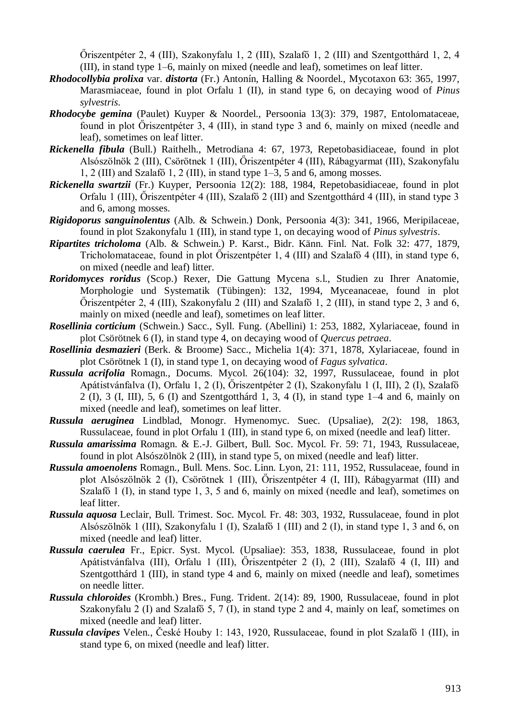Őriszentpéter 2, 4 (III), Szakonyfalu 1, 2 (III), Szalafő 1, 2 (III) and Szentgotthárd 1, 2, 4 (III), in stand type 1–6, mainly on mixed (needle and leaf), sometimes on leaf litter.

- *Rhodocollybia prolixa* var. *distorta* (Fr.) Antonín, Halling & Noordel., Mycotaxon 63: 365, 1997, Marasmiaceae, found in plot Orfalu 1 (II), in stand type 6, on decaying wood of *Pinus sylvestris*.
- *Rhodocybe gemina* (Paulet) Kuyper & Noordel., Persoonia 13(3): 379, 1987, Entolomataceae, found in plot Őriszentpéter 3, 4 (III), in stand type 3 and 6, mainly on mixed (needle and leaf), sometimes on leaf litter.
- *Rickenella fibula* (Bull.) Raithelh., Metrodiana 4: 67, 1973, Repetobasidiaceae, found in plot Alsószölnök 2 (III), Csörötnek 1 (III), Őriszentpéter 4 (III), Rábagyarmat (III), Szakonyfalu 1, 2 (III) and Szalafő 1, 2 (III), in stand type 1–3, 5 and 6, among mosses.
- *Rickenella swartzii* (Fr.) Kuyper, Persoonia 12(2): 188, 1984, Repetobasidiaceae, found in plot Orfalu 1 (III), Őriszentpéter 4 (III), Szalafő 2 (III) and Szentgotthárd 4 (III), in stand type 3 and 6, among mosses.
- *Rigidoporus sanguinolentus* (Alb. & Schwein.) Donk, Persoonia 4(3): 341, 1966, Meripilaceae, found in plot Szakonyfalu 1 (III), in stand type 1, on decaying wood of *Pinus sylvestris*.
- *Ripartites tricholoma* (Alb. & Schwein.) P. Karst., Bidr. Känn. Finl. Nat. Folk 32: 477, 1879, Tricholomataceae, found in plot Őriszentpéter 1, 4 (III) and Szalafő 4 (III), in stand type 6, on mixed (needle and leaf) litter.
- *Roridomyces roridus* (Scop.) Rexer, Die Gattung Mycena s.l., Studien zu Ihrer Anatomie, Morphologie und Systematik (Tübingen): 132, 1994, Myceanaceae, found in plot Őriszentpéter 2, 4 (III), Szakonyfalu 2 (III) and Szalafő 1, 2 (III), in stand type 2, 3 and 6, mainly on mixed (needle and leaf), sometimes on leaf litter.
- *Rosellinia corticium* (Schwein.) Sacc., Syll. Fung. (Abellini) 1: 253, 1882, Xylariaceae, found in plot Csörötnek 6 (I), in stand type 4, on decaying wood of *Quercus petraea*.
- *Rosellinia desmazieri* (Berk. & Broome) Sacc., Michelia 1(4): 371, 1878, Xylariaceae, found in plot Csörötnek 1 (I), in stand type 1, on decaying wood of *Fagus sylvatica*.
- *Russula acrifolia* Romagn., Docums. Mycol. 26(104): 32, 1997, Russulaceae, found in plot Apátistvánfalva (I), Orfalu 1, 2 (I), Őriszentpéter 2 (I), Szakonyfalu 1 (I, III), 2 (I), Szalafő 2 (I), 3 (I, III), 5, 6 (I) and Szentgotthárd 1, 3, 4 (I), in stand type 1–4 and 6, mainly on mixed (needle and leaf), sometimes on leaf litter.
- *Russula aeruginea* Lindblad, Monogr. Hymenomyc. Suec. (Upsaliae), 2(2): 198, 1863, Russulaceae, found in plot Orfalu 1 (III), in stand type 6, on mixed (needle and leaf) litter.
- *Russula amarissima* Romagn. & E.-J. Gilbert, Bull. Soc. Mycol. Fr. 59: 71, 1943, Russulaceae, found in plot Alsószölnök 2 (III), in stand type 5, on mixed (needle and leaf) litter.
- *Russula amoenolens* Romagn., Bull. Mens. Soc. Linn. Lyon, 21: 111, 1952, Russulaceae, found in plot Alsószölnök 2 (I), Csörötnek 1 (III), Őriszentpéter 4 (I, III), Rábagyarmat (III) and Szalafő 1 (I), in stand type 1, 3, 5 and 6, mainly on mixed (needle and leaf), sometimes on leaf litter.
- *Russula aquosa* Leclair, Bull. Trimest. Soc. Mycol. Fr. 48: 303, 1932, Russulaceae, found in plot Alsószölnök 1 (III), Szakonyfalu 1 (I), Szalafő 1 (III) and 2 (I), in stand type 1, 3 and 6, on mixed (needle and leaf) litter.
- *Russula caerulea* Fr., Epicr. Syst. Mycol. (Upsaliae): 353, 1838, Russulaceae, found in plot Apátistvánfalva (III), Orfalu 1 (III), Őriszentpéter 2 (I), 2 (III), Szalafő 4 (I, III) and Szentgotthárd 1 (III), in stand type 4 and 6, mainly on mixed (needle and leaf), sometimes on needle litter.
- *Russula chloroides* (Krombh.) Bres., Fung. Trident. 2(14): 89, 1900, Russulaceae, found in plot Szakonyfalu 2 (I) and Szalafő 5, 7 (I), in stand type 2 and 4, mainly on leaf, sometimes on mixed (needle and leaf) litter.
- *Russula clavipes* Velen., České Houby 1: 143, 1920, Russulaceae, found in plot Szalafő 1 (III), in stand type 6, on mixed (needle and leaf) litter.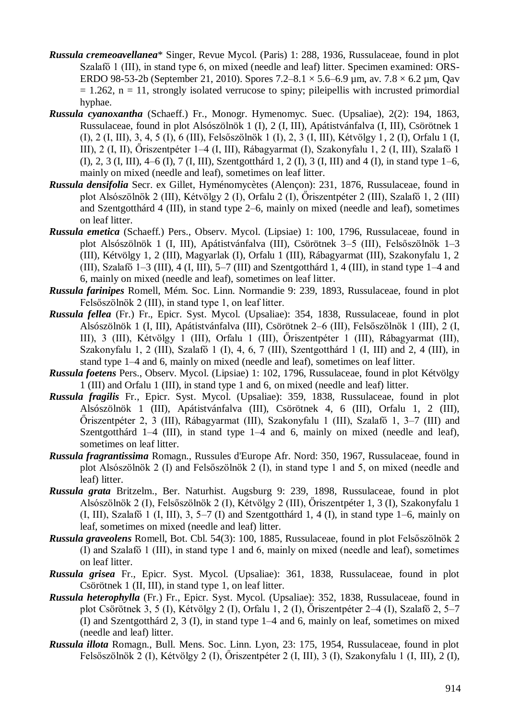- *Russula cremeoavellanea*\* Singer, Revue Mycol. (Paris) 1: 288, 1936, Russulaceae, found in plot Szalafő 1 (III), in stand type 6, on mixed (needle and leaf) litter. Specimen examined: ORS-ERDO 98-53-2b (September 21, 2010). Spores  $7.2-8.1 \times 5.6-6.9$  µm, av.  $7.8 \times 6.2$  µm, Qav  $= 1.262$ ,  $n = 11$ , strongly isolated verrucose to spiny; pileipellis with incrusted primordial hyphae.
- *Russula cyanoxantha* (Schaeff.) Fr., Monogr. Hymenomyc. Suec. (Upsaliae), 2(2): 194, 1863, Russulaceae, found in plot Alsószölnök 1 (I), 2 (I, III), Apátistvánfalva (I, III), Csörötnek 1 (I), 2 (I, III), 3, 4, 5 (I), 6 (III), Felsőszölnök 1 (I), 2, 3 (I, III), Kétvölgy 1, 2 (I), Orfalu 1 (I, III), 2 (I, II), Őriszentpéter 1–4 (I, III), Rábagyarmat (I), Szakonyfalu 1, 2 (I, III), Szalafő 1 (I), 2, 3 (I, III), 4–6 (I), 7 (I, III), Szentgotthárd 1, 2 (I), 3 (I, III) and 4 (I), in stand type 1–6, mainly on mixed (needle and leaf), sometimes on leaf litter.
- *Russula densifolia* Secr. ex Gillet, Hyménomycètes (Alençon): 231, 1876, Russulaceae, found in plot Alsószölnök 2 (III), Kétvölgy 2 (I), Orfalu 2 (I), Őriszentpéter 2 (III), Szalafő 1, 2 (III) and Szentgotthárd 4 (III), in stand type 2–6, mainly on mixed (needle and leaf), sometimes on leaf litter.
- *Russula emetica* (Schaeff.) Pers., Observ. Mycol. (Lipsiae) 1: 100, 1796, Russulaceae, found in plot Alsószölnök 1 (I, III), Apátistvánfalva (III), Csörötnek 3–5 (III), Felsőszölnök 1–3 (III), Kétvölgy 1, 2 (III), Magyarlak (I), Orfalu 1 (III), Rábagyarmat (III), Szakonyfalu 1, 2 (III), Szalafő 1–3 (III), 4 (I, III), 5–7 (III) and Szentgotthárd 1, 4 (III), in stand type 1–4 and 6, mainly on mixed (needle and leaf), sometimes on leaf litter.
- *Russula farinipes* Romell, Mém. Soc. Linn. Normandie 9: 239, 1893, Russulaceae, found in plot Felsőszölnök 2 (III), in stand type 1, on leaf litter.
- *Russula fellea* (Fr.) Fr., Epicr. Syst. Mycol. (Upsaliae): 354, 1838, Russulaceae, found in plot Alsószölnök 1 (I, III), Apátistvánfalva (III), Csörötnek 2–6 (III), Felsőszölnök 1 (III), 2 (I, III), 3 (III), Kétvölgy 1 (III), Orfalu 1 (III), Őriszentpéter 1 (III), Rábagyarmat (III), Szakonyfalu 1, 2 (III), Szalafő 1 (I), 4, 6, 7 (III), Szentgotthárd 1 (I, III) and 2, 4 (III), in stand type 1–4 and 6, mainly on mixed (needle and leaf), sometimes on leaf litter.
- *Russula foetens* Pers., Observ. Mycol. (Lipsiae) 1: 102, 1796, Russulaceae, found in plot Kétvölgy 1 (III) and Orfalu 1 (III), in stand type 1 and 6, on mixed (needle and leaf) litter.
- *Russula fragilis* Fr., Epicr. Syst. Mycol. (Upsaliae): 359, 1838, Russulaceae, found in plot Alsószölnök 1 (III), Apátistvánfalva (III), Csörötnek 4, 6 (III), Orfalu 1, 2 (III), Őriszentpéter 2, 3 (III), Rábagyarmat (III), Szakonyfalu 1 (III), Szalafő 1, 3–7 (III) and Szentgotthárd 1–4 (III), in stand type 1–4 and 6, mainly on mixed (needle and leaf), sometimes on leaf litter.
- *Russula fragrantissima* Romagn., Russules d'Europe Afr. Nord: 350, 1967, Russulaceae, found in plot Alsószölnök 2 (I) and Felsőszölnök 2 (I), in stand type 1 and 5, on mixed (needle and leaf) litter.
- *Russula grata* Britzelm., Ber. Naturhist. Augsburg 9: 239, 1898, Russulaceae, found in plot Alsószölnök 2 (I), Felsőszölnök 2 (I), Kétvölgy 2 (III), Őriszentpéter 1, 3 (I), Szakonyfalu 1 (I, III), Szalafő 1 (I, III), 3, 5–7 (I) and Szentgotthárd 1, 4 (I), in stand type 1–6, mainly on leaf, sometimes on mixed (needle and leaf) litter.
- *Russula graveolens* Romell, Bot. Cbl. 54(3): 100, 1885, Russulaceae, found in plot Felsőszölnök 2 (I) and Szalafő 1 (III), in stand type 1 and 6, mainly on mixed (needle and leaf), sometimes on leaf litter.
- *Russula grisea* Fr., Epicr. Syst. Mycol. (Upsaliae): 361, 1838, Russulaceae, found in plot Csörötnek 1 (II, III), in stand type 1, on leaf litter.
- *Russula heterophylla* (Fr.) Fr., Epicr. Syst. Mycol. (Upsaliae): 352, 1838, Russulaceae, found in plot Csörötnek 3, 5 (I), Kétvölgy 2 (I), Orfalu 1, 2 (I), Őriszentpéter 2–4 (I), Szalafő 2, 5–7 (I) and Szentgotthárd 2, 3 (I), in stand type 1–4 and 6, mainly on leaf, sometimes on mixed (needle and leaf) litter.
- *Russula illota* Romagn., Bull. Mens. Soc. Linn. Lyon, 23: 175, 1954, Russulaceae, found in plot Felsőszölnök 2 (I), Kétvölgy 2 (I), Őriszentpéter 2 (I, III), 3 (I), Szakonyfalu 1 (I, III), 2 (I),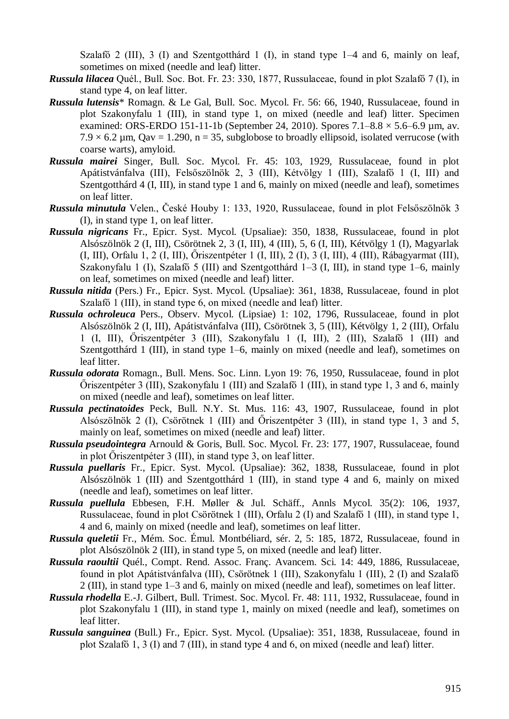Szalafő 2 (III), 3 (I) and Szentgotthárd 1 (I), in stand type 1–4 and 6, mainly on leaf, sometimes on mixed (needle and leaf) litter.

- *Russula lilacea* Quél., Bull. Soc. Bot. Fr. 23: 330, 1877, Russulaceae, found in plot Szalafő 7 (I), in stand type 4, on leaf litter.
- *Russula lutensis*\* Romagn. & Le Gal, Bull. Soc. Mycol. Fr. 56: 66, 1940, Russulaceae, found in plot Szakonyfalu 1 (III), in stand type 1, on mixed (needle and leaf) litter. Specimen examined: ORS-ERDO 151-11-1b (September 24, 2010). Spores 7.1–8.8 × 5.6–6.9 µm, av.  $7.9 \times 6.2$  µm, Qav = 1.290, n = 35, subglobose to broadly ellipsoid, isolated verrucose (with coarse warts), amyloid.
- *Russula mairei* Singer, Bull. Soc. Mycol. Fr. 45: 103, 1929, Russulaceae, found in plot Apátistvánfalva (III), Felsőszölnök 2, 3 (III), Kétvölgy 1 (III), Szalafő 1 (I, III) and Szentgotthárd 4 (I, III), in stand type 1 and 6, mainly on mixed (needle and leaf), sometimes on leaf litter.
- *Russula minutula* Velen., České Houby 1: 133, 1920, Russulaceae, found in plot Felsőszölnök 3 (I), in stand type 1, on leaf litter.
- *Russula nigricans* Fr., Epicr. Syst. Mycol. (Upsaliae): 350, 1838, Russulaceae, found in plot Alsószölnök 2 (I, III), Csörötnek 2, 3 (I, III), 4 (III), 5, 6 (I, III), Kétvölgy 1 (I), Magyarlak (I, III), Orfalu 1, 2 (I, III), Őriszentpéter 1 (I, III), 2 (I), 3 (I, III), 4 (III), Rábagyarmat (III), Szakonyfalu 1 (I), Szalafő 5 (III) and Szentgotthárd 1–3 (I, III), in stand type 1–6, mainly on leaf, sometimes on mixed (needle and leaf) litter.
- *Russula nitida* (Pers.) Fr., Epicr. Syst. Mycol. (Upsaliae): 361, 1838, Russulaceae, found in plot Szalafő 1 (III), in stand type 6, on mixed (needle and leaf) litter.
- *Russula ochroleuca* Pers., Observ. Mycol. (Lipsiae) 1: 102, 1796, Russulaceae, found in plot Alsószölnök 2 (I, III), Apátistvánfalva (III), Csörötnek 3, 5 (III), Kétvölgy 1, 2 (III), Orfalu 1 (I, III), Őriszentpéter 3 (III), Szakonyfalu 1 (I, III), 2 (III), Szalafő 1 (III) and Szentgotthárd 1 (III), in stand type 1–6, mainly on mixed (needle and leaf), sometimes on leaf litter.
- *Russula odorata* Romagn., Bull. Mens. Soc. Linn. Lyon 19: 76, 1950, Russulaceae, found in plot Őriszentpéter 3 (III), Szakonyfalu 1 (III) and Szalafő 1 (III), in stand type 1, 3 and 6, mainly on mixed (needle and leaf), sometimes on leaf litter.
- *Russula pectinatoides* Peck, Bull. N.Y. St. Mus. 116: 43, 1907, Russulaceae, found in plot Alsószölnök 2 (I), Csörötnek 1 (III) and Őriszentpéter 3 (III), in stand type 1, 3 and 5, mainly on leaf, sometimes on mixed (needle and leaf) litter.
- *Russula pseudointegra* Arnould & Goris, Bull. Soc. Mycol. Fr. 23: 177, 1907, Russulaceae, found in plot Őriszentpéter 3 (III), in stand type 3, on leaf litter.
- *Russula puellaris* Fr., Epicr. Syst. Mycol. (Upsaliae): 362, 1838, Russulaceae, found in plot Alsószölnök 1 (III) and Szentgotthárd 1 (III), in stand type 4 and 6, mainly on mixed (needle and leaf), sometimes on leaf litter.
- *Russula puellula* Ebbesen, F.H. Møller & Jul. Schäff., Annls Mycol. 35(2): 106, 1937, Russulaceae, found in plot Csörötnek 1 (III), Orfalu 2 (I) and Szalafő 1 (III), in stand type 1, 4 and 6, mainly on mixed (needle and leaf), sometimes on leaf litter.
- *Russula queletii* Fr., Mém. Soc. Émul. Montbéliard, sér. 2, 5: 185, 1872, Russulaceae, found in plot Alsószölnök 2 (III), in stand type 5, on mixed (needle and leaf) litter.
- *Russula raoultii* Quél., Compt. Rend. Assoc. Franç. Avancem. Sci. 14: 449, 1886, Russulaceae, found in plot Apátistvánfalva (III), Csörötnek 1 (III), Szakonyfalu 1 (III), 2 (I) and Szalafő 2 (III), in stand type 1–3 and 6, mainly on mixed (needle and leaf), sometimes on leaf litter.
- *Russula rhodella* E.-J. Gilbert, Bull. Trimest. Soc. Mycol. Fr. 48: 111, 1932, Russulaceae, found in plot Szakonyfalu 1 (III), in stand type 1, mainly on mixed (needle and leaf), sometimes on leaf litter.
- *Russula sanguinea* (Bull.) Fr., Epicr. Syst. Mycol. (Upsaliae): 351, 1838, Russulaceae, found in plot Szalafő 1, 3 (I) and 7 (III), in stand type 4 and 6, on mixed (needle and leaf) litter.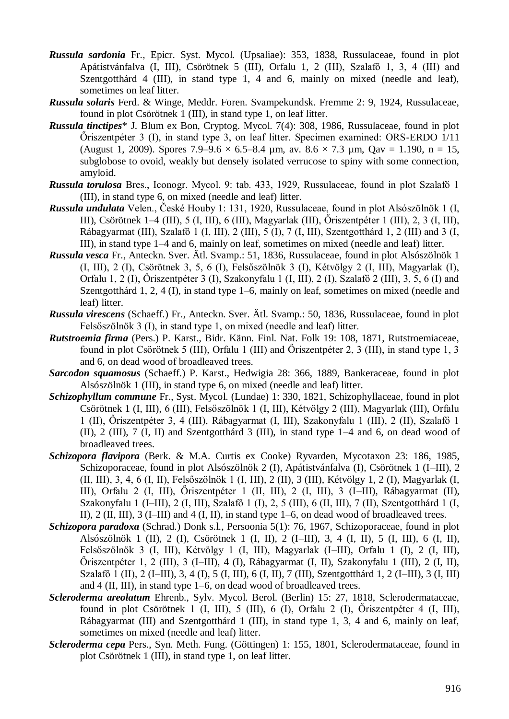- *Russula sardonia* Fr., Epicr. Syst. Mycol. (Upsaliae): 353, 1838, Russulaceae, found in plot Apátistvánfalva (I, III), Csörötnek 5 (III), Orfalu 1, 2 (III), Szalafő 1, 3, 4 (III) and Szentgotthárd 4 (III), in stand type 1, 4 and 6, mainly on mixed (needle and leaf), sometimes on leaf litter.
- *Russula solaris* Ferd. & Winge, Meddr. Foren. Svampekundsk. Fremme 2: 9, 1924, Russulaceae, found in plot Csörötnek 1 (III), in stand type 1, on leaf litter.
- *Russula tinctipes*\* J. Blum ex Bon, Cryptog. Mycol. 7(4): 308, 1986, Russulaceae, found in plot Őriszentpéter 3 (I), in stand type 3, on leaf litter. Specimen examined: ORS-ERDO 1/11 (August 1, 2009). Spores 7.9–9.6  $\times$  6.5–8.4 µm, av. 8.6  $\times$  7.3 µm, Qav = 1.190, n = 15, subglobose to ovoid, weakly but densely isolated verrucose to spiny with some connection, amyloid.
- *Russula torulosa* Bres., Iconogr. Mycol. 9: tab. 433, 1929, Russulaceae, found in plot Szalafő 1 (III), in stand type 6, on mixed (needle and leaf) litter.
- *Russula undulata* Velen., České Houby 1: 131, 1920, Russulaceae, found in plot Alsószölnök 1 (I, III), Csörötnek 1–4 (III), 5 (I, III), 6 (III), Magyarlak (III), Őriszentpéter 1 (III), 2, 3 (I, III), Rábagyarmat (III), Szalafő 1 (I, III), 2 (III), 5 (I), 7 (I, III), Szentgotthárd 1, 2 (III) and 3 (I, III), in stand type 1–4 and 6, mainly on leaf, sometimes on mixed (needle and leaf) litter.
- *Russula vesca* Fr., Anteckn. Sver. Ätl. Svamp.: 51, 1836, Russulaceae, found in plot Alsószölnök 1 (I, III), 2 (I), Csörötnek 3, 5, 6 (I), Felsőszölnök 3 (I), Kétvölgy 2 (I, III), Magyarlak (I), Orfalu 1, 2 (I), Őriszentpéter 3 (I), Szakonyfalu 1 (I, III), 2 (I), Szalafő 2 (III), 3, 5, 6 (I) and Szentgotthárd 1, 2, 4 (I), in stand type 1–6, mainly on leaf, sometimes on mixed (needle and leaf) litter.
- *Russula virescens* (Schaeff.) Fr., Anteckn. Sver. Ätl. Svamp.: 50, 1836, Russulaceae, found in plot Felsőszölnök 3 (I), in stand type 1, on mixed (needle and leaf) litter.
- *Rutstroemia firma* (Pers.) P. Karst., Bidr. Känn. Finl. Nat. Folk 19: 108, 1871, Rutstroemiaceae, found in plot Csörötnek 5 (III), Orfalu 1 (III) and Őriszentpéter 2, 3 (III), in stand type 1, 3 and 6, on dead wood of broadleaved trees.
- *Sarcodon squamosus* (Schaeff.) P. Karst., Hedwigia 28: 366, 1889, Bankeraceae, found in plot Alsószölnök 1 (III), in stand type 6, on mixed (needle and leaf) litter.
- *Schizophyllum commune* Fr., Syst. Mycol. (Lundae) 1: 330, 1821, Schizophyllaceae, found in plot Csörötnek 1 (I, III), 6 (III), Felsőszölnök 1 (I, III), Kétvölgy 2 (III), Magyarlak (III), Orfalu 1 (II), Őriszentpéter 3, 4 (III), Rábagyarmat (I, III), Szakonyfalu 1 (III), 2 (II), Szalafő 1 (II), 2 (III), 7 (I, II) and Szentgotthárd 3 (III), in stand type 1–4 and 6, on dead wood of broadleaved trees.
- *Schizopora flavipora* (Berk. & M.A. Curtis ex Cooke) Ryvarden, Mycotaxon 23: 186, 1985, Schizoporaceae, found in plot Alsószölnök 2 (I), Apátistvánfalva (I), Csörötnek 1 (I–III), 2 (II, III), 3, 4, 6 (I, II), Felsőszölnök 1 (I, III), 2 (II), 3 (III), Kétvölgy 1, 2 (I), Magyarlak (I, III), Orfalu 2 (I, III), Őriszentpéter 1 (II, III), 2 (I, III), 3 (I–III), Rábagyarmat (II), Szakonyfalu 1 (I–III), 2 (I, III), Szalafő 1 (I), 2, 5 (III), 6 (II, III), 7 (II), Szentgotthárd 1 (I, II), 2 (II, III), 3 (I–III) and 4 (I, II), in stand type 1–6, on dead wood of broadleaved trees.
- *Schizopora paradoxa* (Schrad.) Donk s.l., Persoonia 5(1): 76, 1967, Schizoporaceae, found in plot Alsószölnök 1 (II), 2 (I), Csörötnek 1 (I, II), 2 (I–III), 3, 4 (I, II), 5 (I, III), 6 (I, II), Felsőszölnök 3 (I, III), Kétvölgy 1 (I, III), Magyarlak (I–III), Orfalu 1 (I), 2 (I, III), Őriszentpéter 1, 2 (III), 3 (I–III), 4 (I), Rábagyarmat (I, II), Szakonyfalu 1 (III), 2 (I, II), Szalafő 1 (II), 2 (I–III), 3, 4 (I), 5 (I, III), 6 (I, II), 7 (III), Szentgotthárd 1, 2 (I–III), 3 (I, III) and 4 (II, III), in stand type 1–6, on dead wood of broadleaved trees.
- *Scleroderma areolatum* Ehrenb., Sylv. Mycol. Berol. (Berlin) 15: 27, 1818, Sclerodermataceae, found in plot Csörötnek 1 (I, III), 5 (III), 6 (I), Orfalu 2 (I), Őriszentpéter 4 (I, III), Rábagyarmat (III) and Szentgotthárd 1 (III), in stand type 1, 3, 4 and 6, mainly on leaf, sometimes on mixed (needle and leaf) litter.
- *Scleroderma cepa* Pers., Syn. Meth. Fung. (Göttingen) 1: 155, 1801, Sclerodermataceae, found in plot Csörötnek 1 (III), in stand type 1, on leaf litter.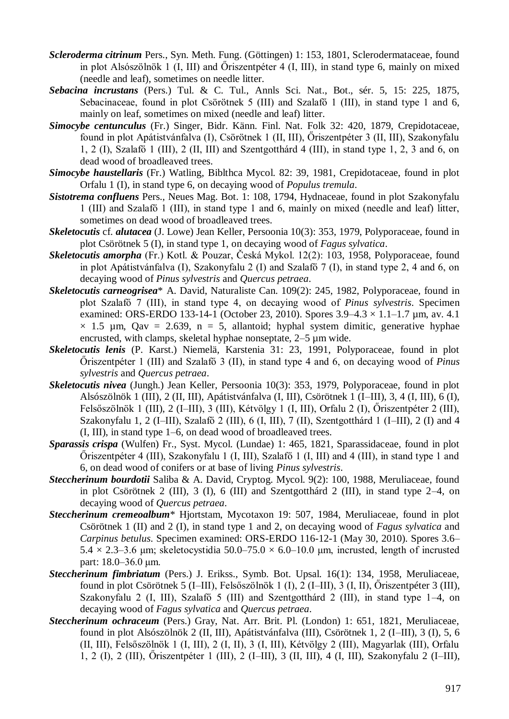- *Scleroderma citrinum* Pers., Syn. Meth. Fung. (Göttingen) 1: 153, 1801, Sclerodermataceae, found in plot Alsószölnök 1 (I, III) and Őriszentpéter 4 (I, III), in stand type 6, mainly on mixed (needle and leaf), sometimes on needle litter.
- *Sebacina incrustans* (Pers.) Tul. & C. Tul., Annls Sci. Nat., Bot., sér. 5, 15: 225, 1875, Sebacinaceae, found in plot Csörötnek 5 (III) and Szalafő 1 (III), in stand type 1 and 6, mainly on leaf, sometimes on mixed (needle and leaf) litter.
- *Simocybe centunculus* (Fr.) Singer, Bidr. Känn. Finl. Nat. Folk 32: 420, 1879, Crepidotaceae, found in plot Apátistvánfalva (I), Csörötnek 1 (II, III), Őriszentpéter 3 (II, III), Szakonyfalu 1, 2 (I), Szalafő 1 (III), 2 (II, III) and Szentgotthárd 4 (III), in stand type 1, 2, 3 and 6, on dead wood of broadleaved trees.
- *Simocybe haustellaris* (Fr.) Watling, Biblthca Mycol. 82: 39, 1981, Crepidotaceae, found in plot Orfalu 1 (I), in stand type 6, on decaying wood of *Populus tremula*.
- *Sistotrema confluens* Pers., Neues Mag. Bot. 1: 108, 1794, Hydnaceae, found in plot Szakonyfalu 1 (III) and Szalafő 1 (III), in stand type 1 and 6, mainly on mixed (needle and leaf) litter, sometimes on dead wood of broadleaved trees.
- *Skeletocutis* cf. *alutacea* (J. Lowe) Jean Keller, Persoonia 10(3): 353, 1979, Polyporaceae, found in plot Csörötnek 5 (I), in stand type 1, on decaying wood of *Fagus sylvatica*.
- *Skeletocutis amorpha* (Fr.) Kotl. & Pouzar, Česká Mykol. 12(2): 103, 1958, Polyporaceae, found in plot Apátistvánfalva (I), Szakonyfalu 2 (I) and Szalafő 7 (I), in stand type 2, 4 and 6, on decaying wood of *Pinus sylvestris* and *Quercus petraea*.
- *Skeletocutis carneogrisea*\* A. David, Naturaliste Can. 109(2): 245, 1982, Polyporaceae, found in plot Szalafő 7 (III), in stand type 4, on decaying wood of *Pinus sylvestris*. Specimen examined: ORS-ERDO 133-14-1 (October 23, 2010). Spores 3.9–4.3 × 1.1–1.7 µm, av. 4.1  $\times$  1.5 µm, Qav = 2.639, n = 5, allantoid; hyphal system dimitic, generative hyphae encrusted, with clamps, skeletal hyphae nonseptate, 2–5 µm wide.
- *Skeletocutis lenis* (P. Karst.) Niemelä, Karstenia 31: 23, 1991, Polyporaceae, found in plot Őriszentpéter 1 (III) and Szalafő 3 (II), in stand type 4 and 6, on decaying wood of *Pinus sylvestris* and *Quercus petraea*.
- *Skeletocutis nivea* (Jungh.) Jean Keller, Persoonia 10(3): 353, 1979, Polyporaceae, found in plot Alsószölnök 1 (III), 2 (II, III), Apátistvánfalva (I, III), Csörötnek 1 (I–III), 3, 4 (I, III), 6 (I), Felsőszölnök 1 (III), 2 (I–III), 3 (III), Kétvölgy 1 (I, III), Orfalu 2 (I), Őriszentpéter 2 (III), Szakonyfalu 1, 2 (I–III), Szalafő 2 (III), 6 (I, III), 7 (II), Szentgotthárd 1 (I–III), 2 (I) and 4 (I, III), in stand type 1–6, on dead wood of broadleaved trees.
- *Sparassis crispa* (Wulfen) Fr., Syst. Mycol. (Lundae) 1: 465, 1821, Sparassidaceae, found in plot Őriszentpéter 4 (III), Szakonyfalu 1 (I, III), Szalafő 1 (I, III) and 4 (III), in stand type 1 and 6, on dead wood of conifers or at base of living *Pinus sylvestris*.
- *Steccherinum bourdotii* Saliba & A. David, Cryptog. Mycol. 9(2): 100, 1988, Meruliaceae, found in plot Csörötnek 2 (III), 3 (I), 6 (III) and Szentgotthárd 2 (III), in stand type 2–4, on decaying wood of *Quercus petraea*.
- *Steccherinum cremeoalbum*\* Hjortstam, Mycotaxon 19: 507, 1984, Meruliaceae, found in plot Csörötnek 1 (II) and 2 (I), in stand type 1 and 2, on decaying wood of *Fagus sylvatica* and *Carpinus betulus*. Specimen examined: ORS-ERDO 116-12-1 (May 30, 2010). Spores 3.6–  $5.4 \times 2.3 - 3.6$  μm; skeletocystidia  $50.0 - 75.0 \times 6.0 - 10.0$  μm, incrusted, length of incrusted part: 18.0–36.0 μm.
- *Steccherinum fimbriatum* (Pers.) J. Erikss., Symb. Bot. Upsal. 16(1): 134, 1958, Meruliaceae, found in plot Csörötnek 5 (I–III), Felsőszölnök 1 (I), 2 (I–III), 3 (I, II), Őriszentpéter 3 (III), Szakonyfalu 2 (I, III), Szalafő 5 (III) and Szentgotthárd 2 (III), in stand type 1–4, on decaying wood of *Fagus sylvatica* and *Quercus petraea*.
- *Steccherinum ochraceum* (Pers.) Gray, Nat. Arr. Brit. Pl. (London) 1: 651, 1821, Meruliaceae, found in plot Alsószölnök 2 (II, III), Apátistvánfalva (III), Csörötnek 1, 2 (I–III), 3 (I), 5, 6 (II, III), Felsőszölnök 1 (I, III), 2 (I, II), 3 (I, III), Kétvölgy 2 (III), Magyarlak (III), Orfalu 1, 2 (I), 2 (III), Őriszentpéter 1 (III), 2 (I–III), 3 (II, III), 4 (I, III), Szakonyfalu 2 (I–III),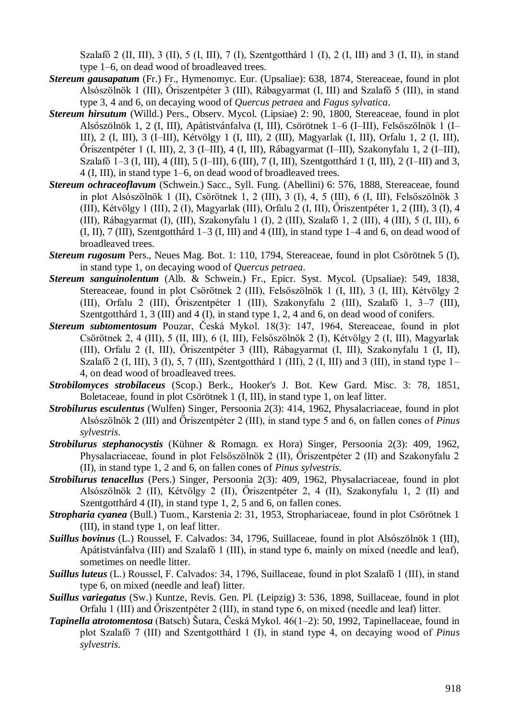Szalafő 2 (II, III), 3 (II), 5 (I, III), 7 (I), Szentgotthárd 1 (I), 2 (I, III) and 3 (I, II), in stand type 1–6, on dead wood of broadleaved trees.

- *Stereum gausapatum* (Fr.) Fr., Hymenomyc. Eur. (Upsaliae): 638, 1874, Stereaceae, found in plot Alsószölnök 1 (III), Őriszentpéter 3 (III), Rábagyarmat (I, III) and Szalafő 5 (III), in stand type 3, 4 and 6, on decaying wood of *Quercus petraea* and *Fagus sylvatica*.
- *Stereum hirsutum* (Willd.) Pers., Observ. Mycol. (Lipsiae) 2: 90, 1800, Stereaceae, found in plot Alsószölnök 1, 2 (I, III), Apátistvánfalva (I, III), Csörötnek 1–6 (I–III), Felsőszölnök 1 (I– III), 2 (I, III), 3 (I–III), Kétvölgy 1 (I, III), 2 (III), Magyarlak (I, III), Orfalu 1, 2 (I, III), Őriszentpéter 1 (I, III), 2, 3 (I–III), 4 (I, III), Rábagyarmat (I–III), Szakonyfalu 1, 2 (I–III), Szalafő 1–3 (I, III), 4 (III), 5 (I–III), 6 (III), 7 (I, III), Szentgotthárd 1 (I, III), 2 (I–III) and 3, 4 (I, III), in stand type 1–6, on dead wood of broadleaved trees.
- *Stereum ochraceoflavum* (Schwein.) Sacc., Syll. Fung. (Abellini) 6: 576, 1888, Stereaceae, found in plot Alsószölnök 1 (II), Csörötnek 1, 2 (III), 3 (I), 4, 5 (III), 6 (I, III), Felsőszölnök 3 (III), Kétvölgy 1 (III), 2 (I), Magyarlak (III), Orfalu 2 (I, III), Őriszentpéter 1, 2 (III), 3 (I), 4 (III), Rábagyarmat (I), (III), Szakonyfalu 1 (I), 2 (III), Szalafő 1, 2 (III), 4 (III), 5 (I, III), 6 (I, II), 7 (III), Szentgotthárd 1–3 (I, III) and 4 (III), in stand type 1–4 and 6, on dead wood of broadleaved trees.
- *Stereum rugosum* Pers., Neues Mag. Bot. 1: 110, 1794, Stereaceae, found in plot Csörötnek 5 (I), in stand type 1, on decaying wood of *Quercus petraea*.
- *Stereum sanguinolentum* (Alb. & Schwein.) Fr., Epicr. Syst. Mycol. (Upsaliae): 549, 1838, Stereaceae, found in plot Csörötnek 2 (III), Felsőszölnök 1 (I, III), 3 (I, III), Kétvölgy 2 (III), Orfalu 2 (III), Őriszentpéter 1 (III), Szakonyfalu 2 (III), Szalafő 1, 3–7 (III), Szentgotthárd 1, 3 (III) and 4 (I), in stand type 1, 2, 4 and 6, on dead wood of conifers.
- *Stereum subtomentosum* Pouzar, Česká Mykol. 18(3): 147, 1964, Stereaceae, found in plot Csörötnek 2, 4 (III), 5 (II, III), 6 (I, III), Felsőszölnök 2 (I), Kétvölgy 2 (I, III), Magyarlak (III), Orfalu 2 (I, III), Őriszentpéter 3 (III), Rábagyarmat (I, III), Szakonyfalu 1 (I, II), Szalafő 2 (I, III), 3 (I), 5, 7 (III), Szentgotthárd 1 (III), 2 (I, III) and 3 (III), in stand type  $1-$ 4, on dead wood of broadleaved trees.
- *Strobilomyces strobilaceus* (Scop.) Berk., Hooker's J. Bot. Kew Gard. Misc. 3: 78, 1851, Boletaceae, found in plot Csörötnek 1 (I, III), in stand type 1, on leaf litter.
- *Strobilurus esculentus* (Wulfen) Singer, Persoonia 2(3): 414, 1962, Physalacriaceae, found in plot Alsószölnök 2 (III) and Őriszentpéter 2 (III), in stand type 5 and 6, on fallen cones of *Pinus sylvestris*.
- *Strobilurus stephanocystis* (Kühner & Romagn. ex Hora) Singer, Persoonia 2(3): 409, 1962, Physalacriaceae, found in plot Felsőszölnök 2 (II), Őriszentpéter 2 (II) and Szakonyfalu 2 (II), in stand type 1, 2 and 6, on fallen cones of *Pinus sylvestris*.
- *Strobilurus tenacellus* (Pers.) Singer, Persoonia 2(3): 409, 1962, Physalacriaceae, found in plot Alsószölnök 2 (II), Kétvölgy 2 (II), Őriszentpéter 2, 4 (II), Szakonyfalu 1, 2 (II) and Szentgotthárd 4 (II), in stand type 1, 2, 5 and 6, on fallen cones.
- *Stropharia cyanea* (Bull.) Tuom., Karstenia 2: 31, 1953, Strophariaceae, found in plot Csörötnek 1 (III), in stand type 1, on leaf litter.
- *Suillus bovinus* (L.) Roussel, F. Calvados: 34, 1796, Suillaceae, found in plot Alsószölnök 1 (III), Apátistvánfalva (III) and Szalafő 1 (III), in stand type 6, mainly on mixed (needle and leaf), sometimes on needle litter.
- *Suillus luteus* (L.) Roussel, F. Calvados: 34, 1796, Suillaceae, found in plot Szalafő 1 (III), in stand type 6, on mixed (needle and leaf) litter.
- *Suillus variegatus* (Sw.) Kuntze, Revis. Gen. Pl. (Leipzig) 3: 536, 1898, Suillaceae, found in plot Orfalu 1 (III) and Őriszentpéter 2 (III), in stand type 6, on mixed (needle and leaf) litter.
- *Tapinella atrotomentosa* (Batsch) Šutara, Česká Mykol. 46(1–2): 50, 1992, Tapinellaceae, found in plot Szalafő 7 (III) and Szentgotthárd 1 (I), in stand type 4, on decaying wood of *Pinus sylvestris*.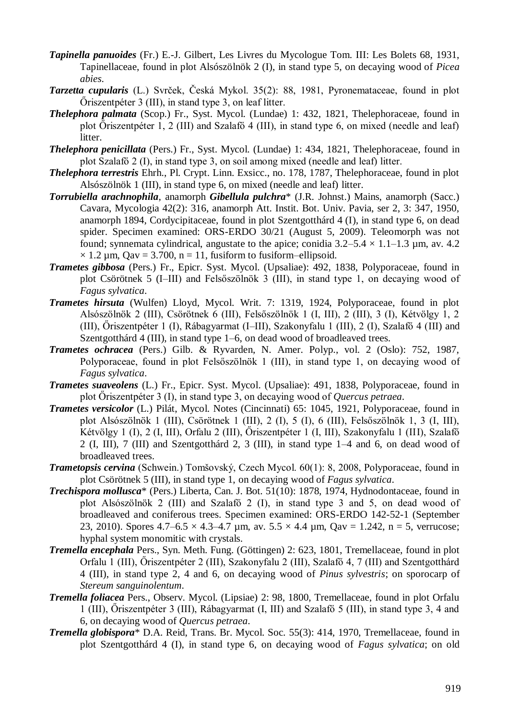- *Tapinella panuoides* (Fr.) E.-J. Gilbert, Les Livres du Mycologue Tom. III: Les Bolets 68, 1931, Tapinellaceae, found in plot Alsószölnök 2 (I), in stand type 5, on decaying wood of *Picea abies*.
- *Tarzetta cupularis* (L.) Svrček, Česká Mykol. 35(2): 88, 1981, Pyronemataceae, found in plot Őriszentpéter 3 (III), in stand type 3, on leaf litter.
- *Thelephora palmata* (Scop.) Fr., Syst. Mycol. (Lundae) 1: 432, 1821, Thelephoraceae, found in plot Őriszentpéter 1, 2 (III) and Szalafő 4 (III), in stand type 6, on mixed (needle and leaf) litter.
- *Thelephora penicillata* (Pers.) Fr., Syst. Mycol. (Lundae) 1: 434, 1821, Thelephoraceae, found in plot Szalafő 2 (I), in stand type 3, on soil among mixed (needle and leaf) litter.
- *Thelephora terrestris* Ehrh., Pl. Crypt. Linn. Exsicc., no. 178, 1787, Thelephoraceae, found in plot Alsószölnök 1 (III), in stand type 6, on mixed (needle and leaf) litter.
- *Torrubiella arachnophila*, anamorph *Gibellula pulchra*\* (J.R. Johnst.) Mains, anamorph (Sacc.) Cavara, Mycologia 42(2): 316, anamorph Att. Instit. Bot. Univ. Pavia, ser 2, 3: 347, 1950, anamorph 1894, Cordycipitaceae, found in plot Szentgotthárd 4 (I), in stand type 6, on dead spider. Specimen examined: ORS-ERDO 30/21 (August 5, 2009). Teleomorph was not found; synnemata cylindrical, angustate to the apice; conidia  $3.2-5.4 \times 1.1-1.3$  µm, av. 4.2  $\times$  1.2 µm, Qav = 3.700, n = 11, fusiform to fusiform–ellipsoid.
- *Trametes gibbosa* (Pers.) Fr., Epicr. Syst. Mycol. (Upsaliae): 492, 1838, Polyporaceae, found in plot Csörötnek 5 (I–III) and Felsőszölnök 3 (III), in stand type 1, on decaying wood of *Fagus sylvatica*.
- *Trametes hirsuta* (Wulfen) Lloyd, Mycol. Writ. 7: 1319, 1924, Polyporaceae, found in plot Alsószölnök 2 (III), Csörötnek 6 (III), Felsőszölnök 1 (I, III), 2 (III), 3 (I), Kétvölgy 1, 2 (III), Őriszentpéter 1 (I), Rábagyarmat (I–III), Szakonyfalu 1 (III), 2 (I), Szalafő 4 (III) and Szentgotthárd 4 (III), in stand type 1–6, on dead wood of broadleaved trees.
- *Trametes ochracea* (Pers.) Gilb. & Ryvarden, N. Amer. Polyp., vol. 2 (Oslo): 752, 1987, Polyporaceae, found in plot Felsőszölnök 1 (III), in stand type 1, on decaying wood of *Fagus sylvatica*.
- *Trametes suaveolens* (L.) Fr., Epicr. Syst. Mycol. (Upsaliae): 491, 1838, Polyporaceae, found in plot Őriszentpéter 3 (I), in stand type 3, on decaying wood of *Quercus petraea*.
- *Trametes versicolor* (L.) Pilát, Mycol. Notes (Cincinnati) 65: 1045, 1921, Polyporaceae, found in plot Alsószölnök 1 (III), Csörötnek 1 (III), 2 (I), 5 (I), 6 (III), Felsőszölnök 1, 3 (I, III), Kétvölgy 1 (I), 2 (I, III), Orfalu 2 (III), Őriszentpéter 1 (I, III), Szakonyfalu 1 (III), Szalafő 2 (I, III), 7 (III) and Szentgotthárd 2, 3 (III), in stand type 1–4 and 6, on dead wood of broadleaved trees.
- *Trametopsis cervina* (Schwein.) Tomšovský, Czech Mycol. 60(1): 8, 2008, Polyporaceae, found in plot Csörötnek 5 (III), in stand type 1, on decaying wood of *Fagus sylvatica*.
- *Trechispora mollusca*\* (Pers.) Liberta, Can. J. Bot. 51(10): 1878, 1974, Hydnodontaceae, found in plot Alsószölnök 2 (III) and Szalafő 2 (I), in stand type 3 and 5, on dead wood of broadleaved and coniferous trees. Specimen examined: ORS-ERDO 142-52-1 (September 23, 2010). Spores  $4.7-6.5 \times 4.3-4.7$  µm, av.  $5.5 \times 4.4$  µm, Oav = 1.242, n = 5, verrucose; hyphal system monomitic with crystals.
- *Tremella encephala* Pers., Syn. Meth. Fung. (Göttingen) 2: 623, 1801, Tremellaceae, found in plot Orfalu 1 (III), Őriszentpéter 2 (III), Szakonyfalu 2 (III), Szalafő 4, 7 (III) and Szentgotthárd 4 (III), in stand type 2, 4 and 6, on decaying wood of *Pinus sylvestris*; on sporocarp of *Stereum sanguinolentum*.
- *Tremella foliacea* Pers., Observ. Mycol. (Lipsiae) 2: 98, 1800, Tremellaceae, found in plot Orfalu 1 (III), Őriszentpéter 3 (III), Rábagyarmat (I, III) and Szalafő 5 (III), in stand type 3, 4 and 6, on decaying wood of *Quercus petraea*.
- *Tremella globispora*\* D.A. Reid, Trans. Br. Mycol. Soc. 55(3): 414, 1970, Tremellaceae, found in plot Szentgotthárd 4 (I), in stand type 6, on decaying wood of *Fagus sylvatica*; on old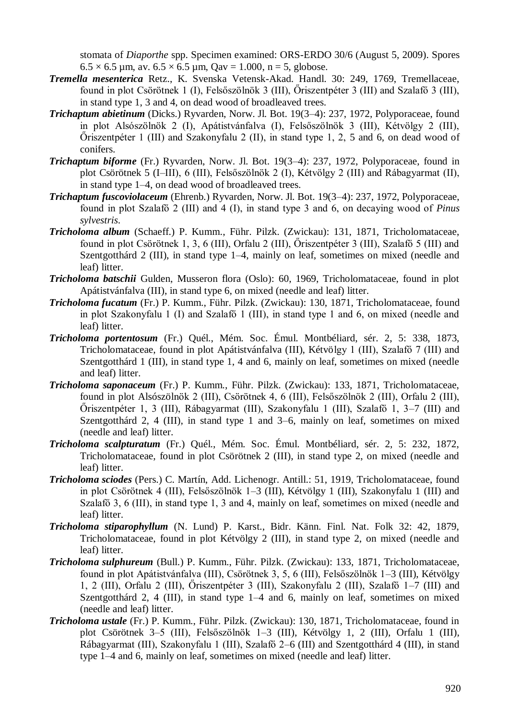stomata of *Diaporthe* spp. Specimen examined: ORS-ERDO 30/6 (August 5, 2009). Spores  $6.5 \times 6.5$  µm, av.  $6.5 \times 6.5$  µm, Qav = 1.000, n = 5, globose.

- *Tremella mesenterica* Retz., K. Svenska Vetensk-Akad. Handl. 30: 249, 1769, Tremellaceae, found in plot Csörötnek 1 (I), Felsőszölnök 3 (III), Őriszentpéter 3 (III) and Szalafő 3 (III), in stand type 1, 3 and 4, on dead wood of broadleaved trees.
- *Trichaptum abietinum* (Dicks.) Ryvarden, Norw. Jl. Bot. 19(3–4): 237, 1972, Polyporaceae, found in plot Alsószölnök 2 (I), Apátistvánfalva (I), Felsőszölnök 3 (III), Kétvölgy 2 (III), Őriszentpéter 1 (III) and Szakonyfalu 2 (II), in stand type 1, 2, 5 and 6, on dead wood of conifers.
- *Trichaptum biforme* (Fr.) Ryvarden, Norw. Jl. Bot. 19(3–4): 237, 1972, Polyporaceae, found in plot Csörötnek 5 (I–III), 6 (III), Felsőszölnök 2 (I), Kétvölgy 2 (III) and Rábagyarmat (II), in stand type 1–4, on dead wood of broadleaved trees.
- *Trichaptum fuscoviolaceum* (Ehrenb.) Ryvarden, Norw. Jl. Bot. 19(3–4): 237, 1972, Polyporaceae, found in plot Szalafő 2 (III) and 4 (I), in stand type 3 and 6, on decaying wood of *Pinus sylvestris*.
- *Tricholoma album* (Schaeff.) P. Kumm., Führ. Pilzk. (Zwickau): 131, 1871, Tricholomataceae, found in plot Csörötnek 1, 3, 6 (III), Orfalu 2 (III), Őriszentpéter 3 (III), Szalafő 5 (III) and Szentgotthárd 2 (III), in stand type 1–4, mainly on leaf, sometimes on mixed (needle and leaf) litter.
- *Tricholoma batschii* Gulden, Musseron flora (Oslo): 60, 1969, Tricholomataceae, found in plot Apátistvánfalva (III), in stand type 6, on mixed (needle and leaf) litter.
- *Tricholoma fucatum* (Fr.) P. Kumm., Führ. Pilzk. (Zwickau): 130, 1871, Tricholomataceae, found in plot Szakonyfalu 1 (I) and Szalafő 1 (III), in stand type 1 and 6, on mixed (needle and leaf) litter.
- *Tricholoma portentosum* (Fr.) Quél., Mém. Soc. Émul. Montbéliard, sér. 2, 5: 338, 1873, Tricholomataceae, found in plot Apátistvánfalva (III), Kétvölgy 1 (III), Szalafő 7 (III) and Szentgotthárd 1 (III), in stand type 1, 4 and 6, mainly on leaf, sometimes on mixed (needle and leaf) litter.
- *Tricholoma saponaceum* (Fr.) P. Kumm., Führ. Pilzk. (Zwickau): 133, 1871, Tricholomataceae, found in plot Alsószölnök 2 (III), Csörötnek 4, 6 (III), Felsőszölnök 2 (III), Orfalu 2 (III), Őriszentpéter 1, 3 (III), Rábagyarmat (III), Szakonyfalu 1 (III), Szalafő 1, 3–7 (III) and Szentgotthárd 2, 4 (III), in stand type 1 and 3–6, mainly on leaf, sometimes on mixed (needle and leaf) litter.
- *Tricholoma scalpturatum* (Fr.) Quél., Mém. Soc. Émul. Montbéliard, sér. 2, 5: 232, 1872, Tricholomataceae, found in plot Csörötnek 2 (III), in stand type 2, on mixed (needle and leaf) litter.
- *Tricholoma sciodes* (Pers.) C. Martín, Add. Lichenogr. Antill.: 51, 1919, Tricholomataceae, found in plot Csörötnek 4 (III), Felsőszölnök 1–3 (III), Kétvölgy 1 (III), Szakonyfalu 1 (III) and Szalafő 3, 6 (III), in stand type 1, 3 and 4, mainly on leaf, sometimes on mixed (needle and leaf) litter.
- *Tricholoma stiparophyllum* (N. Lund) P. Karst., Bidr. Känn. Finl. Nat. Folk 32: 42, 1879, Tricholomataceae, found in plot Kétvölgy 2 (III), in stand type 2, on mixed (needle and leaf) litter.
- *Tricholoma sulphureum* (Bull.) P. Kumm., Führ. Pilzk. (Zwickau): 133, 1871, Tricholomataceae, found in plot Apátistvánfalva (III), Csörötnek 3, 5, 6 (III), Felsőszölnök 1–3 (III), Kétvölgy 1, 2 (III), Orfalu 2 (III), Őriszentpéter 3 (III), Szakonyfalu 2 (III), Szalafő 1–7 (III) and Szentgotthárd 2, 4 (III), in stand type 1–4 and 6, mainly on leaf, sometimes on mixed (needle and leaf) litter.
- *Tricholoma ustale* (Fr.) P. Kumm., Führ. Pilzk. (Zwickau): 130, 1871, Tricholomataceae, found in plot Csörötnek 3–5 (III), Felsőszölnök 1–3 (III), Kétvölgy 1, 2 (III), Orfalu 1 (III), Rábagyarmat (III), Szakonyfalu 1 (III), Szalafő 2–6 (III) and Szentgotthárd 4 (III), in stand type 1–4 and 6, mainly on leaf, sometimes on mixed (needle and leaf) litter.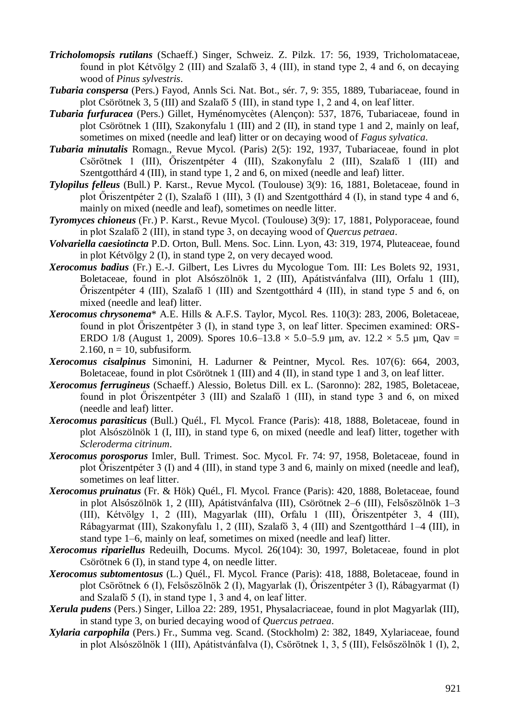- *Tricholomopsis rutilans* (Schaeff.) Singer, Schweiz. Z. Pilzk. 17: 56, 1939, Tricholomataceae, found in plot Kétvölgy 2 (III) and Szalafő 3, 4 (III), in stand type 2, 4 and 6, on decaying wood of *Pinus sylvestris*.
- *Tubaria conspersa* (Pers.) Fayod, Annls Sci. Nat. Bot., sér. 7, 9: 355, 1889, Tubariaceae, found in plot Csörötnek 3, 5 (III) and Szalafő 5 (III), in stand type 1, 2 and 4, on leaf litter.
- *Tubaria furfuracea* (Pers.) Gillet, Hyménomycètes (Alençon): 537, 1876, Tubariaceae, found in plot Csörötnek 1 (III), Szakonyfalu 1 (III) and 2 (II), in stand type 1 and 2, mainly on leaf, sometimes on mixed (needle and leaf) litter or on decaying wood of *Fagus sylvatica*.
- *Tubaria minutalis* Romagn., Revue Mycol. (Paris) 2(5): 192, 1937, Tubariaceae, found in plot Csörötnek 1 (III), Őriszentpéter 4 (III), Szakonyfalu 2 (III), Szalafő 1 (III) and Szentgotthárd 4 (III), in stand type 1, 2 and 6, on mixed (needle and leaf) litter.
- *Tylopilus felleus* (Bull.) P. Karst., Revue Mycol. (Toulouse) 3(9): 16, 1881, Boletaceae, found in plot Őriszentpéter 2 (I), Szalafő 1 (III), 3 (I) and Szentgotthárd 4 (I), in stand type 4 and 6, mainly on mixed (needle and leaf), sometimes on needle litter.
- *Tyromyces chioneus* (Fr.) P. Karst., Revue Mycol. (Toulouse) 3(9): 17, 1881, Polyporaceae, found in plot Szalafő 2 (III), in stand type 3, on decaying wood of *Quercus petraea*.
- *Volvariella caesiotincta* P.D. Orton, Bull. Mens. Soc. Linn. Lyon, 43: 319, 1974, Pluteaceae, found in plot Kétvölgy 2 (I), in stand type 2, on very decayed wood.
- *Xerocomus badius* (Fr.) E.-J. Gilbert, Les Livres du Mycologue Tom. III: Les Bolets 92, 1931, Boletaceae, found in plot Alsószölnök 1, 2 (III), Apátistvánfalva (III), Orfalu 1 (III), Őriszentpéter 4 (III), Szalafő 1 (III) and Szentgotthárd 4 (III), in stand type 5 and 6, on mixed (needle and leaf) litter.
- *Xerocomus chrysonema*\* A.E. Hills & A.F.S. Taylor, Mycol. Res. 110(3): 283, 2006, Boletaceae, found in plot Őriszentpéter 3 (I), in stand type 3, on leaf litter. Specimen examined: ORS-ERDO 1/8 (August 1, 2009). Spores  $10.6-13.8 \times 5.0-5.9$  µm, av.  $12.2 \times 5.5$  µm, Qav = 2.160,  $n = 10$ , subfusiform.
- *Xerocomus cisalpinus* Simonini, H. Ladurner & Peintner, Mycol. Res. 107(6): 664, 2003, Boletaceae, found in plot Csörötnek 1 (III) and 4 (II), in stand type 1 and 3, on leaf litter.
- *Xerocomus ferrugineus* (Schaeff.) Alessio, Boletus Dill. ex L. (Saronno): 282, 1985, Boletaceae, found in plot Őriszentpéter 3 (III) and Szalafő 1 (III), in stand type 3 and 6, on mixed (needle and leaf) litter.
- *Xerocomus parasiticus* (Bull.) Quél., Fl. Mycol. France (Paris): 418, 1888, Boletaceae, found in plot Alsószölnök 1 (I, III), in stand type 6, on mixed (needle and leaf) litter, together with *Scleroderma citrinum*.
- *Xerocomus porosporus* Imler, Bull. Trimest. Soc. Mycol. Fr. 74: 97, 1958, Boletaceae, found in plot Őriszentpéter 3 (I) and 4 (III), in stand type 3 and 6, mainly on mixed (needle and leaf), sometimes on leaf litter.
- *Xerocomus pruinatus* (Fr. & Hök) Quél., Fl. Mycol. France (Paris): 420, 1888, Boletaceae, found in plot Alsószölnök 1, 2 (III), Apátistvánfalva (III), Csörötnek 2–6 (III), Felsőszölnök 1–3 (III), Kétvölgy 1, 2 (III), Magyarlak (III), Orfalu 1 (III), Őriszentpéter 3, 4 (III), Rábagyarmat (III), Szakonyfalu 1, 2 (III), Szalafő 3, 4 (III) and Szentgotthárd 1–4 (III), in stand type 1–6, mainly on leaf, sometimes on mixed (needle and leaf) litter.
- *Xerocomus ripariellus* Redeuilh, Docums. Mycol. 26(104): 30, 1997, Boletaceae, found in plot Csörötnek 6 (I), in stand type 4, on needle litter.
- *Xerocomus subtomentosus* (L.) Quél., Fl. Mycol. France (Paris): 418, 1888, Boletaceae, found in plot Csörötnek 6 (I), Felsőszölnök 2 (I), Magyarlak (I), Őriszentpéter 3 (I), Rábagyarmat (I) and Szalafő 5 (I), in stand type 1, 3 and 4, on leaf litter.
- *Xerula pudens* (Pers.) Singer, Lilloa 22: 289, 1951, Physalacriaceae, found in plot Magyarlak (III), in stand type 3, on buried decaying wood of *Quercus petraea*.
- *Xylaria carpophila* (Pers.) Fr., Summa veg. Scand. (Stockholm) 2: 382, 1849, Xylariaceae, found in plot Alsószölnök 1 (III), Apátistvánfalva (I), Csörötnek 1, 3, 5 (III), Felsőszölnök 1 (I), 2,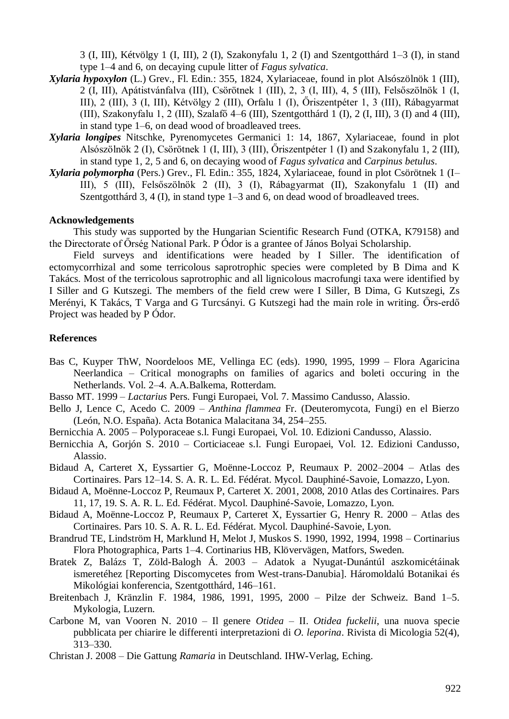3 (I, III), Kétvölgy 1 (I, III), 2 (I), Szakonyfalu 1, 2 (I) and Szentgotthárd 1–3 (I), in stand type 1–4 and 6, on decaying cupule litter of *Fagus sylvatica*.

- *Xylaria hypoxylon* (L.) Grev., Fl. Edin.: 355, 1824, Xylariaceae, found in plot Alsószölnök 1 (III), 2 (I, III), Apátistvánfalva (III), Csörötnek 1 (III), 2, 3 (I, III), 4, 5 (III), Felsőszölnök 1 (I, III), 2 (III), 3 (I, III), Kétvölgy 2 (III), Orfalu 1 (I), Őriszentpéter 1, 3 (III), Rábagyarmat (III), Szakonyfalu 1, 2 (III), Szalafő 4–6 (III), Szentgotthárd 1 (I), 2 (I, III), 3 (I) and 4 (III), in stand type 1–6, on dead wood of broadleaved trees.
- *Xylaria longipes* Nitschke, Pyrenomycetes Germanici 1: 14, 1867, Xylariaceae, found in plot Alsószölnök 2 (I), Csörötnek 1 (I, III), 3 (III), Őriszentpéter 1 (I) and Szakonyfalu 1, 2 (III), in stand type 1, 2, 5 and 6, on decaying wood of *Fagus sylvatica* and *Carpinus betulus*.
- *Xylaria polymorpha* (Pers.) Grev., Fl. Edin.: 355, 1824, Xylariaceae, found in plot Csörötnek 1 (I– III), 5 (III), Felsőszölnök 2 (II), 3 (I), Rábagyarmat (II), Szakonyfalu 1 (II) and Szentgotthárd 3, 4 (I), in stand type 1–3 and 6, on dead wood of broadleaved trees.

#### **Acknowledgements**

This study was supported by the Hungarian Scientific Research Fund (OTKA, K79158) and the Directorate of Őrség National Park. P Ódor is a grantee of János Bolyai Scholarship.

Field surveys and identifications were headed by I Siller. The identification of ectomycorrhizal and some terricolous saprotrophic species were completed by B Dima and K Takács. Most of the terricolous saprotrophic and all lignicolous macrofungi taxa were identified by I Siller and G Kutszegi. The members of the field crew were I Siller, B Dima, G Kutszegi, Zs Merényi, K Takács, T Varga and G Turcsányi. G Kutszegi had the main role in writing. [Őrs-erdő](http://ramet.elte.hu/~ramet/project/ors_erdo/index_en.htm)  [Project](http://ramet.elte.hu/~ramet/project/ors_erdo/index_en.htm) was headed by P Ódor.

## **References**

- Bas C, Kuyper ThW, Noordeloos ME, Vellinga EC (eds). 1990, 1995, 1999 Flora Agaricina Neerlandica – Critical monographs on families of agarics and boleti occuring in the Netherlands. Vol. 2–4. A.A.Balkema, Rotterdam.
- Basso MT. 1999 *Lactarius* Pers. Fungi Europaei, Vol. 7. Massimo Candusso, Alassio.
- Bello J, Lence C, Acedo C. 2009 *Anthina flammea* Fr. (Deuteromycota, Fungi) en el Bierzo (León, N.O. España). Acta Botanica Malacitana 34, 254–255.
- Bernicchia A. 2005 Polyporaceae s.l. Fungi Europaei, Vol. 10. Edizioni Candusso, Alassio.
- Bernicchia A, Gorjón S. 2010 Corticiaceae s.l. Fungi Europaei, Vol. 12. Edizioni Candusso, Alassio.
- Bidaud A, Carteret X, Eyssartier G, Moënne-Loccoz P, Reumaux P. 2002–2004 Atlas des Cortinaires. Pars 12–14. S. A. R. L. Ed. Fédérat. Mycol. Dauphiné-Savoie, Lomazzo, Lyon.
- Bidaud A, Moënne-Loccoz P, Reumaux P, Carteret X. 2001, 2008, 2010 Atlas des Cortinaires. Pars 11, 17, 19. S. A. R. L. Ed. Fédérat. Mycol. Dauphiné-Savoie, Lomazzo, Lyon.
- Bidaud A, Moënne-Loccoz P, Reumaux P, Carteret X, Eyssartier G, Henry R. 2000 Atlas des Cortinaires. Pars 10. S. A. R. L. Ed. Fédérat. Mycol. Dauphiné-Savoie, Lyon.
- Brandrud TE, Lindström H, Marklund H, Melot J, Muskos S. 1990, 1992, 1994, 1998 Cortinarius Flora Photographica, Parts 1–4. Cortinarius HB, Klövervägen, Matfors, Sweden.
- Bratek Z, Balázs T, Zöld-Balogh Á. 2003 Adatok a Nyugat-Dunántúl aszkomicétáinak ismeretéhez [Reporting Discomycetes from West-trans-Danubia]. Háromoldalú Botanikai és Mikológiai konferencia, Szentgotthárd, 146–161.
- Breitenbach J, Kränzlin F. 1984, 1986, 1991, 1995, 2000 Pilze der Schweiz. Band 1–5. Mykologia, Luzern.
- Carbone M, van Vooren N. 2010 Il genere *Otidea* II. *Otidea fuckelii*, una nuova specie pubblicata per chiarire le differenti interpretazioni di *O. leporina*. Rivista di Micologia 52(4), 313–330.
- Christan J. 2008 Die Gattung *Ramaria* in Deutschland. IHW-Verlag, Eching.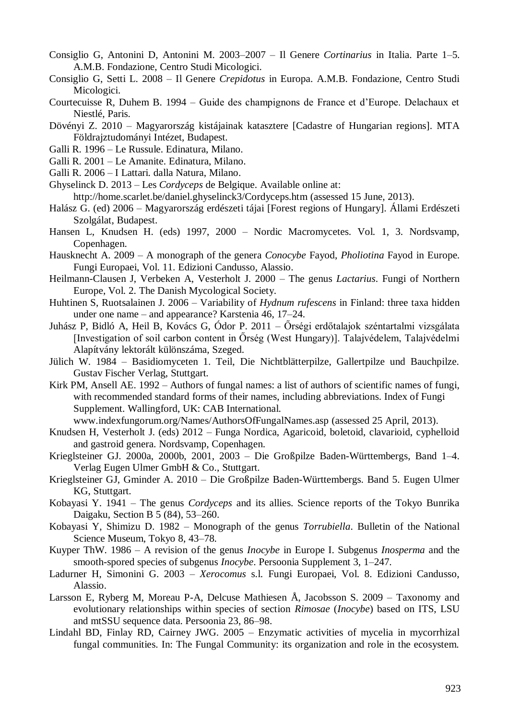- Consiglio G, Antonini D, Antonini M. 2003–2007 Il Genere *Cortinarius* in Italia. Parte 1–5. A.M.B. Fondazione, Centro Studi Micologici.
- Consiglio G, Setti L. 2008 Il Genere *Crepidotus* in Europa. A.M.B. Fondazione, Centro Studi Micologici.
- Courtecuisse R, Duhem B. 1994 Guide des champignons de France et d'Europe. Delachaux et Niestlé, Paris.
- Dövényi Z. 2010 Magyarország kistájainak katasztere [Cadastre of Hungarian regions]. MTA Földrajztudományi Intézet, Budapest.
- Galli R. 1996 Le Russule. Edinatura, Milano.
- Galli R. 2001 Le Amanite. Edinatura, Milano.
- Galli R. 2006 I Lattari. dalla Natura, Milano.
- Ghyselinck D. 2013 Les *Cordyceps* de Belgique. Available online at: <http://home.scarlet.be/daniel.ghyselinck3/Cordyceps.htm> (assessed 15 June, 2013).
- Halász G. (ed) 2006 Magyarország erdészeti tájai [Forest regions of Hungary]. Állami Erdészeti Szolgálat, Budapest.
- Hansen L, Knudsen H. (eds) 1997, 2000 Nordic Macromycetes. Vol. 1, 3. Nordsvamp, Copenhagen.
- Hausknecht A. 2009 A monograph of the genera *Conocybe* Fayod, *Pholiotina* Fayod in Europe. Fungi Europaei, Vol. 11. Edizioni Candusso, Alassio.
- Heilmann-Clausen J, Verbeken A, Vesterholt J. 2000 The genus *Lactarius*. Fungi of Northern Europe, Vol. 2. The Danish Mycological Society.
- Huhtinen S, Ruotsalainen J. 2006 Variability of *Hydnum rufescens* in Finland: three taxa hidden under one name – and appearance? Karstenia 46, 17–24.
- Juhász P, Bidló A, Heil B, Kovács G, Ódor P. 2011 Őrségi erdőtalajok széntartalmi vizsgálata [Investigation of soil carbon content in Őrség (West Hungary)]. Talajvédelem, Talajvédelmi Alapítvány lektorált különszáma, Szeged.
- Jülich W. 1984 Basidiomyceten 1. Teil, Die Nichtblätterpilze, Gallertpilze und Bauchpilze. Gustav Fischer Verlag, Stuttgart.
- Kirk PM, Ansell AE. 1992 Authors of fungal names: a list of authors of scientific names of fungi, with recommended standard forms of their names, including abbreviations. Index of Fungi Supplement. Wallingford, UK: CAB International.
	- [www.indexfungorum.org/Names/AuthorsOfFungalNames.asp](http://www.indexfungorum.org/Names/AuthorsOfFungalNames.asp) (assessed 25 April, 2013).
- Knudsen H, Vesterholt J. (eds) 2012 Funga Nordica, Agaricoid, boletoid, clavarioid, cyphelloid and gastroid genera. Nordsvamp, Copenhagen.
- Krieglsteiner GJ. 2000a, 2000b, 2001, 2003 Die Großpilze Baden-Württembergs, Band 1–4. Verlag Eugen Ulmer GmbH & Co., Stuttgart.
- Krieglsteiner GJ, Gminder A. 2010 Die Großpilze Baden-Württembergs. Band 5. Eugen Ulmer KG, Stuttgart.
- Kobayasi Y. 1941 The genus *Cordyceps* and its allies. Science reports of the Tokyo Bunrika Daigaku, Section B 5 (84), 53–260.
- Kobayasi Y, Shimizu D. 1982 Monograph of the genus *Torrubiella*. Bulletin of the National Science Museum, Tokyo 8, 43–78.
- Kuyper ThW. 1986 A revision of the genus *Inocybe* in Europe I. Subgenus *Inosperma* and the smooth-spored species of subgenus *Inocybe*. Persoonia Supplement 3, 1–247.
- Ladurner H, Simonini G. 2003 *Xerocomus* s.l. Fungi Europaei, Vol. 8. Edizioni Candusso, Alassio.
- Larsson E, Ryberg M, Moreau P-A, Delcuse Mathiesen Å, Jacobsson S. 2009 Taxonomy and evolutionary relationships within species of section *Rimosae* (*Inocybe*) based on ITS, LSU and mtSSU sequence data. Persoonia 23, 86–98.
- Lindahl BD, Finlay RD, Cairney JWG. 2005 Enzymatic activities of mycelia in mycorrhizal fungal communities. In: The Fungal Community: its organization and role in the ecosystem.